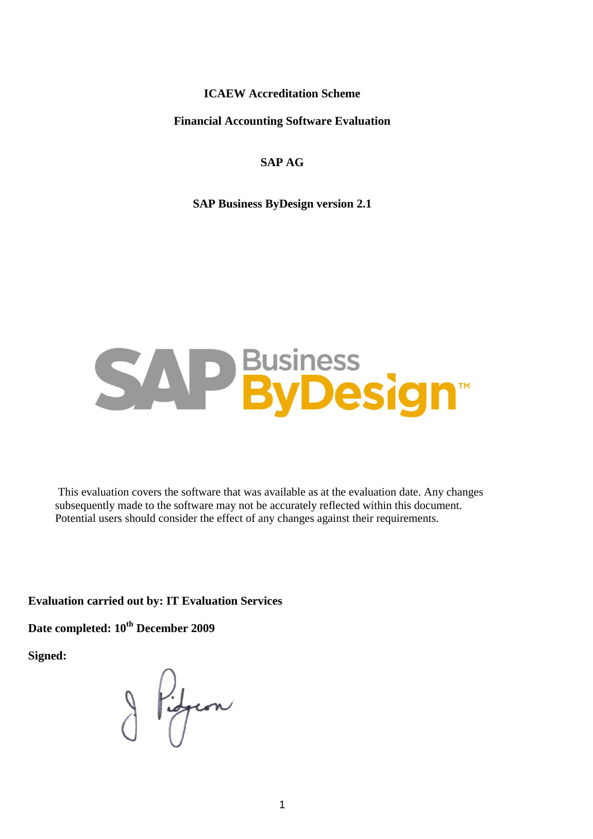**ICAEW Accreditation Scheme**

**Financial Accounting Software Evaluation**

#### **SAP AG**

**SAP Business ByDesign version 2.1**

# **P** Business<br> **ByDesign**

This evaluation covers the software that was available as at the evaluation date. Any changes subsequently made to the software may not be accurately reflected within this document. Potential users should consider the effect of any changes against their requirements.

**Evaluation carried out by: IT Evaluation Services**

**Date completed: 10th December 2009**

**Signed:** 

Pidgeon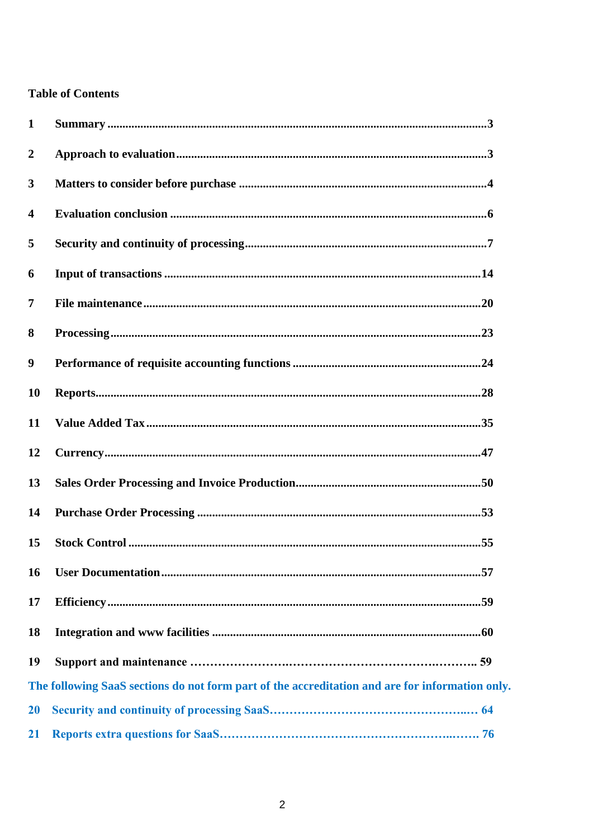#### **Table of Contents**

<span id="page-1-0"></span>

| 1                |                                                                                                 |
|------------------|-------------------------------------------------------------------------------------------------|
| $\boldsymbol{2}$ |                                                                                                 |
| 3                |                                                                                                 |
| $\overline{4}$   |                                                                                                 |
| 5                |                                                                                                 |
| 6                |                                                                                                 |
| 7                |                                                                                                 |
| 8                |                                                                                                 |
| 9                |                                                                                                 |
| <b>10</b>        |                                                                                                 |
| 11               |                                                                                                 |
| 12               |                                                                                                 |
| 13               |                                                                                                 |
| 14               |                                                                                                 |
| 15               |                                                                                                 |
| <b>16</b>        |                                                                                                 |
| 17               |                                                                                                 |
| <b>18</b>        |                                                                                                 |
| 19               |                                                                                                 |
|                  | The following SaaS sections do not form part of the accreditation and are for information only. |
| 20               |                                                                                                 |
| <b>21</b>        |                                                                                                 |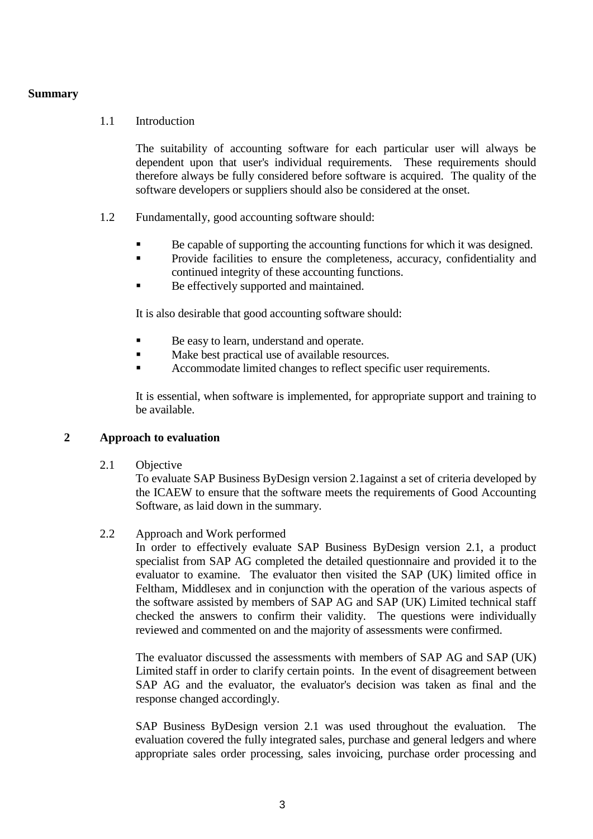#### **Summary**

#### 1.1 Introduction

The suitability of accounting software for each particular user will always be dependent upon that user's individual requirements. These requirements should therefore always be fully considered before software is acquired. The quality of the software developers or suppliers should also be considered at the onset.

- 1.2 Fundamentally, good accounting software should:
	- Be capable of supporting the accounting functions for which it was designed.
	- **Provide facilities to ensure the completeness, accuracy, confidentiality and** continued integrity of these accounting functions.
	- Be effectively supported and maintained.

It is also desirable that good accounting software should:

- Be easy to learn, understand and operate.
- $\blacksquare$  Make best practical use of available resources.
- Accommodate limited changes to reflect specific user requirements.

It is essential, when software is implemented, for appropriate support and training to be available.

#### <span id="page-2-0"></span>**2 Approach to evaluation**

2.1 Objective

To evaluate SAP Business ByDesign version 2.1against a set of criteria developed by the ICAEW to ensure that the software meets the requirements of Good Accounting Software, as laid down in the summary.

#### 2.2 Approach and Work performed

In order to effectively evaluate SAP Business ByDesign version 2.1, a product specialist from SAP AG completed the detailed questionnaire and provided it to the evaluator to examine. The evaluator then visited the SAP (UK) limited office in Feltham, Middlesex and in conjunction with the operation of the various aspects of the software assisted by members of SAP AG and SAP (UK) Limited technical staff checked the answers to confirm their validity. The questions were individually reviewed and commented on and the majority of assessments were confirmed.

The evaluator discussed the assessments with members of SAP AG and SAP (UK) Limited staff in order to clarify certain points. In the event of disagreement between SAP AG and the evaluator, the evaluator's decision was taken as final and the response changed accordingly.

SAP Business ByDesign version 2.1 was used throughout the evaluation. The evaluation covered the fully integrated sales, purchase and general ledgers and where appropriate sales order processing, sales invoicing, purchase order processing and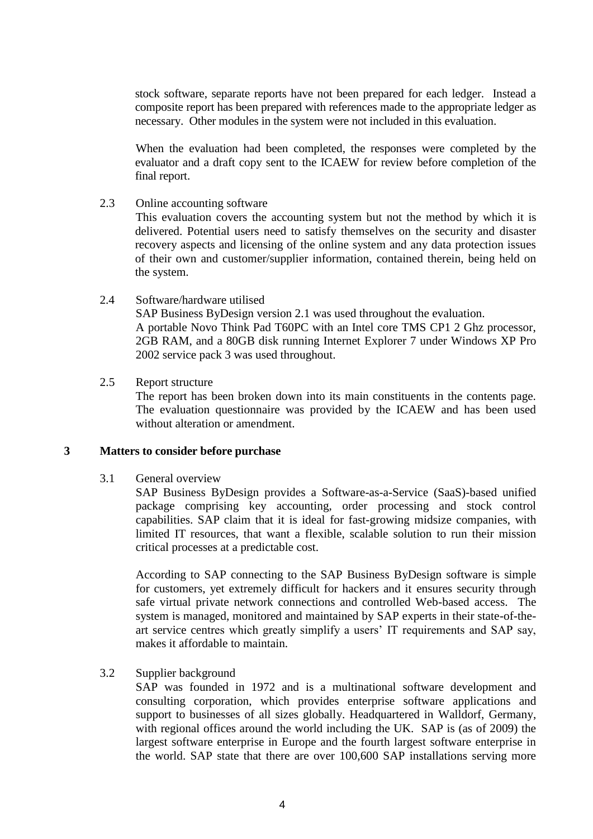stock software, separate reports have not been prepared for each ledger. Instead a composite report has been prepared with references made to the appropriate ledger as necessary. Other modules in the system were not included in this evaluation.

When the evaluation had been completed, the responses were completed by the evaluator and a draft copy sent to the ICAEW for review before completion of the final report.

2.3 Online accounting software

This evaluation covers the accounting system but not the method by which it is delivered. Potential users need to satisfy themselves on the security and disaster recovery aspects and licensing of the online system and any data protection issues of their own and customer/supplier information, contained therein, being held on the system.

2.4 Software/hardware utilised

SAP Business ByDesign version 2.1 was used throughout the evaluation. A portable Novo Think Pad T60PC with an Intel core TMS CP1 2 Ghz processor, 2GB RAM, and a 80GB disk running Internet Explorer 7 under Windows XP Pro 2002 service pack 3 was used throughout.

2.5 Report structure

The report has been broken down into its main constituents in the contents page. The evaluation questionnaire was provided by the ICAEW and has been used without alteration or amendment.

#### <span id="page-3-0"></span>**3 Matters to consider before purchase**

#### 3.1 General overview

SAP Business ByDesign provides a Software-as-a-Service (SaaS)-based unified package comprising key accounting, order processing and stock control capabilities. SAP claim that it is ideal for fast-growing midsize companies, with limited IT resources, that want a flexible, scalable solution to run their mission critical processes at a predictable cost.

According to SAP connecting to the SAP Business ByDesign software is simple for customers, yet extremely difficult for hackers and it ensures security through safe virtual private network connections and controlled Web-based access. The system is managed, monitored and maintained by SAP experts in their state-of-theart service centres which greatly simplify a users" IT requirements and SAP say, makes it affordable to maintain.

#### 3.2 Supplier background

SAP was founded in 1972 and is a multinational software development and consulting corporation, which provides enterprise software applications and support to businesses of all sizes globally. Headquartered in [Walldorf,](/wiki/Walldorf) [Germany,](/wiki/Germany) with regional offices around the world including the UK. SAP is (as of 2009) the largest software enterprise in Europe and the fourth largest software enterprise in the world. SAP state that there are over 100,600 SAP installations serving more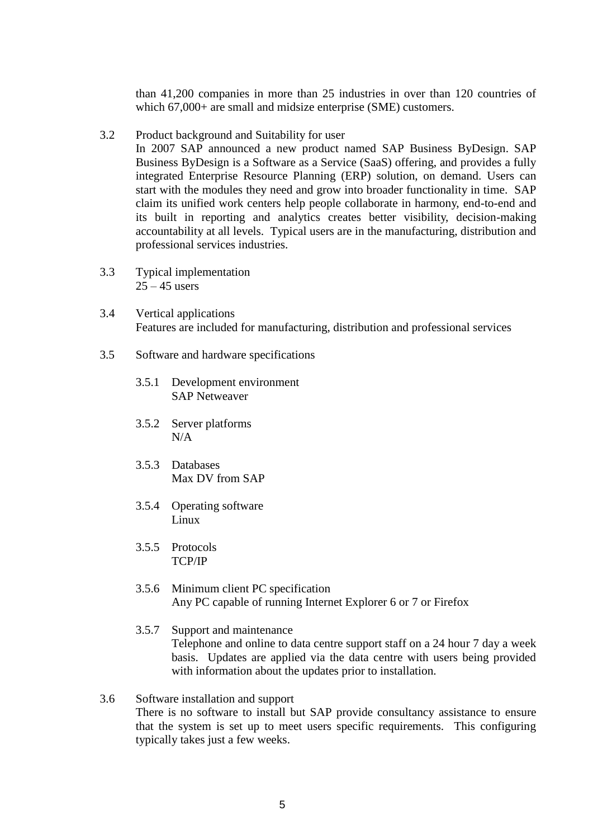than 41,200 companies in more than 25 industries in over than 120 countries of which 67,000+ are small and midsize enterprise (SME) customers.

3.2 Product background and Suitability for user

In 2007 SAP announced a new product named [SAP Business ByDesign.](/wiki/SAP_Business_ByDesign) [SAP](/wiki/SAP_Business_ByDesign)  [Business ByDesign](/wiki/SAP_Business_ByDesign) is a Software as a Service (SaaS) offering, and provides a fully integrated Enterprise Resource Planning (ERP) solution, on demand. Users can start with the modules they need and grow into broader functionality in time. SAP claim its unified work centers help people collaborate in harmony, end-to-end and its built in reporting and analytics creates better visibility, decision-making accountability at all levels. Typical users are in the manufacturing, distribution and professional services industries.

- 3.3 Typical implementation  $25 - 45$  users
- 3.4 Vertical applications Features are included for manufacturing, distribution and professional services
- 3.5 Software and hardware specifications
	- 3.5.1 Development environment SAP Netweaver
	- 3.5.2 Server platforms N/A
	- 3.5.3 Databases Max DV from SAP
	- 3.5.4 Operating software Linux
	- 3.5.5 Protocols TCP/IP
	- 3.5.6 Minimum client PC specification Any PC capable of running Internet Explorer 6 or 7 or Firefox
	- 3.5.7 Support and maintenance Telephone and online to data centre support staff on a 24 hour 7 day a week basis. Updates are applied via the data centre with users being provided with information about the updates prior to installation.
- 3.6 Software installation and support There is no software to install but SAP provide consultancy assistance to ensure that the system is set up to meet users specific requirements. This configuring typically takes just a few weeks.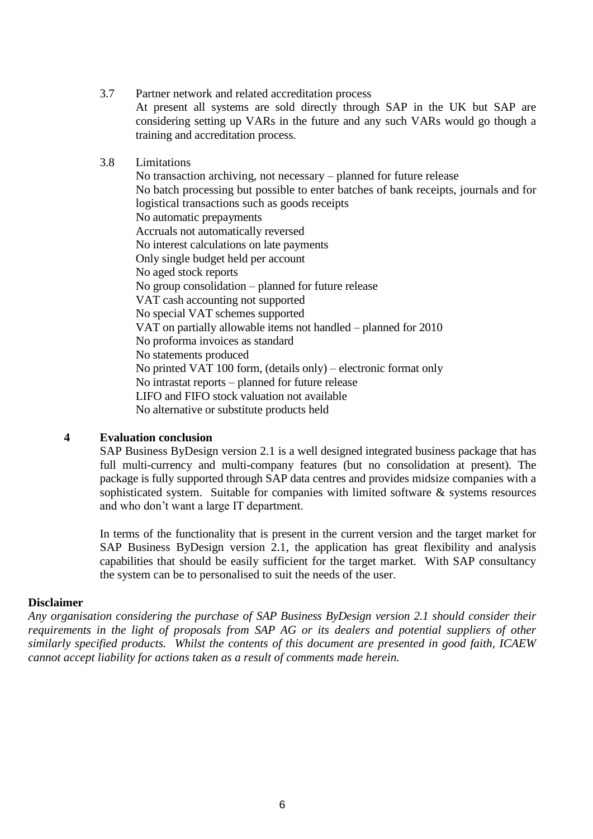#### 3.7 Partner network and related accreditation process

At present all systems are sold directly through SAP in the UK but SAP are considering setting up VARs in the future and any such VARs would go though a training and accreditation process.

#### 3.8 Limitations

No transaction archiving, not necessary – planned for future release No batch processing but possible to enter batches of bank receipts, journals and for logistical transactions such as goods receipts No automatic prepayments Accruals not automatically reversed No interest calculations on late payments Only single budget held per account No aged stock reports No group consolidation – planned for future release VAT cash accounting not supported No special VAT schemes supported VAT on partially allowable items not handled – planned for 2010 No proforma invoices as standard No statements produced No printed VAT 100 form, (details only) – electronic format only No intrastat reports – planned for future release LIFO and FIFO stock valuation not available No alternative or substitute products held

#### <span id="page-5-0"></span>**4 Evaluation conclusion**

SAP Business ByDesign version 2.1 is a well designed integrated business package that has full multi-currency and multi-company features (but no consolidation at present). The package is fully supported through SAP data centres and provides midsize companies with a sophisticated system. Suitable for companies with limited software & systems resources and who don"t want a large IT department.

In terms of the functionality that is present in the current version and the target market for SAP Business ByDesign version 2.1, the application has great flexibility and analysis capabilities that should be easily sufficient for the target market. With SAP consultancy the system can be to personalised to suit the needs of the user.

#### **Disclaimer**

*Any organisation considering the purchase of SAP Business ByDesign version 2.1 should consider their requirements in the light of proposals from SAP AG or its dealers and potential suppliers of other similarly specified products. Whilst the contents of this document are presented in good faith, ICAEW cannot accept liability for actions taken as a result of comments made herein.*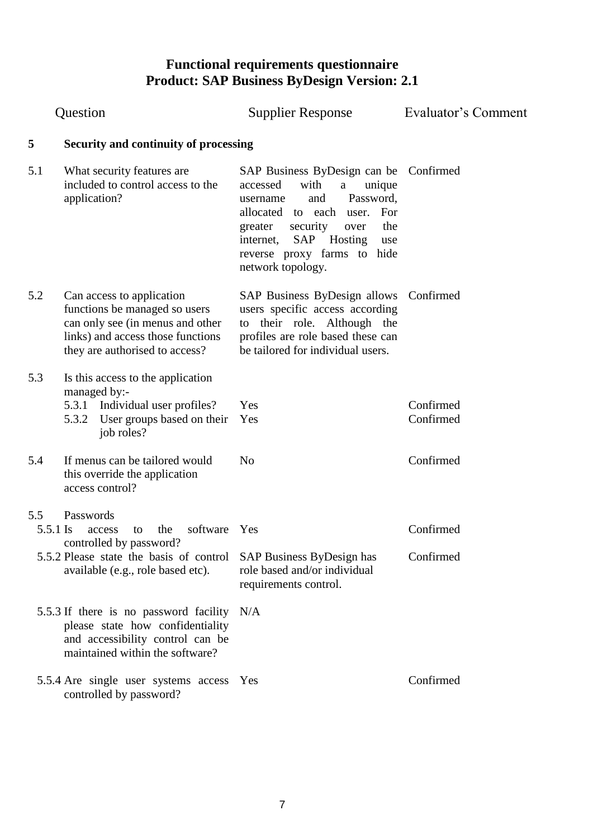<span id="page-6-0"></span>

|                 | Question                                                                                                                                                              | <b>Supplier Response</b>                                                                                                                                                                                                                                                    | Evaluator's Comment    |
|-----------------|-----------------------------------------------------------------------------------------------------------------------------------------------------------------------|-----------------------------------------------------------------------------------------------------------------------------------------------------------------------------------------------------------------------------------------------------------------------------|------------------------|
| 5               | Security and continuity of processing                                                                                                                                 |                                                                                                                                                                                                                                                                             |                        |
| 5.1             | What security features are<br>included to control access to the<br>application?                                                                                       | SAP Business ByDesign can be Confirmed<br>with<br>accessed<br>unique<br>a<br>Password,<br>and<br>username<br>user. For<br>allocated to each<br>the<br>security<br>greater<br>over<br>Hosting<br>SAP<br>internet,<br>use<br>reverse proxy farms to hide<br>network topology. |                        |
| 5.2             | Can access to application<br>functions be managed so users<br>can only see (in menus and other<br>links) and access those functions<br>they are authorised to access? | SAP Business ByDesign allows<br>users specific access according<br>their role. Although the<br>to<br>profiles are role based these can<br>be tailored for individual users.                                                                                                 | Confirmed              |
| 5.3             | Is this access to the application<br>managed by:-<br>Individual user profiles?<br>5.3.1<br>User groups based on their<br>5.3.2<br>job roles?                          | Yes<br>Yes                                                                                                                                                                                                                                                                  | Confirmed<br>Confirmed |
| 5.4             | If menus can be tailored would<br>this override the application<br>access control?                                                                                    | N <sub>o</sub>                                                                                                                                                                                                                                                              | Confirmed              |
| 5.5<br>5.5.1 Is | Passwords<br>software<br>the<br>access<br>to<br>controlled by password?<br>5.5.2 Please state the basis of control<br>available (e.g., role based etc).               | Yes<br>SAP Business ByDesign has<br>role based and/or individual<br>requirements control.                                                                                                                                                                                   | Confirmed<br>Confirmed |
|                 | 5.5.3 If there is no password facility<br>please state how confidentiality<br>and accessibility control can be<br>maintained within the software?                     | N/A                                                                                                                                                                                                                                                                         |                        |
|                 | 5.5.4 Are single user systems access Yes<br>controlled by password?                                                                                                   |                                                                                                                                                                                                                                                                             | Confirmed              |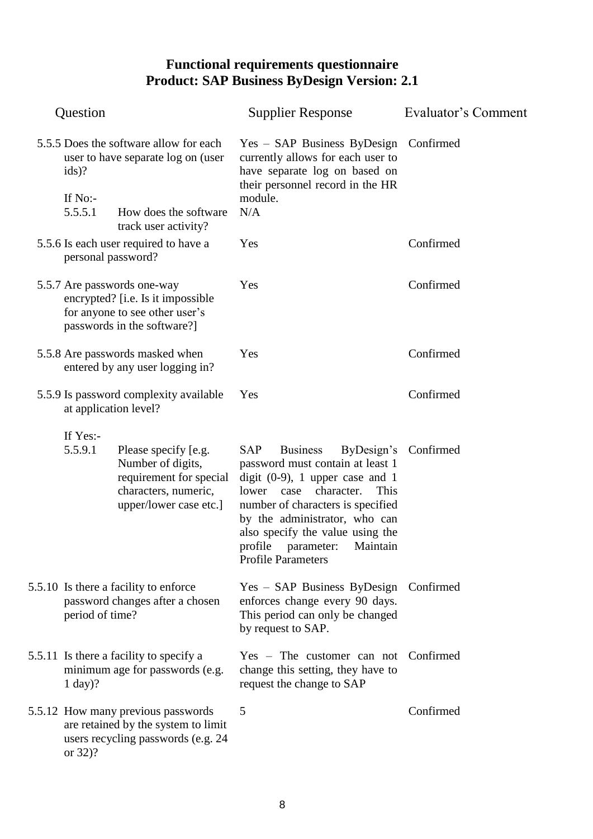|                                                                                         | Question              |                                                                                                                                   | <b>Supplier Response</b>                                                                                                                                                                                                                                                                                                           | Evaluator's Comment |
|-----------------------------------------------------------------------------------------|-----------------------|-----------------------------------------------------------------------------------------------------------------------------------|------------------------------------------------------------------------------------------------------------------------------------------------------------------------------------------------------------------------------------------------------------------------------------------------------------------------------------|---------------------|
| 5.5.5 Does the software allow for each<br>user to have separate log on (user<br>$ids$ ? |                       |                                                                                                                                   | Yes - SAP Business ByDesign Confirmed<br>currently allows for each user to<br>have separate log on based on<br>their personnel record in the HR                                                                                                                                                                                    |                     |
|                                                                                         | If No:-<br>5.5.5.1    | How does the software<br>track user activity?                                                                                     | module.<br>N/A                                                                                                                                                                                                                                                                                                                     |                     |
|                                                                                         | personal password?    | 5.5.6 Is each user required to have a                                                                                             | Yes                                                                                                                                                                                                                                                                                                                                | Confirmed           |
|                                                                                         |                       | 5.5.7 Are passwords one-way<br>encrypted? [i.e. Is it impossible<br>for anyone to see other user's<br>passwords in the software?] | Yes                                                                                                                                                                                                                                                                                                                                | Confirmed           |
|                                                                                         |                       | 5.5.8 Are passwords masked when<br>entered by any user logging in?                                                                | Yes                                                                                                                                                                                                                                                                                                                                | Confirmed           |
|                                                                                         | at application level? | 5.5.9 Is password complexity available                                                                                            | Yes                                                                                                                                                                                                                                                                                                                                | Confirmed           |
|                                                                                         | If Yes:-<br>5.5.9.1   | Please specify [e.g.<br>Number of digits,<br>requirement for special<br>characters, numeric,<br>upper/lower case etc.]            | <b>SAP</b><br><b>Business</b><br>ByDesign's<br>password must contain at least 1<br>digit $(0-9)$ , 1 upper case and 1<br>character.<br>This<br>lower<br>case<br>number of characters is specified<br>by the administrator, who can<br>also specify the value using the<br>profile parameter: Maintain<br><b>Profile Parameters</b> | Confirmed           |
|                                                                                         | period of time?       | 5.5.10 Is there a facility to enforce<br>password changes after a chosen                                                          | Yes - SAP Business ByDesign Confirmed<br>enforces change every 90 days.<br>This period can only be changed<br>by request to SAP.                                                                                                                                                                                                   |                     |
|                                                                                         | $1 \text{ day})?$     | 5.5.11 Is there a facility to specify a<br>minimum age for passwords (e.g.                                                        | $Yes - The customer can not$<br>change this setting, they have to<br>request the change to SAP                                                                                                                                                                                                                                     | Confirmed           |
|                                                                                         | or 32)?               | 5.5.12 How many previous passwords<br>are retained by the system to limit<br>users recycling passwords (e.g. 24                   | 5                                                                                                                                                                                                                                                                                                                                  | Confirmed           |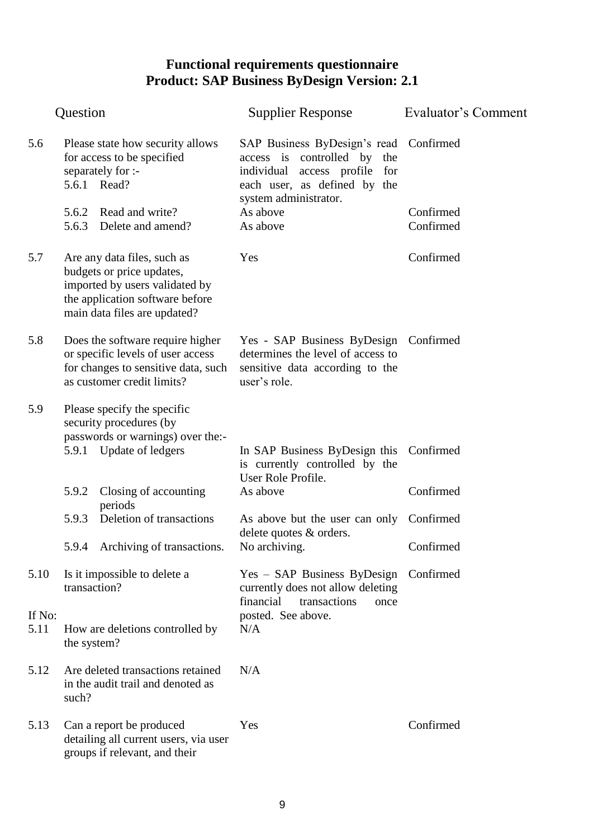|                | Question                                                                                           |                                                                                                                                                               | <b>Supplier Response</b>                                                                                                               | Evaluator's Comment |
|----------------|----------------------------------------------------------------------------------------------------|---------------------------------------------------------------------------------------------------------------------------------------------------------------|----------------------------------------------------------------------------------------------------------------------------------------|---------------------|
| 5.6            | Please state how security allows<br>for access to be specified<br>separately for :-<br>5.6.1 Read? |                                                                                                                                                               | SAP Business ByDesign's read Confirmed<br>access is controlled by the<br>individual access profile for<br>each user, as defined by the |                     |
|                |                                                                                                    | 5.6.2 Read and write?                                                                                                                                         | system administrator.<br>As above                                                                                                      | Confirmed           |
|                |                                                                                                    | 5.6.3 Delete and amend?                                                                                                                                       | As above                                                                                                                               | Confirmed           |
| 5.7            |                                                                                                    | Are any data files, such as<br>budgets or price updates,<br>imported by users validated by<br>the application software before<br>main data files are updated? | Yes                                                                                                                                    | Confirmed           |
| 5.8            |                                                                                                    | Does the software require higher<br>or specific levels of user access<br>for changes to sensitive data, such<br>as customer credit limits?                    | Yes - SAP Business ByDesign Confirmed<br>determines the level of access to<br>sensitive data according to the<br>user's role.          |                     |
| 5.9            |                                                                                                    | Please specify the specific<br>security procedures (by<br>passwords or warnings) over the:-                                                                   |                                                                                                                                        |                     |
|                |                                                                                                    | 5.9.1 Update of ledgers                                                                                                                                       | In SAP Business ByDesign this Confirmed<br>is currently controlled by the<br>User Role Profile.                                        |                     |
|                | 5.9.2                                                                                              | Closing of accounting<br>periods                                                                                                                              | As above                                                                                                                               | Confirmed           |
|                | 5.9.3                                                                                              | Deletion of transactions                                                                                                                                      | As above but the user can only Confirmed<br>delete quotes & orders.                                                                    |                     |
|                |                                                                                                    | 5.9.4 Archiving of transactions. No archiving.                                                                                                                |                                                                                                                                        | Confirmed           |
| 5.10           | transaction?                                                                                       | Is it impossible to delete a                                                                                                                                  | Yes - SAP Business ByDesign Confirmed<br>currently does not allow deleting<br>financial<br>transactions<br>once                        |                     |
| If No:<br>5.11 | the system?                                                                                        | How are deletions controlled by                                                                                                                               | posted. See above.<br>N/A                                                                                                              |                     |
| 5.12           | such?                                                                                              | Are deleted transactions retained<br>in the audit trail and denoted as                                                                                        | N/A                                                                                                                                    |                     |
| 5.13           |                                                                                                    | Can a report be produced<br>detailing all current users, via user<br>groups if relevant, and their                                                            | Yes                                                                                                                                    | Confirmed           |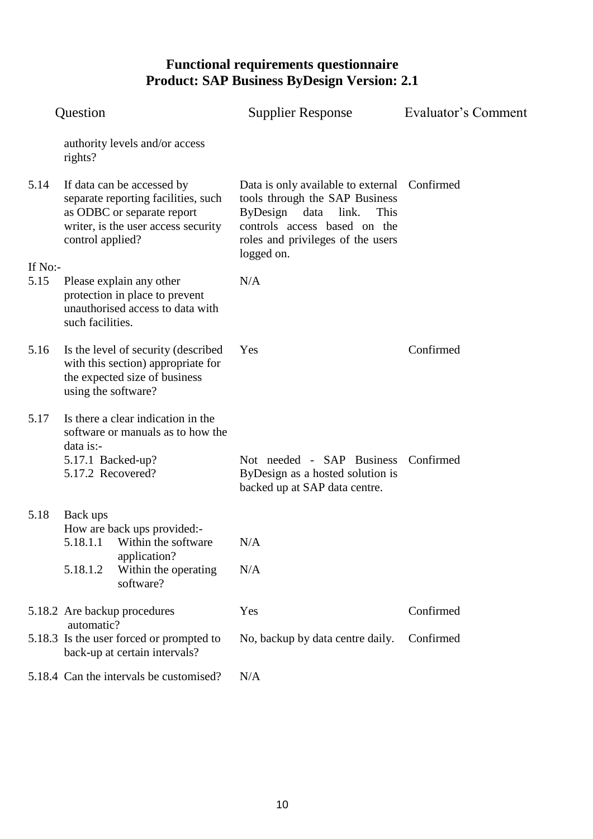|         | Question                                                                  |                                                                                                                                        | <b>Supplier Response</b>                                                                                                                                                                               | Evaluator's Comment |
|---------|---------------------------------------------------------------------------|----------------------------------------------------------------------------------------------------------------------------------------|--------------------------------------------------------------------------------------------------------------------------------------------------------------------------------------------------------|---------------------|
|         | rights?                                                                   | authority levels and/or access                                                                                                         |                                                                                                                                                                                                        |                     |
| 5.14    | control applied?                                                          | If data can be accessed by<br>separate reporting facilities, such<br>as ODBC or separate report<br>writer, is the user access security | Data is only available to external Confirmed<br>tools through the SAP Business<br>ByDesign<br>data<br>link.<br>This<br>controls access based on the<br>roles and privileges of the users<br>logged on. |                     |
| If No:- |                                                                           |                                                                                                                                        |                                                                                                                                                                                                        |                     |
| 5.15    | such facilities.                                                          | Please explain any other<br>protection in place to prevent<br>unauthorised access to data with                                         | N/A                                                                                                                                                                                                    |                     |
| 5.16    | using the software?                                                       | Is the level of security (described<br>with this section) appropriate for<br>the expected size of business                             | Yes                                                                                                                                                                                                    | Confirmed           |
| 5.17    | data is:-                                                                 | Is there a clear indication in the<br>software or manuals as to how the                                                                |                                                                                                                                                                                                        |                     |
|         | 5.17.1 Backed-up?<br>5.17.2 Recovered?                                    |                                                                                                                                        | Not needed - SAP Business Confirmed<br>ByDesign as a hosted solution is<br>backed up at SAP data centre.                                                                                               |                     |
| 5.18    | Back ups                                                                  | How are back ups provided:-                                                                                                            |                                                                                                                                                                                                        |                     |
|         |                                                                           | 5.18.1.1 Within the software                                                                                                           | N/A                                                                                                                                                                                                    |                     |
|         | 5.18.1.2                                                                  | application?<br>Within the operating<br>software?                                                                                      | N/A                                                                                                                                                                                                    |                     |
|         | automatic?                                                                | 5.18.2 Are backup procedures                                                                                                           | Yes                                                                                                                                                                                                    | Confirmed           |
|         | 5.18.3 Is the user forced or prompted to<br>back-up at certain intervals? |                                                                                                                                        | No, backup by data centre daily.                                                                                                                                                                       | Confirmed           |
|         |                                                                           | 5.18.4 Can the intervals be customised?                                                                                                | N/A                                                                                                                                                                                                    |                     |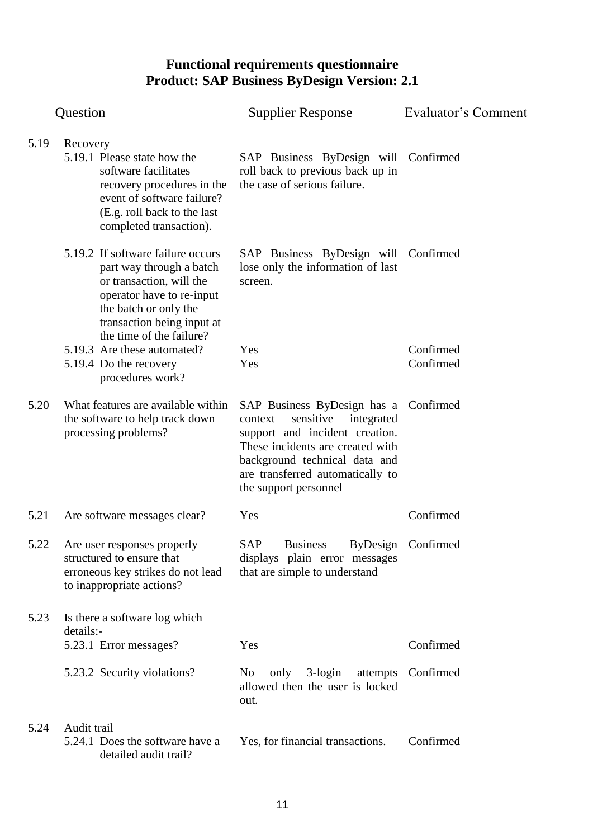|      | Question                                                                                                                                                                                                  | <b>Supplier Response</b>                                                                                                                                                                                                                        | Evaluator's Comment    |
|------|-----------------------------------------------------------------------------------------------------------------------------------------------------------------------------------------------------------|-------------------------------------------------------------------------------------------------------------------------------------------------------------------------------------------------------------------------------------------------|------------------------|
| 5.19 | Recovery<br>5.19.1 Please state how the<br>software facilitates<br>recovery procedures in the<br>event of software failure?<br>(E.g. roll back to the last<br>completed transaction).                     | SAP Business ByDesign will Confirmed<br>roll back to previous back up in<br>the case of serious failure.                                                                                                                                        |                        |
|      | 5.19.2 If software failure occurs<br>part way through a batch<br>or transaction, will the<br>operator have to re-input<br>the batch or only the<br>transaction being input at<br>the time of the failure? | SAP Business ByDesign will Confirmed<br>lose only the information of last<br>screen.                                                                                                                                                            |                        |
|      | 5.19.3 Are these automated?<br>5.19.4 Do the recovery<br>procedures work?                                                                                                                                 | Yes<br>Yes                                                                                                                                                                                                                                      | Confirmed<br>Confirmed |
| 5.20 | What features are available within<br>the software to help track down<br>processing problems?                                                                                                             | SAP Business ByDesign has a Confirmed<br>sensitive<br>integrated<br>context<br>support and incident creation.<br>These incidents are created with<br>background technical data and<br>are transferred automatically to<br>the support personnel |                        |
| 5.21 | Are software messages clear?                                                                                                                                                                              | Yes                                                                                                                                                                                                                                             | Confirmed              |
| 5.22 | Are user responses properly<br>structured to ensure that<br>erroneous key strikes do not lead<br>to inappropriate actions?                                                                                | <b>SAP</b><br><b>Business</b><br>displays plain error messages<br>that are simple to understand                                                                                                                                                 | ByDesign Confirmed     |
| 5.23 | Is there a software log which<br>details:-                                                                                                                                                                |                                                                                                                                                                                                                                                 |                        |
|      | 5.23.1 Error messages?                                                                                                                                                                                    | Yes                                                                                                                                                                                                                                             | Confirmed              |
|      | 5.23.2 Security violations?                                                                                                                                                                               | $3$ -login<br>No<br>only<br>attempts<br>allowed then the user is locked<br>out.                                                                                                                                                                 | Confirmed              |
| 5.24 | Audit trail<br>5.24.1 Does the software have a<br>detailed audit trail?                                                                                                                                   | Yes, for financial transactions.                                                                                                                                                                                                                | Confirmed              |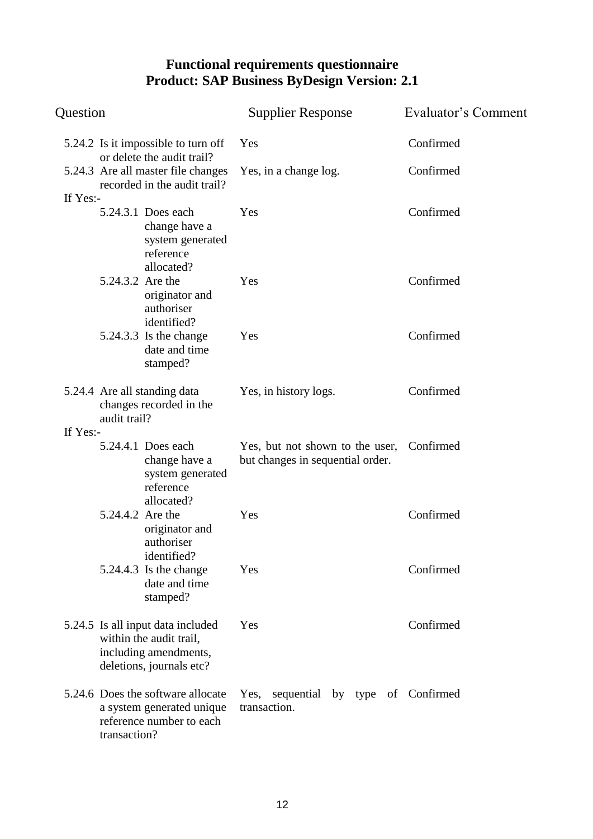| Question                                     |                                                                                                                   | <b>Supplier Response</b>                                            | <b>Evaluator's Comment</b> |
|----------------------------------------------|-------------------------------------------------------------------------------------------------------------------|---------------------------------------------------------------------|----------------------------|
|                                              | 5.24.2 Is it impossible to turn off<br>or delete the audit trail?                                                 | Yes                                                                 | Confirmed                  |
|                                              | 5.24.3 Are all master file changes<br>recorded in the audit trail?                                                | Yes, in a change log.                                               | Confirmed                  |
| If Yes:-                                     | 5.24.3.1 Does each<br>change have a<br>system generated<br>reference<br>allocated?                                | Yes                                                                 | Confirmed                  |
|                                              | 5.24.3.2 Are the<br>originator and<br>authoriser<br>identified?                                                   | Yes                                                                 | Confirmed                  |
|                                              | 5.24.3.3 Is the change<br>date and time<br>stamped?                                                               | Yes                                                                 | Confirmed                  |
| 5.24.4 Are all standing data<br>audit trail? | changes recorded in the                                                                                           | Yes, in history logs.                                               | Confirmed                  |
| If Yes:-                                     | 5.24.4.1 Does each<br>change have a<br>system generated<br>reference<br>allocated?                                | Yes, but not shown to the user,<br>but changes in sequential order. | Confirmed                  |
|                                              | 5.24.4.2 Are the<br>originator and<br>authoriser<br>identified?                                                   | Yes                                                                 | Confirmed                  |
|                                              | $5.24.4.3$ Is the change<br>date and time<br>stamped?                                                             | Yes                                                                 | Confirmed                  |
|                                              | 5.24.5 Is all input data included<br>within the audit trail,<br>including amendments,<br>deletions, journals etc? | Yes                                                                 | Confirmed                  |
| transaction?                                 | 5.24.6 Does the software allocate<br>a system generated unique<br>reference number to each                        | Yes, sequential by type of Confirmed<br>transaction.                |                            |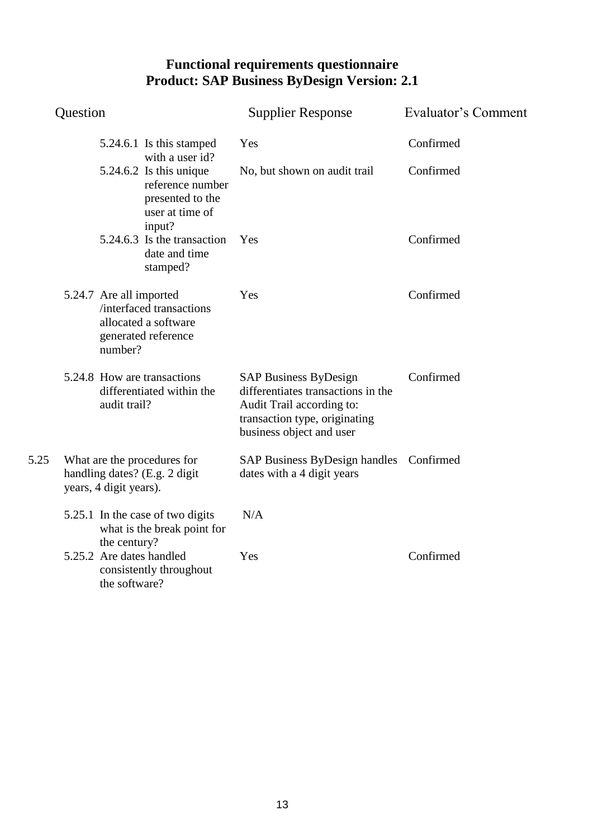| Question |                                                                                                               | <b>Supplier Response</b>                                                                                                                                     | Evaluator's Comment |
|----------|---------------------------------------------------------------------------------------------------------------|--------------------------------------------------------------------------------------------------------------------------------------------------------------|---------------------|
|          | 5.24.6.1 Is this stamped<br>with a user id?                                                                   | Yes                                                                                                                                                          | Confirmed           |
|          | $5.24.6.2$ Is this unique<br>reference number<br>presented to the<br>user at time of<br>input?                | No, but shown on audit trail                                                                                                                                 | Confirmed           |
|          | 5.24.6.3 Is the transaction<br>date and time<br>stamped?                                                      | Yes                                                                                                                                                          | Confirmed           |
|          | 5.24.7 Are all imported<br>/interfaced transactions<br>allocated a software<br>generated reference<br>number? | Yes                                                                                                                                                          | Confirmed           |
|          | 5.24.8 How are transactions<br>differentiated within the<br>audit trail?                                      | <b>SAP Business ByDesign</b><br>differentiates transactions in the<br>Audit Trail according to:<br>transaction type, originating<br>business object and user | Confirmed           |
| 5.25     | What are the procedures for<br>handling dates? (E.g. 2 digit<br>years, 4 digit years).                        | SAP Business ByDesign handles Confirmed<br>dates with a 4 digit years                                                                                        |                     |
|          | 5.25.1 In the case of two digits<br>what is the break point for<br>the century?                               | N/A                                                                                                                                                          |                     |
|          | 5.25.2 Are dates handled<br>consistently throughout<br>the software?                                          | Yes                                                                                                                                                          | Confirmed           |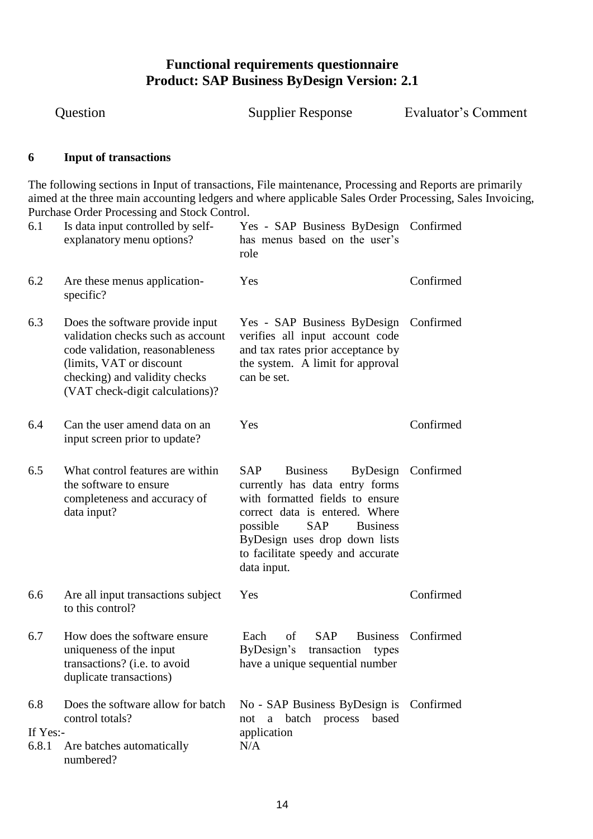Question Supplier Response Evaluator"s Comment

#### <span id="page-13-0"></span>**6 Input of transactions**

The following sections in Input of transactions, File maintenance, Processing and Reports are primarily aimed at the three main accounting ledgers and where applicable Sales Order Processing, Sales Invoicing, Purchase Order Processing and Stock Control.

| 6.1                      | Is data input controlled by self-<br>explanatory menu options?                                                                                                                                           | Yes - SAP Business ByDesign Confirmed<br>has menus based on the user's<br>role                                                                                                                                                                                              |           |
|--------------------------|----------------------------------------------------------------------------------------------------------------------------------------------------------------------------------------------------------|-----------------------------------------------------------------------------------------------------------------------------------------------------------------------------------------------------------------------------------------------------------------------------|-----------|
| 6.2                      | Are these menus application-<br>specific?                                                                                                                                                                | Yes                                                                                                                                                                                                                                                                         | Confirmed |
| 6.3                      | Does the software provide input<br>validation checks such as account<br>code validation, reasonableness<br>(limits, VAT or discount)<br>checking) and validity checks<br>(VAT check-digit calculations)? | Yes - SAP Business ByDesign Confirmed<br>verifies all input account code<br>and tax rates prior acceptance by<br>the system. A limit for approval<br>can be set.                                                                                                            |           |
| 6.4                      | Can the user amend data on an<br>input screen prior to update?                                                                                                                                           | Yes                                                                                                                                                                                                                                                                         | Confirmed |
| 6.5                      | What control features are within<br>the software to ensure<br>completeness and accuracy of<br>data input?                                                                                                | SAP<br><b>Business</b><br>ByDesign<br>currently has data entry forms<br>with formatted fields to ensure<br>correct data is entered. Where<br>possible<br><b>SAP</b><br><b>Business</b><br>ByDesign uses drop down lists<br>to facilitate speedy and accurate<br>data input. | Confirmed |
| 6.6                      | Are all input transactions subject<br>to this control?                                                                                                                                                   | Yes                                                                                                                                                                                                                                                                         | Confirmed |
| 6.7                      | How does the software ensure<br>uniqueness of the input<br>transactions? (i.e. to avoid<br>duplicate transactions)                                                                                       | <b>SAP</b><br><b>Business</b><br>Each<br>of<br>ByDesign's<br>transaction<br>types<br>have a unique sequential number                                                                                                                                                        | Confirmed |
| 6.8<br>If Yes:-<br>6.8.1 | Does the software allow for batch<br>control totals?<br>Are batches automatically<br>numbered?                                                                                                           | No - SAP Business ByDesign is Confirmed<br>a batch process<br>based<br>not<br>application<br>N/A                                                                                                                                                                            |           |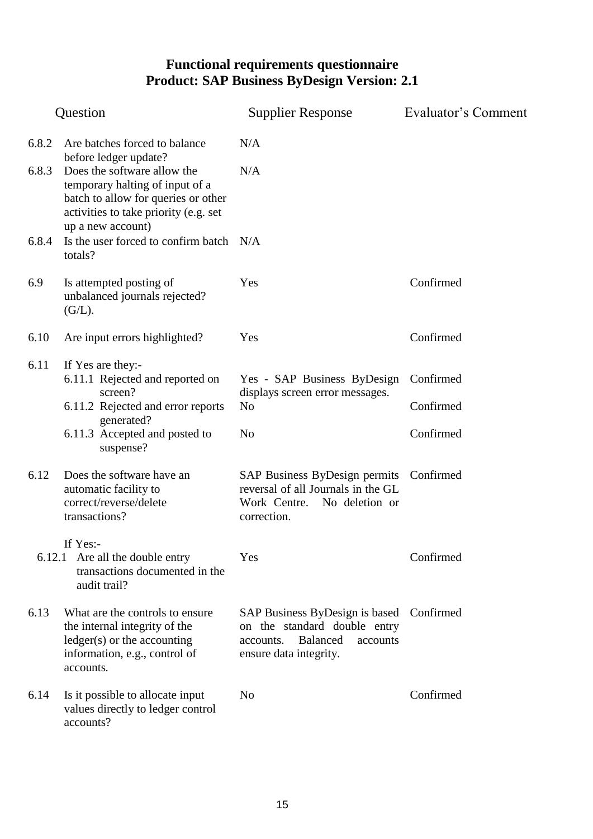|                | Question                                                                                                                                                                                                 | <b>Supplier Response</b>                                                                                                                       | Evaluator's Comment |
|----------------|----------------------------------------------------------------------------------------------------------------------------------------------------------------------------------------------------------|------------------------------------------------------------------------------------------------------------------------------------------------|---------------------|
| 6.8.2<br>6.8.3 | Are batches forced to balance<br>before ledger update?<br>Does the software allow the<br>temporary halting of input of a<br>batch to allow for queries or other<br>activities to take priority (e.g. set | N/A<br>N/A                                                                                                                                     |                     |
| 6.8.4          | up a new account)<br>Is the user forced to confirm batch N/A<br>totals?                                                                                                                                  |                                                                                                                                                |                     |
| 6.9            | Is attempted posting of<br>unbalanced journals rejected?<br>(G/L).                                                                                                                                       | Yes                                                                                                                                            | Confirmed           |
| 6.10           | Are input errors highlighted?                                                                                                                                                                            | Yes                                                                                                                                            | Confirmed           |
| 6.11           | If Yes are they:-<br>6.11.1 Rejected and reported on<br>screen?                                                                                                                                          | Yes - SAP Business ByDesign                                                                                                                    | Confirmed           |
|                | 6.11.2 Rejected and error reports                                                                                                                                                                        | displays screen error messages.<br>N <sub>0</sub>                                                                                              | Confirmed           |
|                | generated?<br>6.11.3 Accepted and posted to<br>suspense?                                                                                                                                                 | N <sub>0</sub>                                                                                                                                 | Confirmed           |
| 6.12           | Does the software have an<br>automatic facility to<br>correct/reverse/delete<br>transactions?                                                                                                            | SAP Business ByDesign permits Confirmed<br>reversal of all Journals in the GL<br>Work Centre.<br>No deletion or<br>correction.                 |                     |
|                | If Yes:-<br>6.12.1 Are all the double entry<br>transactions documented in the<br>audit trail?                                                                                                            | Yes                                                                                                                                            | Confirmed           |
| 6.13           | What are the controls to ensure<br>the internal integrity of the<br>$ledge(s)$ or the accounting<br>information, e.g., control of<br>accounts.                                                           | SAP Business ByDesign is based Confirmed<br>on the standard double entry<br><b>Balanced</b><br>accounts<br>accounts.<br>ensure data integrity. |                     |
| 6.14           | Is it possible to allocate input<br>values directly to ledger control<br>accounts?                                                                                                                       | No                                                                                                                                             | Confirmed           |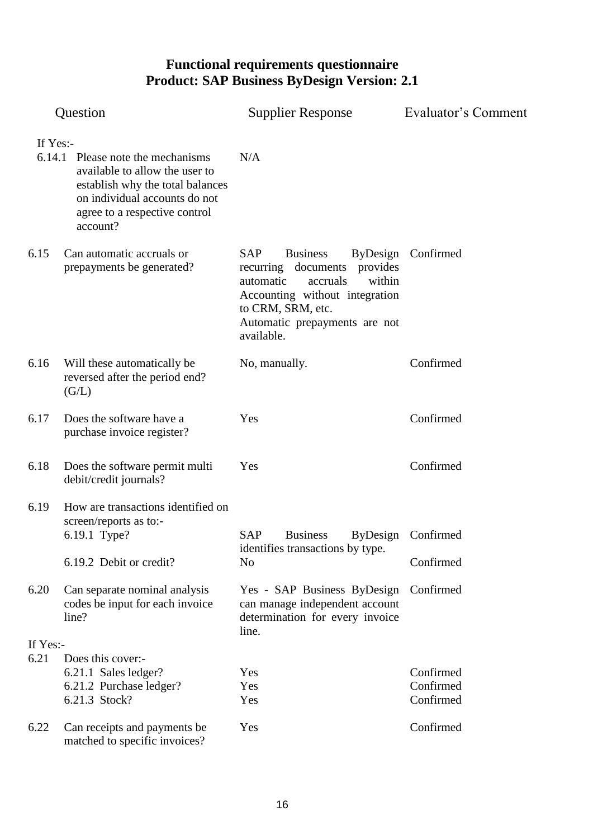|          | Question                                                                                                                                                                              | <b>Supplier Response</b>                                                                                                                                                                                  | Evaluator's Comment             |  |
|----------|---------------------------------------------------------------------------------------------------------------------------------------------------------------------------------------|-----------------------------------------------------------------------------------------------------------------------------------------------------------------------------------------------------------|---------------------------------|--|
| If Yes:- | 6.14.1 Please note the mechanisms<br>available to allow the user to<br>establish why the total balances<br>on individual accounts do not<br>agree to a respective control<br>account? | N/A                                                                                                                                                                                                       |                                 |  |
| 6.15     | Can automatic accruals or<br>prepayments be generated?                                                                                                                                | <b>SAP</b><br><b>Business</b><br>recurring documents<br>provides<br>automatic<br>accruals<br>within<br>Accounting without integration<br>to CRM, SRM, etc.<br>Automatic prepayments are not<br>available. | ByDesign Confirmed              |  |
| 6.16     | Will these automatically be<br>reversed after the period end?<br>(G/L)                                                                                                                | No, manually.                                                                                                                                                                                             | Confirmed                       |  |
| 6.17     | Does the software have a<br>purchase invoice register?                                                                                                                                | Yes                                                                                                                                                                                                       | Confirmed                       |  |
| 6.18     | Does the software permit multi<br>debit/credit journals?                                                                                                                              | Yes                                                                                                                                                                                                       | Confirmed                       |  |
| 6.19     | How are transactions identified on<br>screen/reports as to:-<br>6.19.1 Type?<br>6.19.2 Debit or credit?                                                                               | <b>SAP</b><br><b>Business</b><br>identifies transactions by type.<br>No                                                                                                                                   | ByDesign Confirmed<br>Confirmed |  |
| 6.20     | Can separate nominal analysis<br>codes be input for each invoice<br>line?                                                                                                             | Yes - SAP Business ByDesign<br>can manage independent account<br>determination for every invoice<br>line.                                                                                                 | Confirmed                       |  |
| If Yes:- |                                                                                                                                                                                       |                                                                                                                                                                                                           |                                 |  |
| 6.21     | Does this cover:-                                                                                                                                                                     |                                                                                                                                                                                                           |                                 |  |
|          | 6.21.1 Sales ledger?                                                                                                                                                                  | Yes                                                                                                                                                                                                       | Confirmed<br>Confirmed          |  |
|          | 6.21.2 Purchase ledger?<br>6.21.3 Stock?                                                                                                                                              | Yes<br>Yes                                                                                                                                                                                                | Confirmed                       |  |
| 6.22     | Can receipts and payments be<br>matched to specific invoices?                                                                                                                         | Yes                                                                                                                                                                                                       | Confirmed                       |  |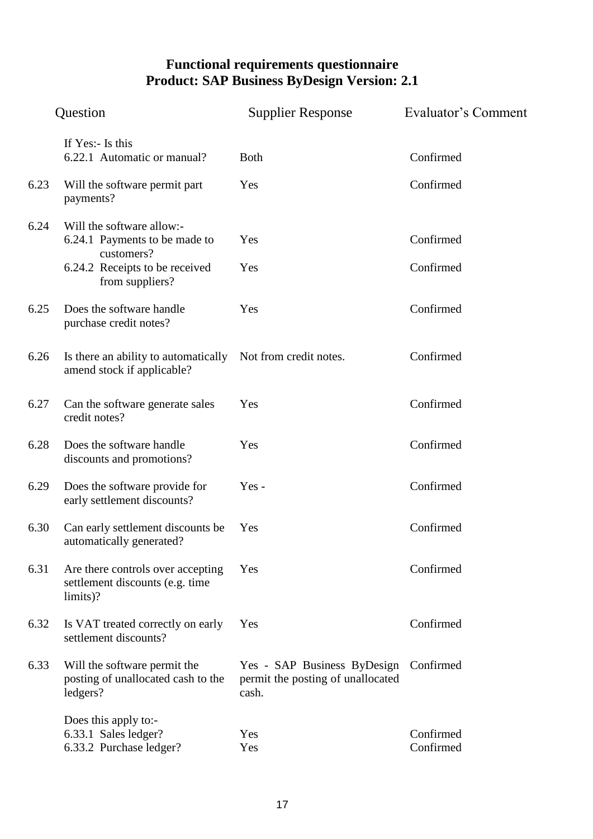|      | Question                                                                         | <b>Supplier Response</b>                                                  | Evaluator's Comment    |
|------|----------------------------------------------------------------------------------|---------------------------------------------------------------------------|------------------------|
|      | If Yes:- Is this<br>6.22.1 Automatic or manual?                                  | <b>Both</b>                                                               | Confirmed              |
| 6.23 | Will the software permit part<br>payments?                                       | Yes                                                                       | Confirmed              |
| 6.24 | Will the software allow:-<br>6.24.1 Payments to be made to<br>customers?         | Yes                                                                       | Confirmed              |
|      | 6.24.2 Receipts to be received<br>from suppliers?                                | Yes                                                                       | Confirmed              |
| 6.25 | Does the software handle<br>purchase credit notes?                               | Yes                                                                       | Confirmed              |
| 6.26 | Is there an ability to automatically<br>amend stock if applicable?               | Not from credit notes.                                                    | Confirmed              |
| 6.27 | Can the software generate sales<br>credit notes?                                 | Yes                                                                       | Confirmed              |
| 6.28 | Does the software handle<br>discounts and promotions?                            | Yes                                                                       | Confirmed              |
| 6.29 | Does the software provide for<br>early settlement discounts?                     | $Yes -$                                                                   | Confirmed              |
| 6.30 | Can early settlement discounts be<br>automatically generated?                    | Yes                                                                       | Confirmed              |
| 6.31 | Are there controls over accepting<br>settlement discounts (e.g. time<br>limits)? | Yes                                                                       | Confirmed              |
| 6.32 | Is VAT treated correctly on early<br>settlement discounts?                       | Yes                                                                       | Confirmed              |
| 6.33 | Will the software permit the<br>posting of unallocated cash to the<br>ledgers?   | Yes - SAP Business ByDesign<br>permit the posting of unallocated<br>cash. | Confirmed              |
|      | Does this apply to:-<br>6.33.1 Sales ledger?<br>6.33.2 Purchase ledger?          | Yes<br>Yes                                                                | Confirmed<br>Confirmed |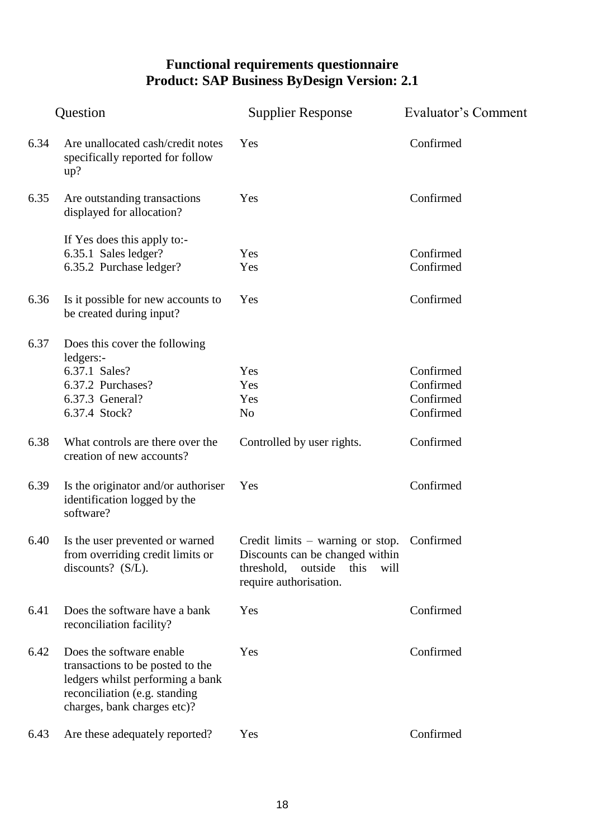|      | Question                                                                                                                                                         | <b>Supplier Response</b>                                                                                                               | Evaluator's Comment                              |  |
|------|------------------------------------------------------------------------------------------------------------------------------------------------------------------|----------------------------------------------------------------------------------------------------------------------------------------|--------------------------------------------------|--|
| 6.34 | Are unallocated cash/credit notes<br>specifically reported for follow<br>up?                                                                                     | Yes                                                                                                                                    | Confirmed                                        |  |
| 6.35 | Are outstanding transactions<br>displayed for allocation?                                                                                                        | Yes                                                                                                                                    | Confirmed                                        |  |
|      | If Yes does this apply to:-<br>6.35.1 Sales ledger?<br>6.35.2 Purchase ledger?                                                                                   | Yes<br>Yes                                                                                                                             | Confirmed<br>Confirmed                           |  |
| 6.36 | Is it possible for new accounts to<br>be created during input?                                                                                                   | Yes                                                                                                                                    | Confirmed                                        |  |
| 6.37 | Does this cover the following<br>ledgers:-<br>6.37.1 Sales?<br>6.37.2 Purchases?<br>6.37.3 General?<br>6.37.4 Stock?                                             | Yes<br>Yes<br>Yes<br>N <sub>o</sub>                                                                                                    | Confirmed<br>Confirmed<br>Confirmed<br>Confirmed |  |
| 6.38 | What controls are there over the<br>creation of new accounts?                                                                                                    | Controlled by user rights.                                                                                                             | Confirmed                                        |  |
| 6.39 | Is the originator and/or authoriser<br>identification logged by the<br>software?                                                                                 | Yes                                                                                                                                    | Confirmed                                        |  |
| 6.40 | Is the user prevented or warned<br>from overriding credit limits or<br>discounts? (S/L).                                                                         | Credit limits – warning or stop.<br>Discounts can be changed within<br>threshold,<br>outside<br>this<br>will<br>require authorisation. | Confirmed                                        |  |
| 6.41 | Does the software have a bank<br>reconciliation facility?                                                                                                        | Yes                                                                                                                                    | Confirmed                                        |  |
| 6.42 | Does the software enable<br>transactions to be posted to the<br>ledgers whilst performing a bank<br>reconciliation (e.g. standing<br>charges, bank charges etc)? | Yes                                                                                                                                    | Confirmed                                        |  |
| 6.43 | Are these adequately reported?                                                                                                                                   | Yes                                                                                                                                    | Confirmed                                        |  |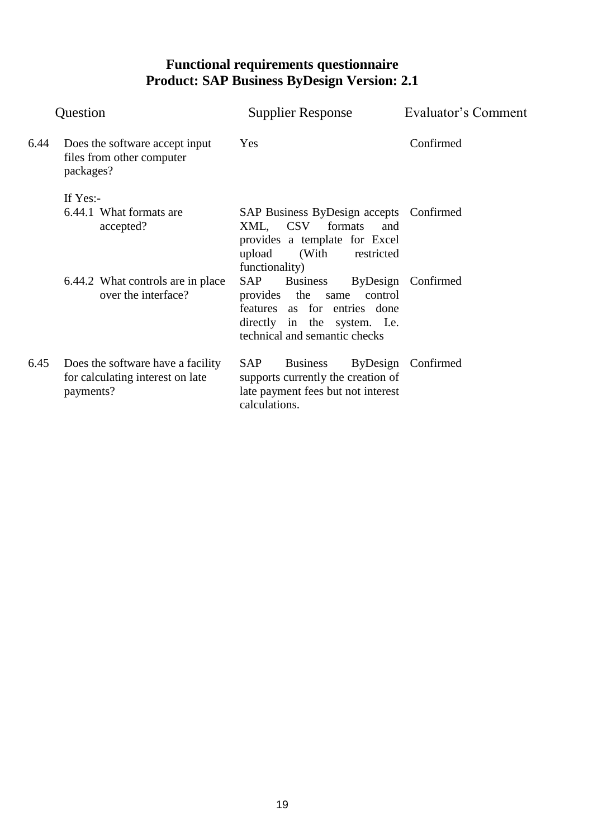| Question |                                                                                    | Supplier Response                                                                                                                                                 | Evaluator's Comment |
|----------|------------------------------------------------------------------------------------|-------------------------------------------------------------------------------------------------------------------------------------------------------------------|---------------------|
| 6.44     | Does the software accept input<br>files from other computer<br>packages?           | Yes                                                                                                                                                               | Confirmed           |
|          | If $Yes:$<br>6.44.1 What formats are<br>accepted?                                  | SAP Business ByDesign accepts Confirmed<br>XML, CSV<br>formats<br>and<br>provides a template for Excel<br>upload<br>(With restricted)<br>functionality)           |                     |
|          | 6.44.2 What controls are in place<br>over the interface?                           | <b>SAP</b><br><b>Business</b><br>provides the<br>same<br>control<br>features as for entries done<br>directly in the system. I.e.<br>technical and semantic checks | ByDesign Confirmed  |
| 6.45     | Does the software have a facility<br>for calculating interest on late<br>payments? | <b>Business</b><br><b>SAP</b><br>ByDesign<br>supports currently the creation of<br>late payment fees but not interest<br>calculations.                            | Confirmed           |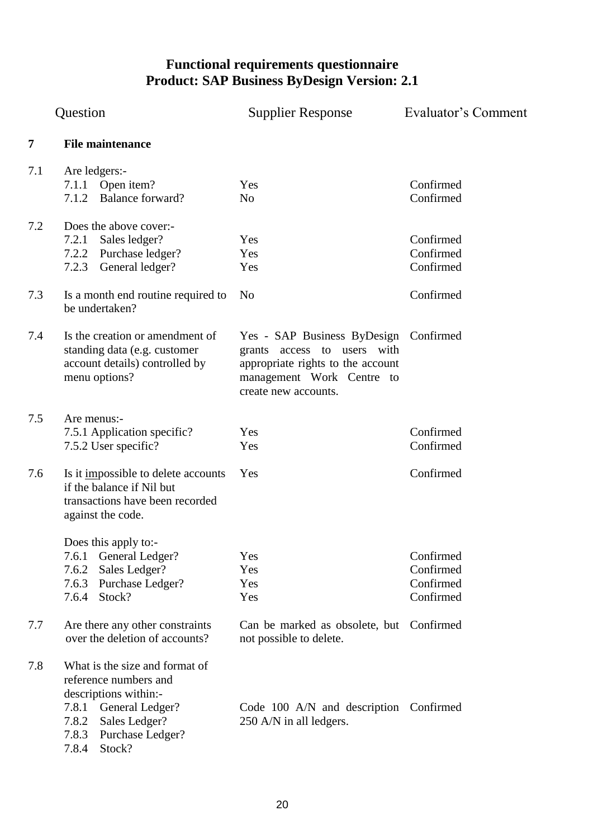<span id="page-19-0"></span>

|     | Question                                                                                                                                                                                                              | <b>Supplier Response</b>                                                                                                                                       | Evaluator's Comment                              |  |
|-----|-----------------------------------------------------------------------------------------------------------------------------------------------------------------------------------------------------------------------|----------------------------------------------------------------------------------------------------------------------------------------------------------------|--------------------------------------------------|--|
| 7   | <b>File maintenance</b>                                                                                                                                                                                               |                                                                                                                                                                |                                                  |  |
| 7.1 | Are ledgers:-<br>7.1.1 Open item?<br><b>Balance forward?</b><br>7.1.2                                                                                                                                                 | Yes<br>N <sub>o</sub>                                                                                                                                          | Confirmed<br>Confirmed                           |  |
| 7.2 | Does the above cover:-<br>7.2.1<br>Sales ledger?<br>7.2.2 Purchase ledger?<br>7.2.3<br>General ledger?                                                                                                                | Yes<br>Yes<br>Yes                                                                                                                                              | Confirmed<br>Confirmed<br>Confirmed              |  |
| 7.3 | Is a month end routine required to<br>be undertaken?                                                                                                                                                                  | N <sub>0</sub>                                                                                                                                                 | Confirmed                                        |  |
| 7.4 | Is the creation or amendment of<br>standing data (e.g. customer<br>account details) controlled by<br>menu options?                                                                                                    | Yes - SAP Business ByDesign Confirmed<br>grants access to users with<br>appropriate rights to the account<br>management Work Centre to<br>create new accounts. |                                                  |  |
| 7.5 | Are menus:-<br>7.5.1 Application specific?<br>7.5.2 User specific?                                                                                                                                                    | Yes<br>Yes                                                                                                                                                     | Confirmed<br>Confirmed                           |  |
| 7.6 | Is it impossible to delete accounts<br>if the balance if Nil but<br>transactions have been recorded<br>against the code.                                                                                              | Yes                                                                                                                                                            | Confirmed                                        |  |
| 7.7 | Does this apply to:-<br>7.6.1 General Ledger?<br>7.6.2<br>Sales Ledger?<br>7.6.3<br>Purchase Ledger?<br>7.6.4 Stock?<br>Are there any other constraints                                                               | Yes<br>Yes<br>Yes<br>Yes<br>Can be marked as obsolete, but Confirmed                                                                                           | Confirmed<br>Confirmed<br>Confirmed<br>Confirmed |  |
| 7.8 | over the deletion of accounts?<br>What is the size and format of<br>reference numbers and<br>descriptions within:-<br>7.8.1 General Ledger?<br>7.8.2<br>Sales Ledger?<br>7.8.3<br>Purchase Ledger?<br>7.8.4<br>Stock? | not possible to delete.<br>Code 100 A/N and description Confirmed<br>250 A/N in all ledgers.                                                                   |                                                  |  |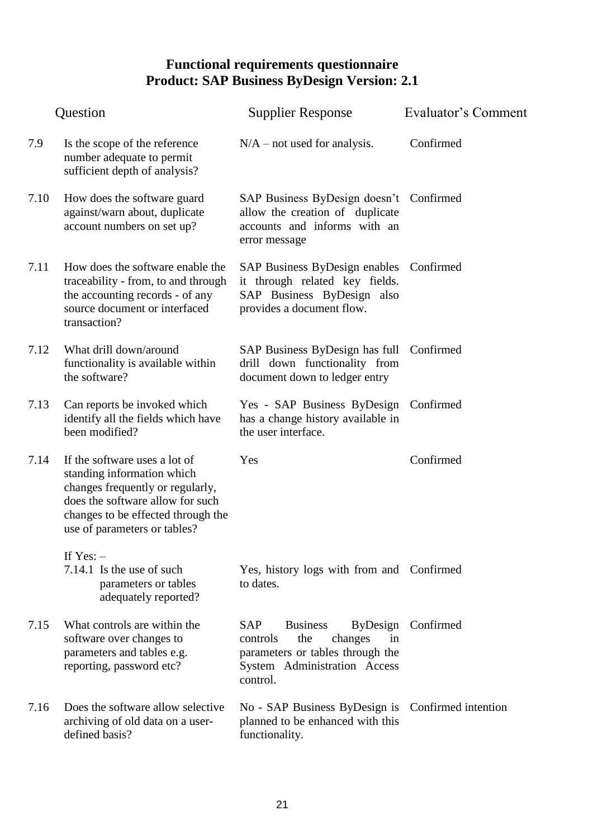|      | Question                                                                                                                                                                                                  | <b>Supplier Response</b>                                                                                                                   | Evaluator's Comment |
|------|-----------------------------------------------------------------------------------------------------------------------------------------------------------------------------------------------------------|--------------------------------------------------------------------------------------------------------------------------------------------|---------------------|
| 7.9  | Is the scope of the reference<br>number adequate to permit<br>sufficient depth of analysis?                                                                                                               | $N/A$ – not used for analysis.                                                                                                             | Confirmed           |
| 7.10 | How does the software guard<br>against/warn about, duplicate<br>account numbers on set up?                                                                                                                | SAP Business ByDesign doesn't Confirmed<br>allow the creation of duplicate<br>accounts and informs with an<br>error message                |                     |
| 7.11 | How does the software enable the<br>traceability - from, to and through<br>the accounting records - of any<br>source document or interfaced<br>transaction?                                               | SAP Business ByDesign enables Confirmed<br>it through related key fields.<br>SAP Business ByDesign also<br>provides a document flow.       |                     |
| 7.12 | What drill down/around<br>functionality is available within<br>the software?                                                                                                                              | SAP Business ByDesign has full Confirmed<br>drill down functionality from<br>document down to ledger entry                                 |                     |
| 7.13 | Can reports be invoked which<br>identify all the fields which have<br>been modified?                                                                                                                      | Yes - SAP Business ByDesign Confirmed<br>has a change history available in<br>the user interface.                                          |                     |
| 7.14 | If the software uses a lot of<br>standing information which<br>changes frequently or regularly,<br>does the software allow for such<br>changes to be effected through the<br>use of parameters or tables? | Yes                                                                                                                                        | Confirmed           |
|      | If $Yes: -$<br>7.14.1 Is the use of such<br>parameters or tables<br>adequately reported?                                                                                                                  | Yes, history logs with from and Confirmed<br>to dates.                                                                                     |                     |
| 7.15 | What controls are within the<br>software over changes to<br>parameters and tables e.g.<br>reporting, password etc?                                                                                        | SAP<br><b>Business</b><br>the<br>controls<br>changes<br>in<br>parameters or tables through the<br>System Administration Access<br>control. | ByDesign Confirmed  |
| 7.16 | Does the software allow selective<br>archiving of old data on a user-<br>defined basis?                                                                                                                   | No - SAP Business ByDesign is Confirmed intention<br>planned to be enhanced with this<br>functionality.                                    |                     |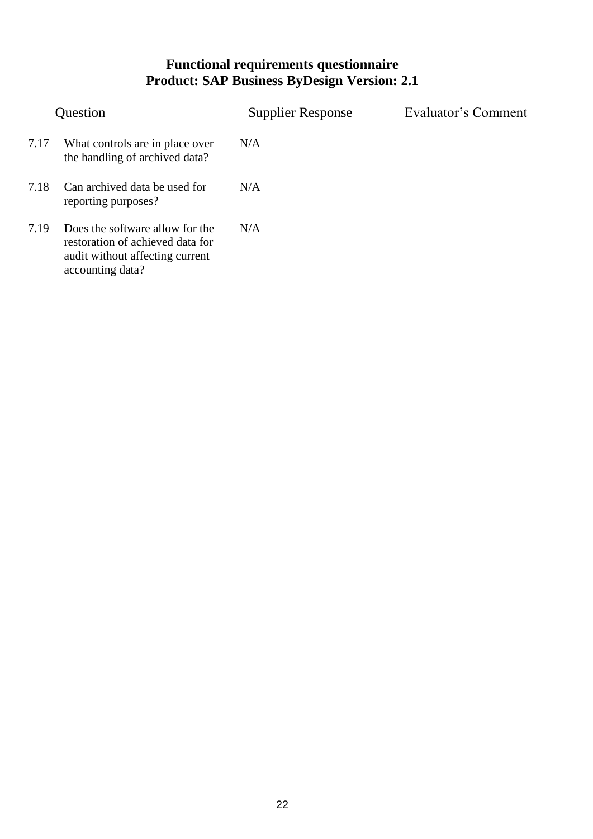|      | Question                                                                                                                   | <b>Supplier Response</b> | Evaluator's Comment |
|------|----------------------------------------------------------------------------------------------------------------------------|--------------------------|---------------------|
| 7.17 | What controls are in place over<br>the handling of archived data?                                                          | N/A                      |                     |
| 7.18 | Can archived data be used for<br>reporting purposes?                                                                       | N/A                      |                     |
| 7.19 | Does the software allow for the<br>restoration of achieved data for<br>audit without affecting current<br>accounting data? | N/A                      |                     |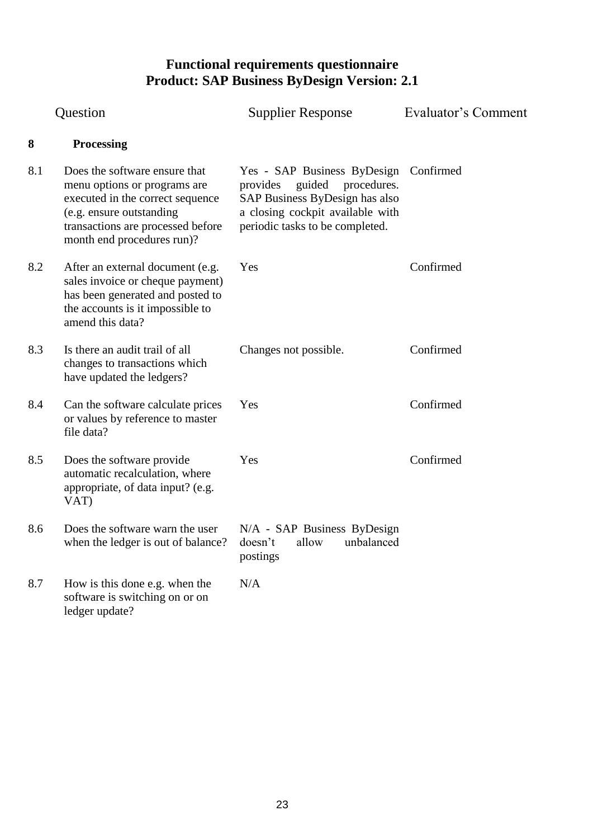<span id="page-22-0"></span>

|     | Question                                                                                                                                                                                         | <b>Supplier Response</b>                                                                                                                                                         | Evaluator's Comment |  |
|-----|--------------------------------------------------------------------------------------------------------------------------------------------------------------------------------------------------|----------------------------------------------------------------------------------------------------------------------------------------------------------------------------------|---------------------|--|
| 8   | <b>Processing</b>                                                                                                                                                                                |                                                                                                                                                                                  |                     |  |
| 8.1 | Does the software ensure that<br>menu options or programs are<br>executed in the correct sequence<br>(e.g. ensure outstanding<br>transactions are processed before<br>month end procedures run)? | Yes - SAP Business ByDesign Confirmed<br>guided procedures.<br>provides<br>SAP Business ByDesign has also<br>a closing cockpit available with<br>periodic tasks to be completed. |                     |  |
| 8.2 | After an external document (e.g.<br>sales invoice or cheque payment)<br>has been generated and posted to<br>the accounts is it impossible to<br>amend this data?                                 | Yes                                                                                                                                                                              | Confirmed           |  |
| 8.3 | Is there an audit trail of all<br>changes to transactions which<br>have updated the ledgers?                                                                                                     | Changes not possible.                                                                                                                                                            | Confirmed           |  |
| 8.4 | Can the software calculate prices<br>or values by reference to master<br>file data?                                                                                                              | Yes                                                                                                                                                                              | Confirmed           |  |
| 8.5 | Does the software provide<br>automatic recalculation, where<br>appropriate, of data input? (e.g.<br>VAT)                                                                                         | Yes                                                                                                                                                                              | Confirmed           |  |
| 8.6 | Does the software warn the user<br>when the ledger is out of balance?                                                                                                                            | N/A - SAP Business ByDesign<br>doesn't allow unbalanced<br>postings                                                                                                              |                     |  |
| 8.7 | How is this done e.g. when the<br>software is switching on or on<br>ledger update?                                                                                                               | N/A                                                                                                                                                                              |                     |  |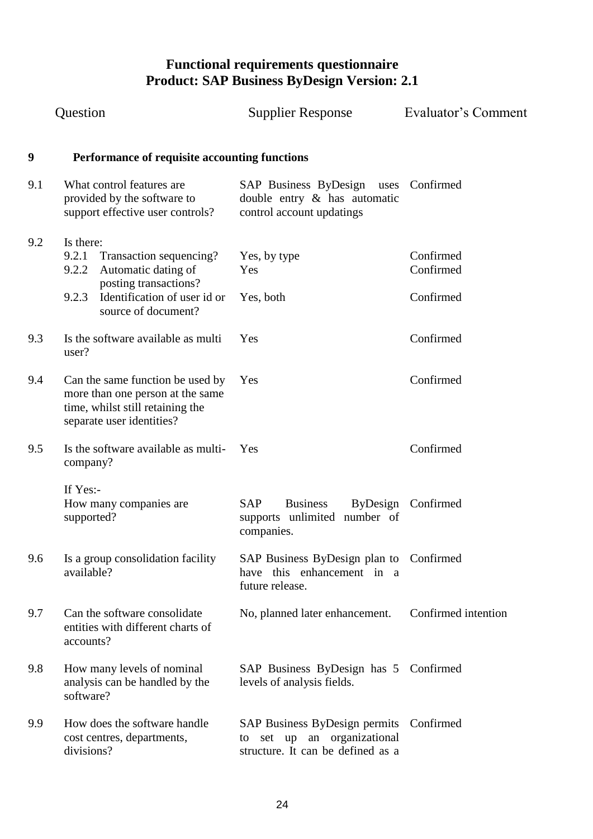<span id="page-23-0"></span>

|     | Question                                                                                                                                                               | <b>Supplier Response</b>                                                                                | Evaluator's Comment                 |
|-----|------------------------------------------------------------------------------------------------------------------------------------------------------------------------|---------------------------------------------------------------------------------------------------------|-------------------------------------|
| 9   | Performance of requisite accounting functions                                                                                                                          |                                                                                                         |                                     |
| 9.1 | What control features are<br>provided by the software to<br>support effective user controls?                                                                           | SAP Business ByDesign uses Confirmed<br>double entry & has automatic<br>control account updatings       |                                     |
| 9.2 | Is there:<br>9.2.1<br>Transaction sequencing?<br>9.2.2<br>Automatic dating of<br>posting transactions?<br>Identification of user id or<br>9.2.3<br>source of document? | Yes, by type<br>Yes<br>Yes, both                                                                        | Confirmed<br>Confirmed<br>Confirmed |
| 9.3 | Is the software available as multi<br>user?                                                                                                                            | Yes                                                                                                     | Confirmed                           |
| 9.4 | Can the same function be used by<br>more than one person at the same<br>time, whilst still retaining the<br>separate user identities?                                  | Yes                                                                                                     | Confirmed                           |
| 9.5 | Is the software available as multi-<br>company?                                                                                                                        | Yes                                                                                                     | Confirmed                           |
|     | If Yes:-<br>How many companies are<br>supported?                                                                                                                       | <b>SAP</b><br><b>Business</b><br>supports unlimited number of<br>companies.                             | ByDesign Confirmed                  |
| 9.6 | Is a group consolidation facility<br>available?                                                                                                                        | SAP Business ByDesign plan to Confirmed<br>have this enhancement in a<br>future release.                |                                     |
| 9.7 | Can the software consolidate<br>entities with different charts of<br>accounts?                                                                                         | No, planned later enhancement.                                                                          | Confirmed intention                 |
| 9.8 | How many levels of nominal<br>analysis can be handled by the<br>software?                                                                                              | SAP Business ByDesign has 5 Confirmed<br>levels of analysis fields.                                     |                                     |
| 9.9 | How does the software handle<br>cost centres, departments,<br>divisions?                                                                                               | SAP Business ByDesign permits<br>an organizational<br>set up<br>to<br>structure. It can be defined as a | Confirmed                           |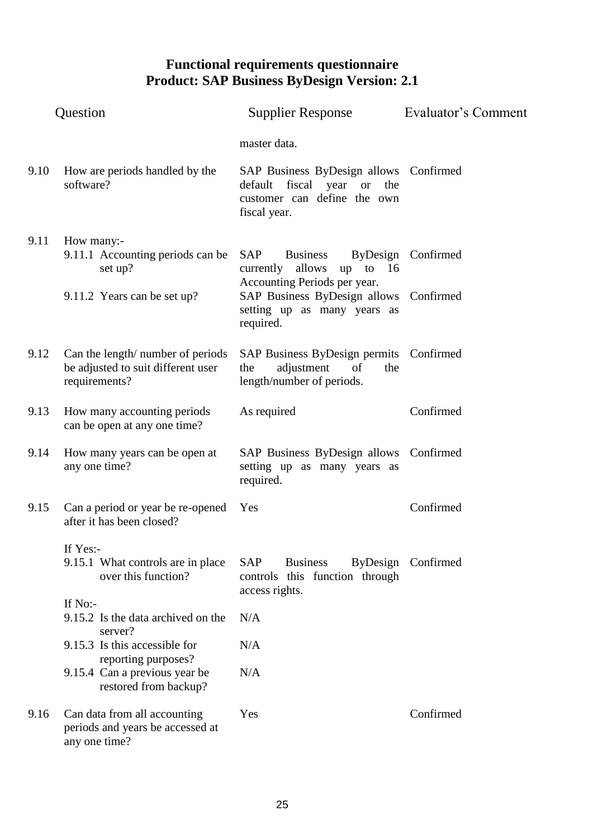| Question |                                                                                          | <b>Supplier Response</b>                                                                                               | Evaluator's Comment |  |
|----------|------------------------------------------------------------------------------------------|------------------------------------------------------------------------------------------------------------------------|---------------------|--|
|          |                                                                                          | master data.                                                                                                           |                     |  |
| 9.10     | How are periods handled by the<br>software?                                              | SAP Business ByDesign allows Confirmed<br>default fiscal year or<br>the<br>customer can define the own<br>fiscal year. |                     |  |
| 9.11     | How many:-<br>9.11.1 Accounting periods can be<br>set up?                                | SAP<br><b>Business</b><br>allows<br>up to $16$<br>currently<br>Accounting Periods per year.                            | ByDesign Confirmed  |  |
|          | 9.11.2 Years can be set up?                                                              | SAP Business ByDesign allows Confirmed<br>setting up as many years as<br>required.                                     |                     |  |
| 9.12     | Can the length/ number of periods<br>be adjusted to suit different user<br>requirements? | SAP Business ByDesign permits Confirmed<br>adjustment<br>the<br>of<br>the<br>length/number of periods.                 |                     |  |
| 9.13     | How many accounting periods<br>can be open at any one time?                              | As required                                                                                                            | Confirmed           |  |
| 9.14     | How many years can be open at<br>any one time?                                           | SAP Business ByDesign allows Confirmed<br>setting up as many years as<br>required.                                     |                     |  |
| 9.15     | Can a period or year be re-opened<br>after it has been closed?                           | Yes                                                                                                                    | Confirmed           |  |
|          | If Yes:-<br>9.15.1 What controls are in place<br>over this function?                     | SAP<br><b>Business</b><br>controls this function through<br>access rights.                                             | ByDesign Confirmed  |  |
|          | If No:-<br>9.15.2 Is the data archived on the                                            | N/A                                                                                                                    |                     |  |
|          | server?<br>9.15.3 Is this accessible for                                                 | N/A                                                                                                                    |                     |  |
|          | reporting purposes?<br>9.15.4 Can a previous year be<br>restored from backup?            | N/A                                                                                                                    |                     |  |
| 9.16     | Can data from all accounting<br>periods and years be accessed at<br>any one time?        | Yes                                                                                                                    | Confirmed           |  |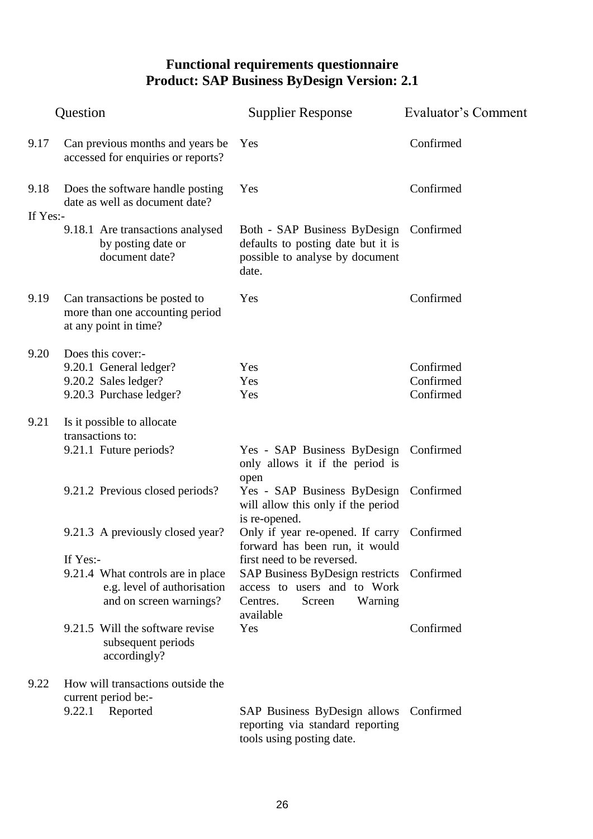|          | Question                                                                                                | <b>Supplier Response</b>                                                                                                                             | Evaluator's Comment                 |  |
|----------|---------------------------------------------------------------------------------------------------------|------------------------------------------------------------------------------------------------------------------------------------------------------|-------------------------------------|--|
| 9.17     | Can previous months and years be.<br>accessed for enquiries or reports?                                 | Yes                                                                                                                                                  | Confirmed                           |  |
| 9.18     | Does the software handle posting<br>date as well as document date?                                      | Yes                                                                                                                                                  | Confirmed                           |  |
| If Yes:- | 9.18.1 Are transactions analysed<br>by posting date or<br>document date?                                | Both - SAP Business ByDesign Confirmed<br>defaults to posting date but it is<br>possible to analyse by document<br>date.                             |                                     |  |
| 9.19     | Can transactions be posted to<br>more than one accounting period<br>at any point in time?               | Yes                                                                                                                                                  | Confirmed                           |  |
| 9.20     | Does this cover:-<br>9.20.1 General ledger?<br>9.20.2 Sales ledger?<br>9.20.3 Purchase ledger?          | Yes<br>Yes<br>Yes                                                                                                                                    | Confirmed<br>Confirmed<br>Confirmed |  |
| 9.21     | Is it possible to allocate<br>transactions to:                                                          |                                                                                                                                                      |                                     |  |
|          | 9.21.1 Future periods?                                                                                  | Yes - SAP Business ByDesign Confirmed<br>only allows it if the period is<br>open                                                                     |                                     |  |
|          | 9.21.2 Previous closed periods?                                                                         | Yes - SAP Business ByDesign Confirmed<br>will allow this only if the period<br>is re-opened.                                                         |                                     |  |
|          | 9.21.3 A previously closed year?                                                                        | Only if year re-opened. If carry Confirmed<br>forward has been run, it would                                                                         |                                     |  |
|          | If Yes:-<br>9.21.4 What controls are in place<br>e.g. level of authorisation<br>and on screen warnings? | first need to be reversed.<br>SAP Business ByDesign restricts Confirmed<br>access to users and to Work<br>Warning<br>Centres.<br>Screen<br>available |                                     |  |
|          | 9.21.5 Will the software revise<br>subsequent periods<br>accordingly?                                   | Yes                                                                                                                                                  | Confirmed                           |  |
| 9.22     | How will transactions outside the<br>current period be:-<br>9.22.1 Reported                             | SAP Business ByDesign allows                                                                                                                         | Confirmed                           |  |
|          |                                                                                                         | reporting via standard reporting<br>tools using posting date.                                                                                        |                                     |  |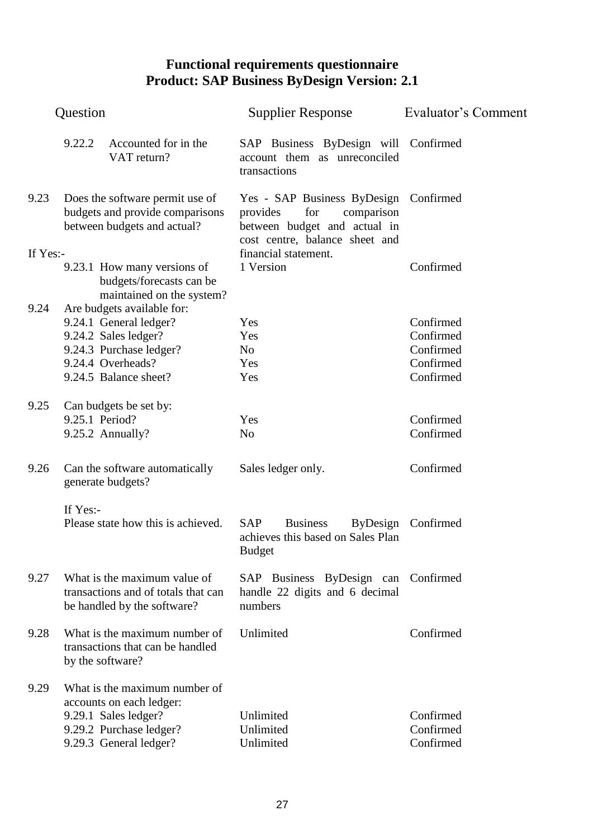|          | Question       |                                                                                                                                                       | <b>Supplier Response</b>                                                                                                                 | Evaluator's Comment                                           |  |
|----------|----------------|-------------------------------------------------------------------------------------------------------------------------------------------------------|------------------------------------------------------------------------------------------------------------------------------------------|---------------------------------------------------------------|--|
|          | 9.22.2         | Accounted for in the<br>VAT return?                                                                                                                   | SAP Business ByDesign will Confirmed<br>account them as unreconciled<br>transactions                                                     |                                                               |  |
| 9.23     |                | Does the software permit use of<br>budgets and provide comparisons<br>between budgets and actual?                                                     | Yes - SAP Business ByDesign Confirmed<br>for<br>provides<br>comparison<br>between budget and actual in<br>cost centre, balance sheet and |                                                               |  |
| If Yes:- |                | 9.23.1 How many versions of<br>budgets/forecasts can be<br>maintained on the system?                                                                  | financial statement.<br>1 Version                                                                                                        | Confirmed                                                     |  |
| 9.24     |                | Are budgets available for:<br>9.24.1 General ledger?<br>9.24.2 Sales ledger?<br>9.24.3 Purchase ledger?<br>9.24.4 Overheads?<br>9.24.5 Balance sheet? | Yes<br>Yes<br>N <sub>o</sub><br>Yes<br>Yes                                                                                               | Confirmed<br>Confirmed<br>Confirmed<br>Confirmed<br>Confirmed |  |
| 9.25     | 9.25.1 Period? | Can budgets be set by:<br>9.25.2 Annually?                                                                                                            | Yes<br>N <sub>o</sub>                                                                                                                    | Confirmed<br>Confirmed                                        |  |
| 9.26     |                | Can the software automatically<br>generate budgets?                                                                                                   | Sales ledger only.                                                                                                                       | Confirmed                                                     |  |
|          | If Yes:-       | Please state how this is achieved.                                                                                                                    | <b>SAP</b><br><b>Business</b><br><b>ByDesign</b><br>achieves this based on Sales Plan<br><b>Budget</b>                                   | Confirmed                                                     |  |
| 9.27     |                | What is the maximum value of<br>transactions and of totals that can<br>be handled by the software?                                                    | SAP Business ByDesign can Confirmed<br>handle 22 digits and 6 decimal<br>numbers                                                         |                                                               |  |
| 9.28     |                | What is the maximum number of<br>transactions that can be handled<br>by the software?                                                                 | Unlimited                                                                                                                                | Confirmed                                                     |  |
| 9.29     |                | What is the maximum number of<br>accounts on each ledger:<br>9.29.1 Sales ledger?<br>9.29.2 Purchase ledger?<br>9.29.3 General ledger?                | Unlimited<br>Unlimited<br>Unlimited                                                                                                      | Confirmed<br>Confirmed<br>Confirmed                           |  |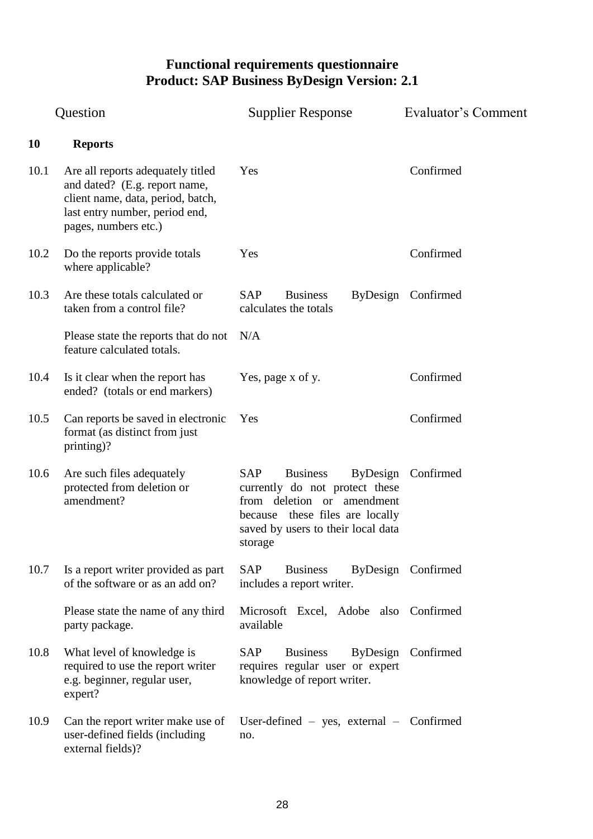|           | Question                                                                                                                                                          | <b>Supplier Response</b>                                                                                                                                                                      | Evaluator's Comment |
|-----------|-------------------------------------------------------------------------------------------------------------------------------------------------------------------|-----------------------------------------------------------------------------------------------------------------------------------------------------------------------------------------------|---------------------|
| <b>10</b> | <b>Reports</b>                                                                                                                                                    |                                                                                                                                                                                               |                     |
| 10.1      | Are all reports adequately titled<br>and dated? (E.g. report name,<br>client name, data, period, batch,<br>last entry number, period end,<br>pages, numbers etc.) | Yes                                                                                                                                                                                           | Confirmed           |
| 10.2      | Do the reports provide totals<br>where applicable?                                                                                                                | Yes                                                                                                                                                                                           | Confirmed           |
| 10.3      | Are these totals calculated or<br>taken from a control file?                                                                                                      | <b>SAP</b><br><b>Business</b><br>calculates the totals                                                                                                                                        | ByDesign Confirmed  |
|           | Please state the reports that do not<br>feature calculated totals.                                                                                                | N/A                                                                                                                                                                                           |                     |
| 10.4      | Is it clear when the report has<br>ended? (totals or end markers)                                                                                                 | Yes, page x of y.                                                                                                                                                                             | Confirmed           |
| 10.5      | Can reports be saved in electronic<br>format (as distinct from just<br>printing)?                                                                                 | Yes                                                                                                                                                                                           | Confirmed           |
| 10.6      | Are such files adequately<br>protected from deletion or<br>amendment?                                                                                             | SAP<br><b>Business</b><br><b>ByDesign</b><br>currently do not protect these<br>from deletion or amendment<br>because these files are locally<br>saved by users to their local data<br>storage | Confirmed           |
| 10.7      | Is a report writer provided as part<br>of the software or as an add on?                                                                                           | SAP<br><b>Business</b><br>includes a report writer.                                                                                                                                           | ByDesign Confirmed  |
|           | Please state the name of any third<br>party package.                                                                                                              | Microsoft Excel, Adobe also Confirmed<br>available                                                                                                                                            |                     |
| 10.8      | What level of knowledge is<br>required to use the report writer<br>e.g. beginner, regular user,<br>expert?                                                        | <b>ByDesign</b><br>SAP<br><b>Business</b><br>requires regular user or expert<br>knowledge of report writer.                                                                                   | Confirmed           |
| 10.9      | Can the report writer make use of<br>user-defined fields (including<br>external fields)?                                                                          | User-defined $-$ yes, external $-$ Confirmed<br>no.                                                                                                                                           |                     |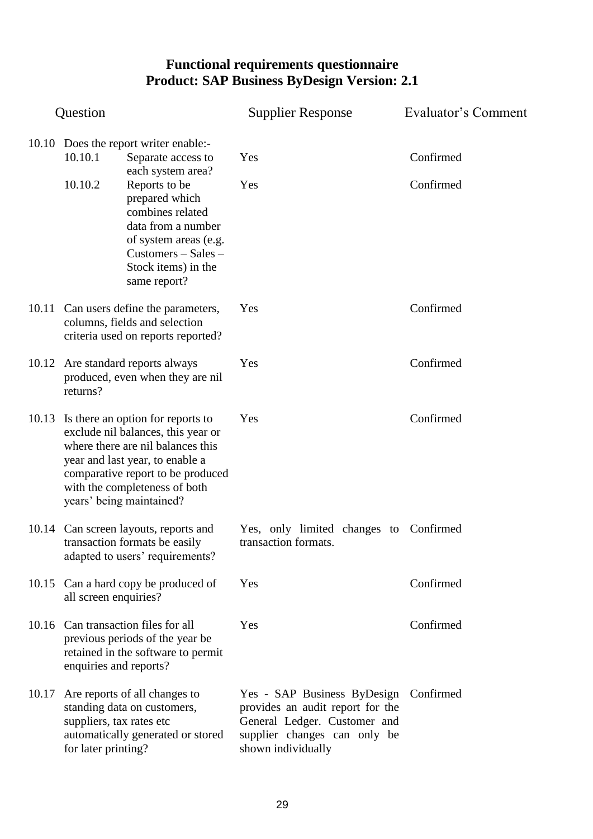|       | Question                                                                                                      |                                                                                                                                                                                                                                                        | <b>Supplier Response</b>                                                                                                                                        | Evaluator's Comment    |
|-------|---------------------------------------------------------------------------------------------------------------|--------------------------------------------------------------------------------------------------------------------------------------------------------------------------------------------------------------------------------------------------------|-----------------------------------------------------------------------------------------------------------------------------------------------------------------|------------------------|
|       | 10.10.1<br>10.10.2                                                                                            | 10.10 Does the report writer enable:-<br>Separate access to<br>each system area?<br>Reports to be<br>prepared which<br>combines related<br>data from a number<br>of system areas (e.g.<br>$Customers - Sales -$<br>Stock items) in the<br>same report? | Yes<br>Yes                                                                                                                                                      | Confirmed<br>Confirmed |
|       | 10.11 Can users define the parameters,<br>columns, fields and selection<br>criteria used on reports reported? |                                                                                                                                                                                                                                                        | Yes                                                                                                                                                             | Confirmed              |
|       | 10.12 Are standard reports always<br>produced, even when they are nil<br>returns?                             |                                                                                                                                                                                                                                                        | Yes                                                                                                                                                             | Confirmed              |
| 10.13 |                                                                                                               | Is there an option for reports to<br>exclude nil balances, this year or<br>where there are nil balances this<br>year and last year, to enable a<br>comparative report to be produced<br>with the completeness of both<br>years' being maintained?      | Yes                                                                                                                                                             | Confirmed              |
|       |                                                                                                               | 10.14 Can screen layouts, reports and<br>transaction formats be easily<br>adapted to users' requirements?                                                                                                                                              | Yes, only limited changes to Confirmed<br>transaction formats.                                                                                                  |                        |
|       | all screen enquiries?                                                                                         | 10.15 Can a hard copy be produced of                                                                                                                                                                                                                   | Yes                                                                                                                                                             | Confirmed              |
|       | enquiries and reports?                                                                                        | 10.16 Can transaction files for all<br>previous periods of the year be<br>retained in the software to permit                                                                                                                                           | Yes                                                                                                                                                             | Confirmed              |
| 10.17 | suppliers, tax rates etc<br>for later printing?                                                               | Are reports of all changes to<br>standing data on customers,<br>automatically generated or stored                                                                                                                                                      | Yes - SAP Business ByDesign Confirmed<br>provides an audit report for the<br>General Ledger. Customer and<br>supplier changes can only be<br>shown individually |                        |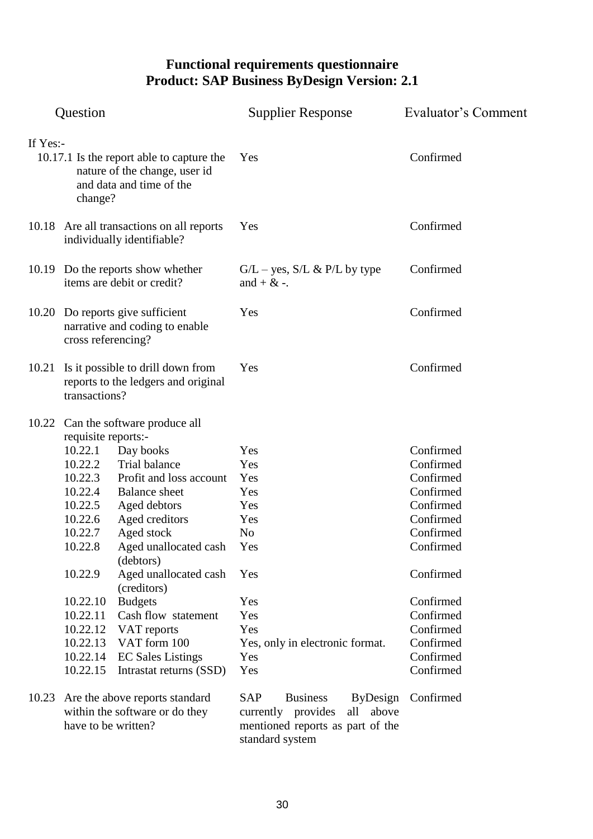| Question                                                                                                                      |                                                                                                                                                                                                |                                                                                                                                                                                                                                                                                                                                                                                  | <b>Supplier Response</b>                                                                                                            | Evaluator's Comment                                                                                                                                                                             |
|-------------------------------------------------------------------------------------------------------------------------------|------------------------------------------------------------------------------------------------------------------------------------------------------------------------------------------------|----------------------------------------------------------------------------------------------------------------------------------------------------------------------------------------------------------------------------------------------------------------------------------------------------------------------------------------------------------------------------------|-------------------------------------------------------------------------------------------------------------------------------------|-------------------------------------------------------------------------------------------------------------------------------------------------------------------------------------------------|
| If Yes:-<br>10.17.1 Is the report able to capture the<br>nature of the change, user id<br>and data and time of the<br>change? |                                                                                                                                                                                                |                                                                                                                                                                                                                                                                                                                                                                                  | Yes                                                                                                                                 | Confirmed                                                                                                                                                                                       |
|                                                                                                                               |                                                                                                                                                                                                | 10.18 Are all transactions on all reports<br>individually identifiable?                                                                                                                                                                                                                                                                                                          | Yes                                                                                                                                 | Confirmed                                                                                                                                                                                       |
|                                                                                                                               | 10.19 Do the reports show whether<br>items are debit or credit?                                                                                                                                |                                                                                                                                                                                                                                                                                                                                                                                  | $G/L - yes$ , $S/L & P/L$ by type<br>and $+ \&-$ .                                                                                  | Confirmed                                                                                                                                                                                       |
|                                                                                                                               | 10.20 Do reports give sufficient<br>narrative and coding to enable<br>cross referencing?                                                                                                       |                                                                                                                                                                                                                                                                                                                                                                                  | Yes                                                                                                                                 | Confirmed                                                                                                                                                                                       |
| 10.21                                                                                                                         | transactions?                                                                                                                                                                                  | Is it possible to drill down from<br>reports to the ledgers and original                                                                                                                                                                                                                                                                                                         | Yes                                                                                                                                 | Confirmed                                                                                                                                                                                       |
|                                                                                                                               | requisite reports:-<br>10.22.1<br>10.22.2<br>10.22.3<br>10.22.4<br>10.22.5<br>10.22.6<br>10.22.7<br>10.22.8<br>10.22.9<br>10.22.10<br>10.22.11<br>10.22.12<br>10.22.13<br>10.22.14<br>10.22.15 | 10.22 Can the software produce all<br>Day books<br>Trial balance<br>Profit and loss account<br><b>Balance</b> sheet<br>Aged debtors<br>Aged creditors<br>Aged stock<br>Aged unallocated cash<br>(debtors)<br>Aged unallocated cash<br>(creditors)<br><b>Budgets</b><br>Cash flow statement<br>VAT reports<br>VAT form 100<br><b>EC Sales Listings</b><br>Intrastat returns (SSD) | Yes<br>Yes<br>Yes<br>Yes<br>Yes<br>Yes<br>No<br>Yes<br>Yes<br>Yes<br>Yes<br>Yes<br>Yes, only in electronic format.<br>Yes<br>Yes    | Confirmed<br>Confirmed<br>Confirmed<br>Confirmed<br>Confirmed<br>Confirmed<br>Confirmed<br>Confirmed<br>Confirmed<br>Confirmed<br>Confirmed<br>Confirmed<br>Confirmed<br>Confirmed<br>Confirmed |
| 10.23                                                                                                                         | have to be written?                                                                                                                                                                            | Are the above reports standard<br>within the software or do they                                                                                                                                                                                                                                                                                                                 | <b>SAP</b><br><b>Business</b><br>ByDesign<br>currently provides<br>all above<br>mentioned reports as part of the<br>standard system | Confirmed                                                                                                                                                                                       |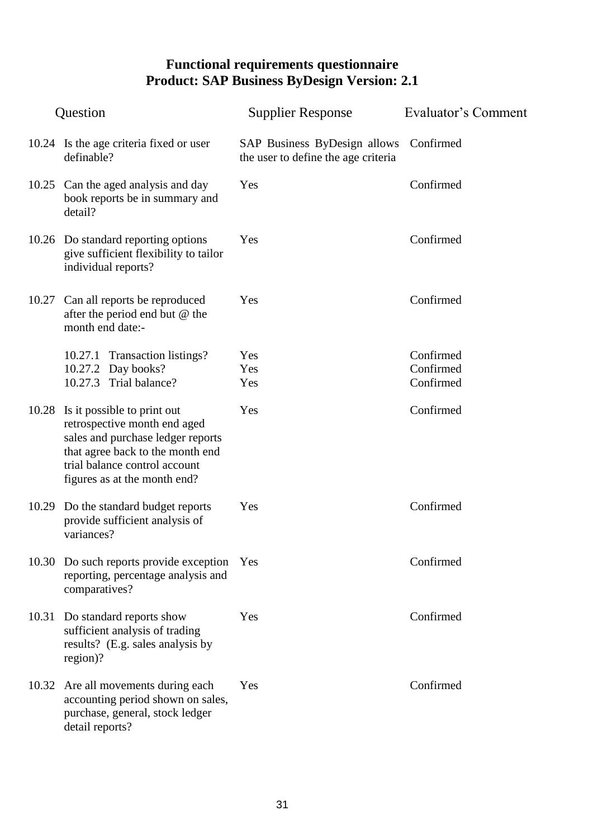| Question |                                                                                                                                                                                                       | <b>Supplier Response</b>                                            | Evaluator's Comment |  |
|----------|-------------------------------------------------------------------------------------------------------------------------------------------------------------------------------------------------------|---------------------------------------------------------------------|---------------------|--|
|          | 10.24 Is the age criteria fixed or user<br>definable?                                                                                                                                                 | SAP Business ByDesign allows<br>the user to define the age criteria | Confirmed           |  |
|          | 10.25 Can the aged analysis and day<br>book reports be in summary and<br>detail?                                                                                                                      | Yes                                                                 | Confirmed           |  |
|          | 10.26 Do standard reporting options<br>give sufficient flexibility to tailor<br>individual reports?                                                                                                   | Yes                                                                 | Confirmed           |  |
| 10.27    | Can all reports be reproduced<br>after the period end but @ the<br>month end date:-                                                                                                                   | Yes                                                                 | Confirmed           |  |
|          | <b>Transaction listings?</b><br>10.27.1                                                                                                                                                               | Yes                                                                 | Confirmed           |  |
|          | 10.27.2 Day books?                                                                                                                                                                                    | Yes                                                                 | Confirmed           |  |
|          | Trial balance?<br>10.27.3                                                                                                                                                                             | Yes                                                                 | Confirmed           |  |
| 10.28    | Is it possible to print out<br>retrospective month end aged<br>sales and purchase ledger reports<br>that agree back to the month end<br>trial balance control account<br>figures as at the month end? | Yes                                                                 | Confirmed           |  |
|          | 10.29 Do the standard budget reports<br>provide sufficient analysis of<br>variances?                                                                                                                  | Yes                                                                 | Confirmed           |  |
|          | 10.30 Do such reports provide exception<br>reporting, percentage analysis and<br>comparatives?                                                                                                        | Yes                                                                 | Confirmed           |  |
|          | 10.31 Do standard reports show<br>sufficient analysis of trading<br>results? (E.g. sales analysis by<br>region)?                                                                                      | Yes                                                                 | Confirmed           |  |
| 10.32    | Are all movements during each<br>accounting period shown on sales,<br>purchase, general, stock ledger<br>detail reports?                                                                              | Yes                                                                 | Confirmed           |  |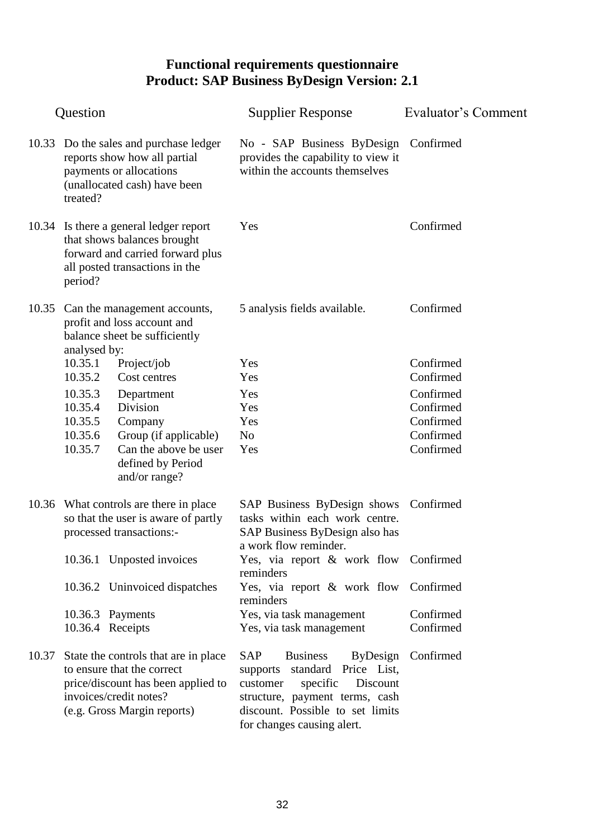| Question |                                                                                                                                                                   | <b>Supplier Response</b>                                                                                                                                                                                              | <b>Evaluator's Comment</b> |
|----------|-------------------------------------------------------------------------------------------------------------------------------------------------------------------|-----------------------------------------------------------------------------------------------------------------------------------------------------------------------------------------------------------------------|----------------------------|
| 10.33    | Do the sales and purchase ledger<br>reports show how all partial<br>payments or allocations<br>(unallocated cash) have been<br>treated?                           | No - SAP Business ByDesign Confirmed<br>provides the capability to view it<br>within the accounts themselves                                                                                                          |                            |
|          | 10.34 Is there a general ledger report<br>that shows balances brought<br>forward and carried forward plus<br>all posted transactions in the<br>period?            | Yes                                                                                                                                                                                                                   | Confirmed                  |
| 10.35    | Can the management accounts,<br>profit and loss account and<br>balance sheet be sufficiently<br>analysed by:                                                      | 5 analysis fields available.                                                                                                                                                                                          | Confirmed                  |
|          | 10.35.1<br>Project/job                                                                                                                                            | Yes                                                                                                                                                                                                                   | Confirmed                  |
|          | 10.35.2<br>Cost centres                                                                                                                                           | Yes                                                                                                                                                                                                                   | Confirmed                  |
|          | 10.35.3<br>Department                                                                                                                                             | Yes                                                                                                                                                                                                                   | Confirmed                  |
|          | 10.35.4<br>Division                                                                                                                                               | Yes                                                                                                                                                                                                                   | Confirmed                  |
|          | 10.35.5<br>Company                                                                                                                                                | Yes                                                                                                                                                                                                                   | Confirmed                  |
|          | 10.35.6<br>Group (if applicable)                                                                                                                                  | N <sub>o</sub>                                                                                                                                                                                                        | Confirmed                  |
|          | 10.35.7<br>Can the above be user<br>defined by Period<br>and/or range?                                                                                            | Yes                                                                                                                                                                                                                   | Confirmed                  |
|          | 10.36 What controls are there in place<br>so that the user is aware of partly<br>processed transactions:-                                                         | SAP Business ByDesign shows Confirmed<br>tasks within each work centre.<br>SAP Business ByDesign also has<br>a work flow reminder.                                                                                    |                            |
|          | 10.36.1 Unposted invoices                                                                                                                                         | Yes, via report & work flow Confirmed<br>reminders                                                                                                                                                                    |                            |
|          | 10.36.2 Uninvoiced dispatches                                                                                                                                     | Yes, via report & work flow Confirmed<br>reminders                                                                                                                                                                    |                            |
|          | 10.36.3 Payments                                                                                                                                                  | Yes, via task management                                                                                                                                                                                              | Confirmed                  |
|          | 10.36.4 Receipts                                                                                                                                                  | Yes, via task management                                                                                                                                                                                              | Confirmed                  |
| 10.37    | State the controls that are in place<br>to ensure that the correct<br>price/discount has been applied to<br>invoices/credit notes?<br>(e.g. Gross Margin reports) | SAP<br><b>Business</b><br><b>ByDesign</b><br>standard Price List,<br>supports<br>Discount<br>specific<br>customer<br>structure, payment terms, cash<br>discount. Possible to set limits<br>for changes causing alert. | Confirmed                  |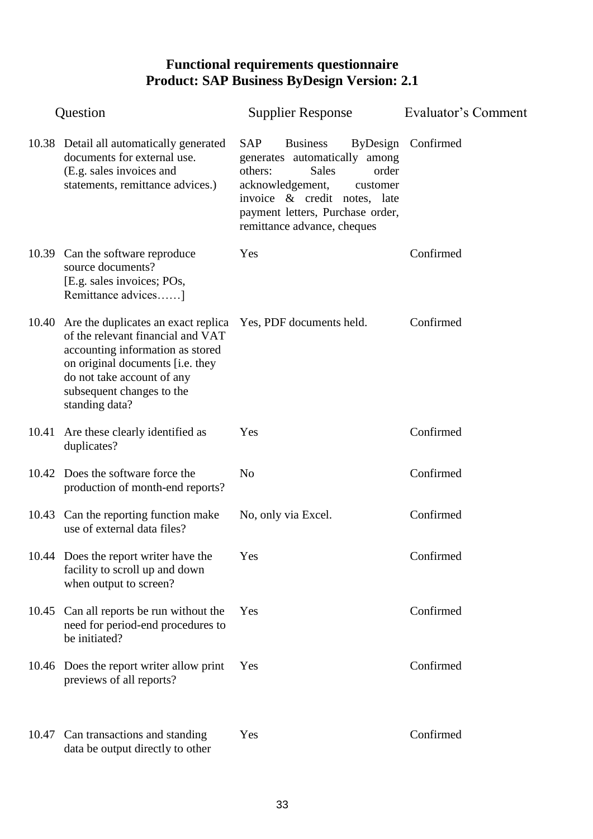| Question |                                                                                                                                                                                                                                     | <b>Supplier Response</b>                                                                                                                                                                                                              | <b>Evaluator's Comment</b> |
|----------|-------------------------------------------------------------------------------------------------------------------------------------------------------------------------------------------------------------------------------------|---------------------------------------------------------------------------------------------------------------------------------------------------------------------------------------------------------------------------------------|----------------------------|
|          | 10.38 Detail all automatically generated<br>documents for external use.<br>(E.g. sales invoices and<br>statements, remittance advices.)                                                                                             | <b>SAP</b><br><b>Business</b><br>generates automatically among<br><b>Sales</b><br>order<br>others:<br>acknowledgement,<br>customer<br>invoice & credit notes, late<br>payment letters, Purchase order,<br>remittance advance, cheques | ByDesign Confirmed         |
|          | 10.39 Can the software reproduce<br>source documents?<br>[E.g. sales invoices; POs,<br>Remittance advices]                                                                                                                          | Yes                                                                                                                                                                                                                                   | Confirmed                  |
|          | 10.40 Are the duplicates an exact replica<br>of the relevant financial and VAT<br>accounting information as stored<br>on original documents [i.e. they<br>do not take account of any<br>subsequent changes to the<br>standing data? | Yes, PDF documents held.                                                                                                                                                                                                              | Confirmed                  |
|          | 10.41 Are these clearly identified as<br>duplicates?                                                                                                                                                                                | Yes                                                                                                                                                                                                                                   | Confirmed                  |
|          | 10.42 Does the software force the<br>production of month-end reports?                                                                                                                                                               | N <sub>o</sub>                                                                                                                                                                                                                        | Confirmed                  |
|          | 10.43 Can the reporting function make<br>use of external data files?                                                                                                                                                                | No, only via Excel.                                                                                                                                                                                                                   | Confirmed                  |
|          | 10.44 Does the report writer have the<br>facility to scroll up and down<br>when output to screen?                                                                                                                                   | Yes                                                                                                                                                                                                                                   | Confirmed                  |
|          | 10.45 Can all reports be run without the<br>need for period-end procedures to<br>be initiated?                                                                                                                                      | Yes                                                                                                                                                                                                                                   | Confirmed                  |
|          | 10.46 Does the report writer allow print<br>previews of all reports?                                                                                                                                                                | Yes                                                                                                                                                                                                                                   | Confirmed                  |
| 10.47    | Can transactions and standing<br>data be output directly to other                                                                                                                                                                   | Yes                                                                                                                                                                                                                                   | Confirmed                  |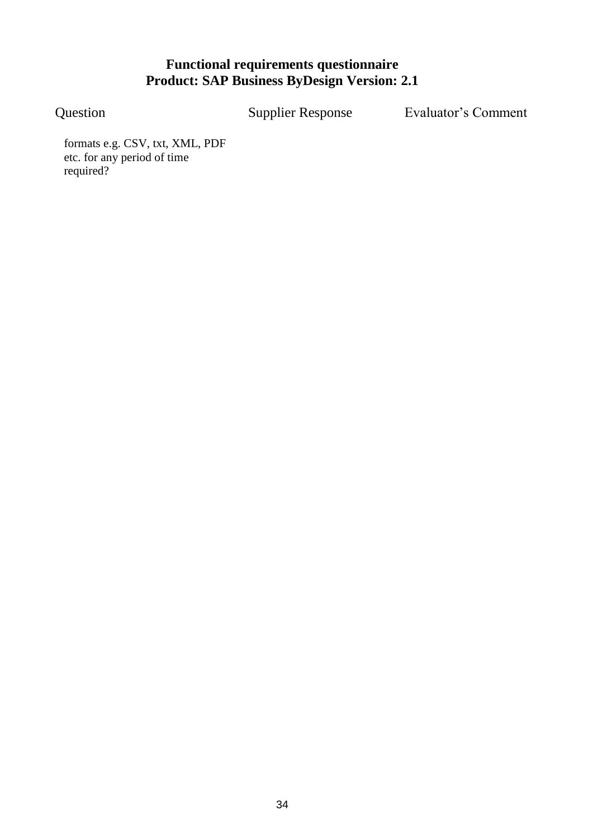Question Supplier Response Evaluator"s Comment

formats e.g. CSV, txt, XML, PDF etc. for any period of time required?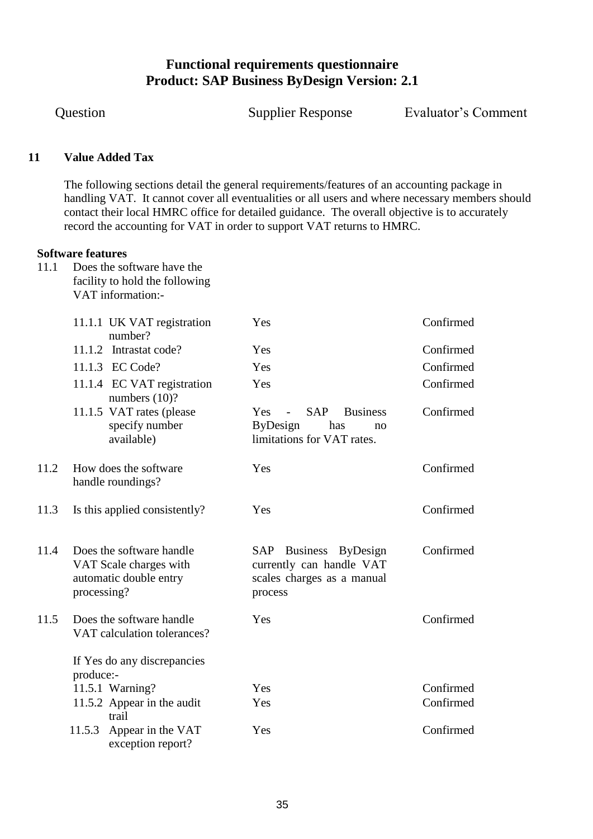Question Supplier Response Evaluator"s Comment

#### <span id="page-34-0"></span>**11 Value Added Tax**

The following sections detail the general requirements/features of an accounting package in handling VAT. It cannot cover all eventualities or all users and where necessary members should contact their local HMRC office for detailed guidance. The overall objective is to accurately record the accounting for VAT in order to support VAT returns to HMRC.

#### **Software features**

11.1 Does the software have the facility to hold the following VAT information:-

|      | 11.1.1 UK VAT registration<br>number?                                                       | Yes                                                                                                              | Confirmed |
|------|---------------------------------------------------------------------------------------------|------------------------------------------------------------------------------------------------------------------|-----------|
|      | 11.1.2 Intrastat code?                                                                      | Yes                                                                                                              | Confirmed |
|      | 11.1.3 EC Code?                                                                             | Yes                                                                                                              | Confirmed |
|      | 11.1.4 EC VAT registration<br>numbers $(10)$ ?                                              | Yes                                                                                                              | Confirmed |
|      | 11.1.5 VAT rates (please<br>specify number<br>available)                                    | <b>SAP</b><br>Yes<br><b>Business</b><br>$\sim$ $-$<br><b>ByDesign</b><br>has<br>no<br>limitations for VAT rates. | Confirmed |
| 11.2 | How does the software<br>handle roundings?                                                  | Yes                                                                                                              | Confirmed |
| 11.3 | Is this applied consistently?                                                               | Yes                                                                                                              | Confirmed |
| 11.4 | Does the software handle<br>VAT Scale charges with<br>automatic double entry<br>processing? | SAP Business ByDesign<br>currently can handle VAT<br>scales charges as a manual<br>process                       | Confirmed |
| 11.5 | Does the software handle<br>VAT calculation tolerances?                                     | Yes                                                                                                              | Confirmed |
|      | If Yes do any discrepancies<br>produce:-                                                    |                                                                                                                  |           |
|      | 11.5.1 Warning?                                                                             | Yes                                                                                                              | Confirmed |
|      | 11.5.2 Appear in the audit<br>trail                                                         | Yes                                                                                                              | Confirmed |
|      | Appear in the VAT<br>11.5.3<br>exception report?                                            | Yes                                                                                                              | Confirmed |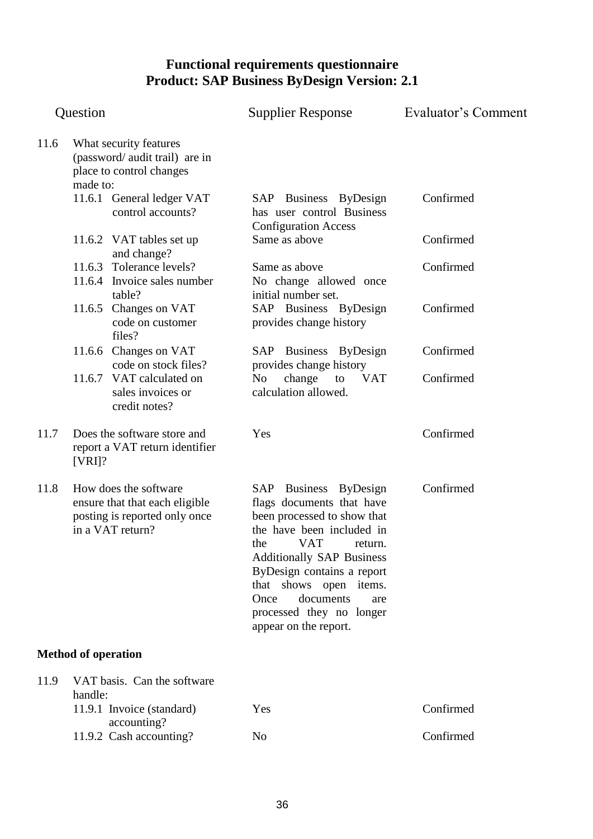| Question |                                                                                                              |                                                                                      | <b>Supplier Response</b>                                                                                                                                                                                                                                                                                         | Evaluator's Comment |  |
|----------|--------------------------------------------------------------------------------------------------------------|--------------------------------------------------------------------------------------|------------------------------------------------------------------------------------------------------------------------------------------------------------------------------------------------------------------------------------------------------------------------------------------------------------------|---------------------|--|
| 11.6     | made to:                                                                                                     | What security features<br>(password/ audit trail) are in<br>place to control changes |                                                                                                                                                                                                                                                                                                                  |                     |  |
|          |                                                                                                              | 11.6.1 General ledger VAT<br>control accounts?                                       | SAP Business ByDesign<br>has user control Business<br><b>Configuration Access</b>                                                                                                                                                                                                                                | Confirmed           |  |
|          |                                                                                                              | 11.6.2 VAT tables set up<br>and change?                                              | Same as above                                                                                                                                                                                                                                                                                                    | Confirmed           |  |
|          |                                                                                                              | 11.6.3 Tolerance levels?<br>11.6.4 Invoice sales number<br>table?                    | Same as above<br>No change allowed once<br>initial number set.                                                                                                                                                                                                                                                   | Confirmed           |  |
|          |                                                                                                              | 11.6.5 Changes on VAT<br>code on customer<br>files?                                  | SAP Business ByDesign<br>provides change history                                                                                                                                                                                                                                                                 | Confirmed           |  |
|          |                                                                                                              | 11.6.6 Changes on VAT<br>code on stock files?                                        | SAP Business ByDesign<br>provides change history                                                                                                                                                                                                                                                                 | Confirmed           |  |
|          |                                                                                                              | 11.6.7 VAT calculated on<br>sales invoices or<br>credit notes?                       | change<br><b>VAT</b><br>No<br>to<br>calculation allowed.                                                                                                                                                                                                                                                         | Confirmed           |  |
| 11.7     | $[VRI]$ ?                                                                                                    | Does the software store and<br>report a VAT return identifier                        | Yes                                                                                                                                                                                                                                                                                                              | Confirmed           |  |
| 11.8     | How does the software<br>ensure that that each eligible<br>posting is reported only once<br>in a VAT return? |                                                                                      | SAP Business ByDesign<br>flags documents that have<br>been processed to show that<br>the have been included in<br>VAT return<br>the<br><b>Additionally SAP Business</b><br>ByDesign contains a report<br>that shows open items.<br>documents<br>Once<br>are<br>processed they no longer<br>appear on the report. | Confirmed           |  |
|          | <b>Method of operation</b>                                                                                   |                                                                                      |                                                                                                                                                                                                                                                                                                                  |                     |  |
| 11.9     | handle:                                                                                                      | VAT basis. Can the software                                                          |                                                                                                                                                                                                                                                                                                                  |                     |  |
|          |                                                                                                              | 11.9.1 Invoice (standard)<br>accounting?                                             | Yes                                                                                                                                                                                                                                                                                                              | Confirmed           |  |
|          |                                                                                                              | 11.9.2 Cash accounting?                                                              | N <sub>0</sub>                                                                                                                                                                                                                                                                                                   | Confirmed           |  |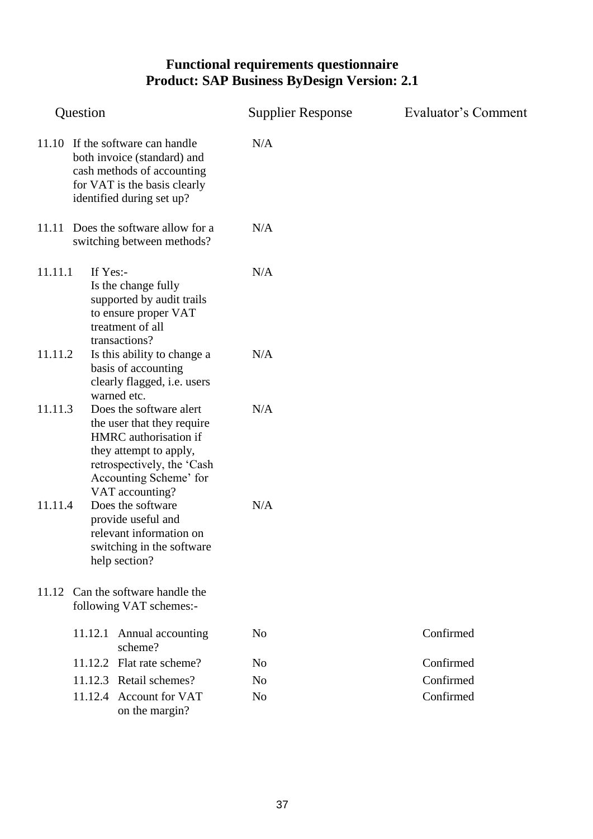| Question                                                                                                                                                                                       | <b>Supplier Response</b> | Evaluator's Comment |
|------------------------------------------------------------------------------------------------------------------------------------------------------------------------------------------------|--------------------------|---------------------|
| 11.10 If the software can handle<br>both invoice (standard) and<br>cash methods of accounting<br>for VAT is the basis clearly<br>identified during set up?                                     | N/A                      |                     |
| 11.11 Does the software allow for a<br>switching between methods?                                                                                                                              | N/A                      |                     |
| 11.11.1<br>If Yes:-<br>Is the change fully<br>supported by audit trails<br>to ensure proper VAT<br>treatment of all<br>transactions?                                                           | N/A                      |                     |
| 11.11.2<br>Is this ability to change a<br>basis of accounting<br>clearly flagged, i.e. users<br>warned etc.                                                                                    | N/A                      |                     |
| 11.11.3<br>Does the software alert<br>the user that they require<br>HMRC authorisation if<br>they attempt to apply,<br>retrospectively, the 'Cash<br>Accounting Scheme' for<br>VAT accounting? | N/A                      |                     |
| 11.11.4<br>Does the software<br>provide useful and<br>relevant information on<br>switching in the software<br>help section?                                                                    | N/A                      |                     |
| Can the software handle the<br>11.12<br>following VAT schemes:-                                                                                                                                |                          |                     |
| Annual accounting<br>11.12.1<br>scheme?                                                                                                                                                        | N <sub>o</sub>           | Confirmed           |
| 11.12.2 Flat rate scheme?                                                                                                                                                                      | N <sub>0</sub>           | Confirmed           |
| 11.12.3 Retail schemes?                                                                                                                                                                        | N <sub>o</sub>           | Confirmed           |
| 11.12.4 Account for VAT<br>on the margin?                                                                                                                                                      | N <sub>o</sub>           | Confirmed           |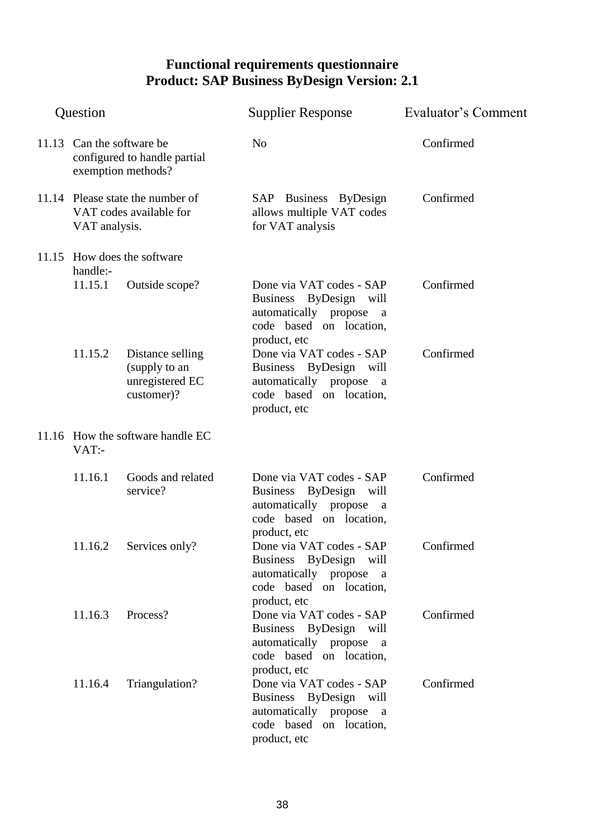| Question |               |                                                                                 | <b>Supplier Response</b>                                                                                                                 | Evaluator's Comment |
|----------|---------------|---------------------------------------------------------------------------------|------------------------------------------------------------------------------------------------------------------------------------------|---------------------|
|          |               | 11.13 Can the software be<br>configured to handle partial<br>exemption methods? | N <sub>o</sub>                                                                                                                           | Confirmed           |
|          | VAT analysis. | 11.14 Please state the number of<br>VAT codes available for                     | SAP Business ByDesign<br>allows multiple VAT codes<br>for VAT analysis                                                                   | Confirmed           |
|          | handle:-      | 11.15 How does the software                                                     |                                                                                                                                          |                     |
|          | 11.15.1       | Outside scope?                                                                  | Done via VAT codes - SAP<br>Business ByDesign will<br>automatically propose<br>a<br>code based on location,<br>product, etc              | Confirmed           |
|          | 11.15.2       | Distance selling<br>(supply to an<br>unregistered EC<br>customer)?              | Done via VAT codes - SAP<br>Business ByDesign will<br>automatically propose<br><sub>a</sub><br>code based on location,<br>product, etc   | Confirmed           |
|          | VAT:-         | 11.16 How the software handle EC                                                |                                                                                                                                          |                     |
|          | 11.16.1       | Goods and related<br>service?                                                   | Done via VAT codes - SAP<br>Business ByDesign will<br>automatically propose a<br>code based on location,                                 | Confirmed           |
|          | 11.16.2       | Services only?                                                                  | product, etc<br>Done via VAT codes - SAP<br>Business ByDesign will<br>automatically propose a<br>code based on location,                 | Confirmed           |
|          | 11.16.3       | Process?                                                                        | product, etc<br>Done via VAT codes - SAP<br>Business ByDesign will<br>automatically propose a<br>code based on location,                 | Confirmed           |
|          | 11.16.4       | Triangulation?                                                                  | product, etc<br>Done via VAT codes - SAP<br>Business ByDesign will<br>automatically propose a<br>code based on location,<br>product, etc | Confirmed           |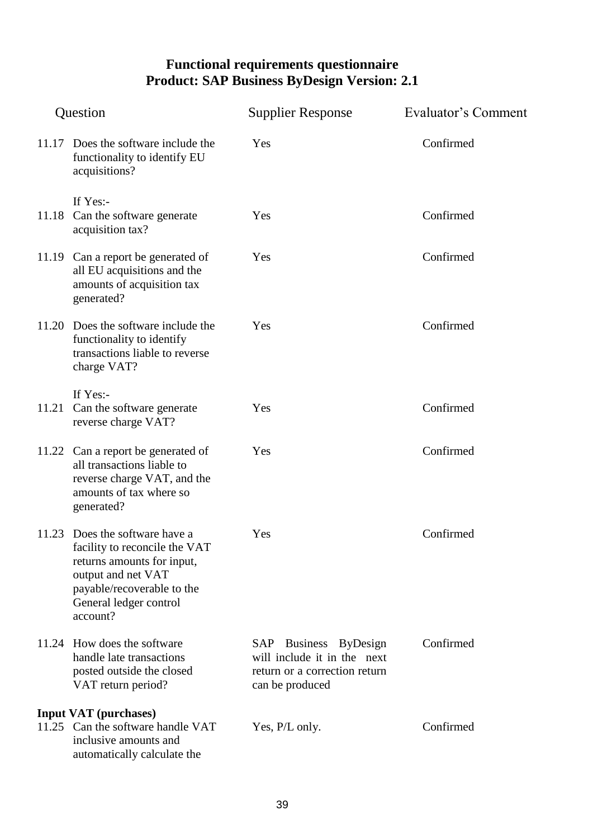| Question |                                                                                                                                                                                         | <b>Supplier Response</b>                                                                                 | Evaluator's Comment |  |
|----------|-----------------------------------------------------------------------------------------------------------------------------------------------------------------------------------------|----------------------------------------------------------------------------------------------------------|---------------------|--|
|          | 11.17 Does the software include the<br>functionality to identify EU<br>acquisitions?                                                                                                    | Yes                                                                                                      | Confirmed           |  |
| 11.18    | If Yes:-<br>Can the software generate<br>acquisition tax?                                                                                                                               | Yes                                                                                                      | Confirmed           |  |
|          | 11.19 Can a report be generated of<br>all EU acquisitions and the<br>amounts of acquisition tax<br>generated?                                                                           | Yes                                                                                                      | Confirmed           |  |
|          | 11.20 Does the software include the<br>functionality to identify<br>transactions liable to reverse<br>charge VAT?                                                                       | Yes                                                                                                      | Confirmed           |  |
| 11.21    | If Yes:-<br>Can the software generate<br>reverse charge VAT?                                                                                                                            | Yes                                                                                                      | Confirmed           |  |
|          | 11.22 Can a report be generated of<br>all transactions liable to<br>reverse charge VAT, and the<br>amounts of tax where so<br>generated?                                                | Yes                                                                                                      | Confirmed           |  |
|          | 11.23 Does the software have a<br>facility to reconcile the VAT<br>returns amounts for input,<br>output and net VAT<br>payable/recoverable to the<br>General ledger control<br>account? | Yes                                                                                                      | Confirmed           |  |
|          | 11.24 How does the software<br>handle late transactions<br>posted outside the closed<br>VAT return period?                                                                              | SAP Business ByDesign<br>will include it in the next<br>return or a correction return<br>can be produced | Confirmed           |  |
|          | <b>Input VAT</b> (purchases)                                                                                                                                                            |                                                                                                          |                     |  |
|          | 11.25 Can the software handle VAT<br>inclusive amounts and<br>automatically calculate the                                                                                               | Yes, P/L only.                                                                                           | Confirmed           |  |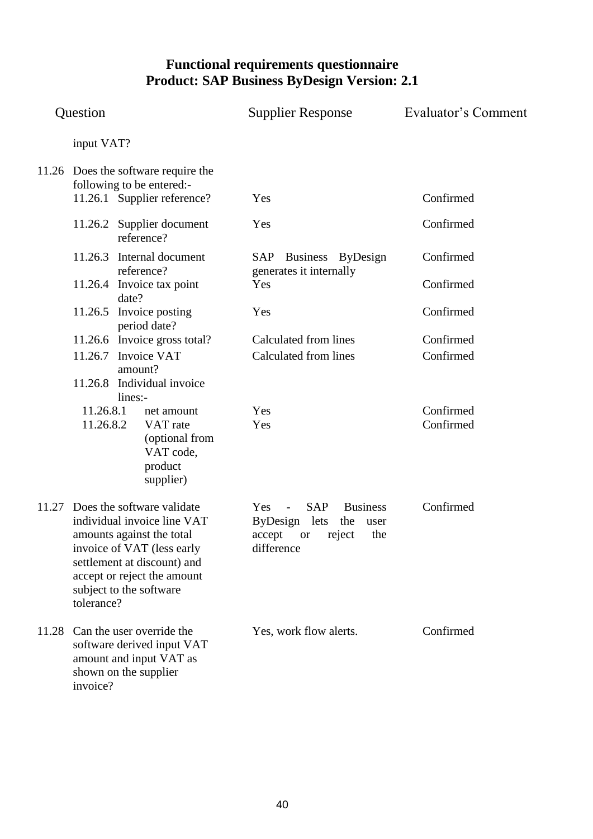| Question |                                                                                                                                                                                                                                   | <b>Supplier Response</b>                                                                                                                        | Evaluator's Comment    |
|----------|-----------------------------------------------------------------------------------------------------------------------------------------------------------------------------------------------------------------------------------|-------------------------------------------------------------------------------------------------------------------------------------------------|------------------------|
|          | input VAT?                                                                                                                                                                                                                        |                                                                                                                                                 |                        |
|          | 11.26 Does the software require the<br>following to be entered:-<br>11.26.1 Supplier reference?                                                                                                                                   | Yes                                                                                                                                             | Confirmed              |
|          | 11.26.2 Supplier document<br>reference?                                                                                                                                                                                           | Yes                                                                                                                                             | Confirmed              |
|          | 11.26.3 Internal document<br>reference?                                                                                                                                                                                           | SAP Business ByDesign<br>generates it internally                                                                                                | Confirmed              |
|          | 11.26.4 Invoice tax point<br>date?                                                                                                                                                                                                | Yes                                                                                                                                             | Confirmed              |
|          | 11.26.5 Invoice posting<br>period date?                                                                                                                                                                                           | Yes                                                                                                                                             | Confirmed              |
|          | 11.26.6 Invoice gross total?                                                                                                                                                                                                      | Calculated from lines                                                                                                                           | Confirmed              |
|          | 11.26.7 Invoice VAT<br>amount?                                                                                                                                                                                                    | Calculated from lines                                                                                                                           | Confirmed              |
|          | Individual invoice<br>11.26.8<br>lines:-                                                                                                                                                                                          |                                                                                                                                                 |                        |
|          | 11.26.8.1<br>net amount<br>11.26.8.2<br>VAT rate<br>(optional from<br>VAT code,<br>product<br>supplier)                                                                                                                           | Yes<br>Yes                                                                                                                                      | Confirmed<br>Confirmed |
|          | 11.27 Does the software validate<br>individual invoice line VAT<br>amounts against the total<br>invoice of VAT (less early<br>settlement at discount) and<br>accept or reject the amount<br>subject to the software<br>tolerance? | SAP<br><b>Business</b><br>Yes<br>$\overline{\phantom{a}}$<br>ByDesign lets<br>the<br>user<br>accept<br>the<br>reject<br><b>or</b><br>difference | Confirmed              |
| 11.28    | Can the user override the<br>software derived input VAT<br>amount and input VAT as<br>shown on the supplier<br>invoice?                                                                                                           | Yes, work flow alerts.                                                                                                                          | Confirmed              |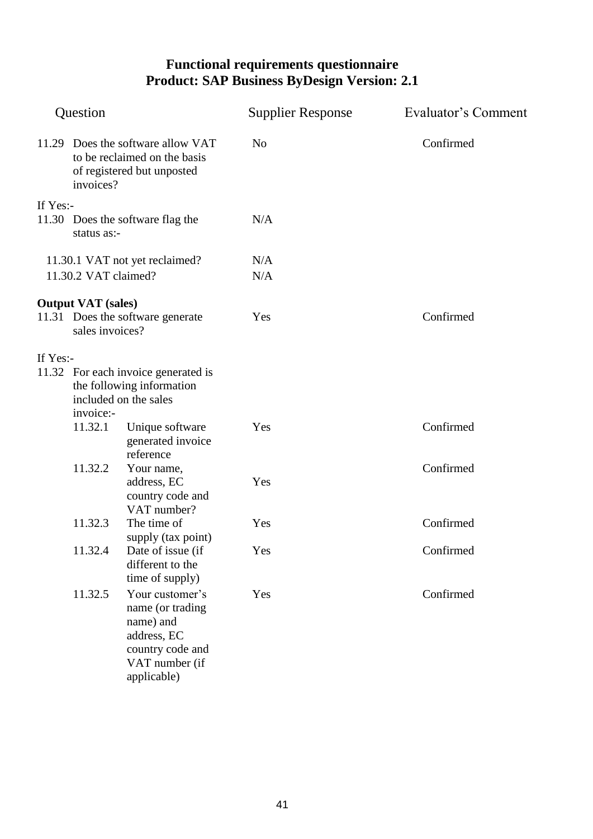| Question |                                                                                                              |                                                                                                                      | <b>Supplier Response</b> | Evaluator's Comment |
|----------|--------------------------------------------------------------------------------------------------------------|----------------------------------------------------------------------------------------------------------------------|--------------------------|---------------------|
|          | 11.29 Does the software allow VAT<br>to be reclaimed on the basis<br>of registered but unposted<br>invoices? |                                                                                                                      | N <sub>o</sub>           | Confirmed           |
| If Yes:- |                                                                                                              |                                                                                                                      |                          |                     |
|          | status as:-                                                                                                  | 11.30 Does the software flag the                                                                                     | N/A                      |                     |
|          |                                                                                                              | 11.30.1 VAT not yet reclaimed?                                                                                       | N/A                      |                     |
|          | 11.30.2 VAT claimed?                                                                                         |                                                                                                                      | N/A                      |                     |
|          |                                                                                                              |                                                                                                                      |                          |                     |
|          | <b>Output VAT</b> (sales)<br>sales invoices?                                                                 | 11.31 Does the software generate                                                                                     | Yes                      | Confirmed           |
| If Yes:- | invoice:-                                                                                                    | 11.32 For each invoice generated is<br>the following information<br>included on the sales                            |                          |                     |
|          | 11.32.1                                                                                                      | Unique software<br>generated invoice<br>reference                                                                    | Yes                      | Confirmed           |
|          | 11.32.2                                                                                                      | Your name,<br>address, EC<br>country code and<br>VAT number?                                                         | Yes                      | Confirmed           |
|          | 11.32.3                                                                                                      | The time of<br>supply (tax point)                                                                                    | Yes                      | Confirmed           |
|          | 11.32.4                                                                                                      | Date of issue (if<br>different to the<br>time of supply)                                                             | Yes                      | Confirmed           |
|          | 11.32.5                                                                                                      | Your customer's<br>name (or trading<br>name) and<br>address, EC<br>country code and<br>VAT number (if<br>applicable) | Yes                      | Confirmed           |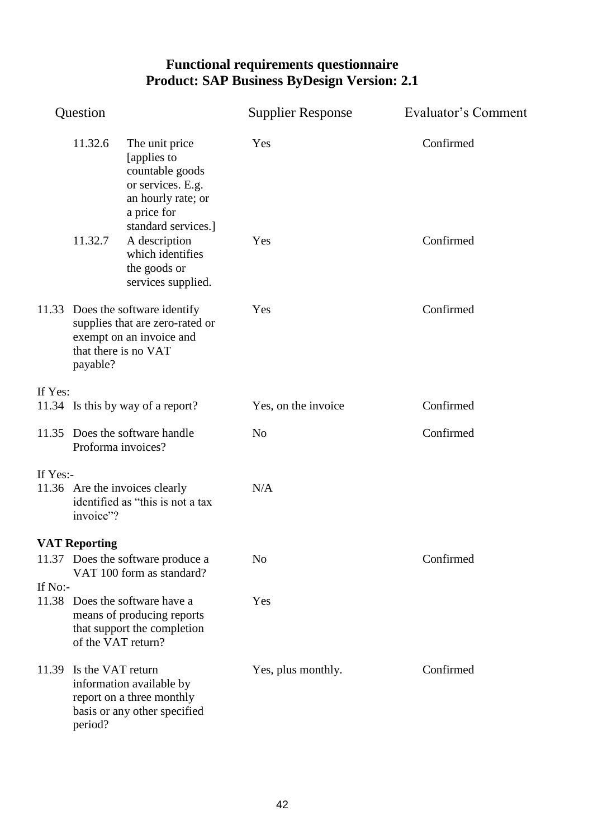| Question |                                                                                                                                     |                                                                                                            | <b>Supplier Response</b> | Evaluator's Comment |
|----------|-------------------------------------------------------------------------------------------------------------------------------------|------------------------------------------------------------------------------------------------------------|--------------------------|---------------------|
|          | 11.32.6                                                                                                                             | The unit price<br>[applies to<br>countable goods<br>or services. E.g.<br>an hourly rate; or<br>a price for | Yes                      | Confirmed           |
|          | 11.32.7                                                                                                                             | standard services.]<br>A description<br>which identifies<br>the goods or<br>services supplied.             | Yes                      | Confirmed           |
|          | 11.33 Does the software identify<br>supplies that are zero-rated or<br>exempt on an invoice and<br>that there is no VAT<br>payable? |                                                                                                            | Yes                      | Confirmed           |
| If Yes:  |                                                                                                                                     |                                                                                                            |                          |                     |
|          |                                                                                                                                     | 11.34 Is this by way of a report?                                                                          | Yes, on the invoice      | Confirmed           |
|          | 11.35 Does the software handle<br>Proforma invoices?                                                                                |                                                                                                            | N <sub>o</sub>           | Confirmed           |
| If Yes:- |                                                                                                                                     |                                                                                                            |                          |                     |
|          | invoice"?                                                                                                                           | 11.36 Are the invoices clearly<br>identified as "this is not a tax                                         | N/A                      |                     |
|          | <b>VAT Reporting</b>                                                                                                                |                                                                                                            |                          |                     |
|          |                                                                                                                                     | 11.37 Does the software produce a<br>VAT 100 form as standard?                                             | N <sub>o</sub>           | Confirmed           |
| If No:-  | of the VAT return?                                                                                                                  | 11.38 Does the software have a<br>means of producing reports<br>that support the completion                | Yes                      |                     |
| 11.39    | Is the VAT return<br>period?                                                                                                        | information available by<br>report on a three monthly<br>basis or any other specified                      | Yes, plus monthly.       | Confirmed           |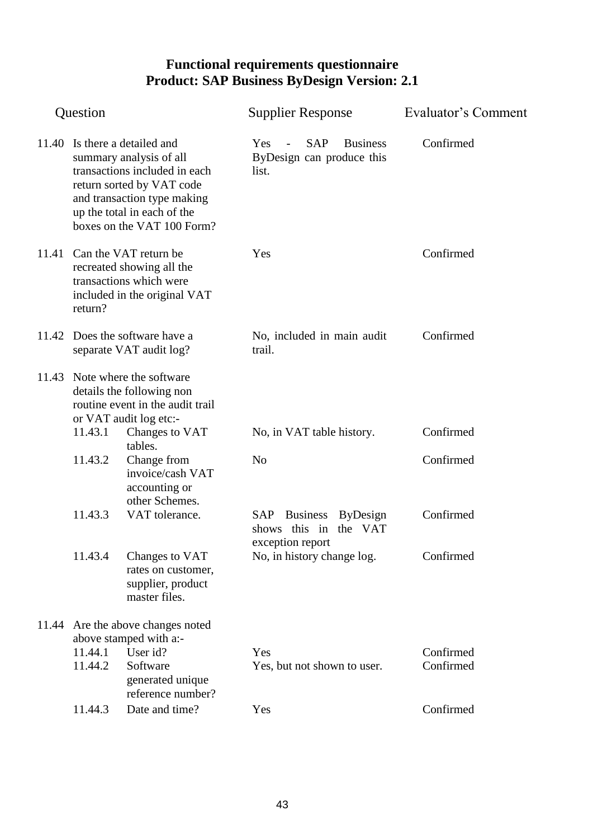|       | Question           |                                                                                                                                                                                                                    | <b>Supplier Response</b>                                                                                      | Evaluator's Comment    |
|-------|--------------------|--------------------------------------------------------------------------------------------------------------------------------------------------------------------------------------------------------------------|---------------------------------------------------------------------------------------------------------------|------------------------|
|       |                    | 11.40 Is there a detailed and<br>summary analysis of all<br>transactions included in each<br>return sorted by VAT code<br>and transaction type making<br>up the total in each of the<br>boxes on the VAT 100 Form? | <b>SAP</b><br><b>Business</b><br><b>Yes</b><br>$\overline{\phantom{a}}$<br>ByDesign can produce this<br>list. | Confirmed              |
| 11.41 | return?            | Can the VAT return be<br>recreated showing all the<br>transactions which were<br>included in the original VAT                                                                                                      | Yes                                                                                                           | Confirmed              |
|       |                    | 11.42 Does the software have a<br>separate VAT audit log?                                                                                                                                                          | No, included in main audit<br>trail.                                                                          | Confirmed              |
|       |                    | 11.43 Note where the software<br>details the following non<br>routine event in the audit trail                                                                                                                     |                                                                                                               |                        |
|       | 11.43.1            | or VAT audit log etc:-<br>Changes to VAT                                                                                                                                                                           | No, in VAT table history.                                                                                     | Confirmed              |
|       | 11.43.2            | tables.<br>Change from<br>invoice/cash VAT<br>accounting or<br>other Schemes.                                                                                                                                      | N <sub>o</sub>                                                                                                | Confirmed              |
|       | 11.43.3            | VAT tolerance.                                                                                                                                                                                                     | SAP Business<br>ByDesign<br>shows this in<br>the VAT                                                          | Confirmed              |
|       | 11.43.4            | Changes to VAT<br>rates on customer,<br>supplier, product<br>master files.                                                                                                                                         | exception report<br>No, in history change log.                                                                | Confirmed              |
|       |                    | 11.44 Are the above changes noted                                                                                                                                                                                  |                                                                                                               |                        |
|       | 11.44.1<br>11.44.2 | above stamped with a:-<br>User id?<br>Software<br>generated unique<br>reference number?                                                                                                                            | Yes<br>Yes, but not shown to user.                                                                            | Confirmed<br>Confirmed |
|       | 11.44.3            | Date and time?                                                                                                                                                                                                     | Yes                                                                                                           | Confirmed              |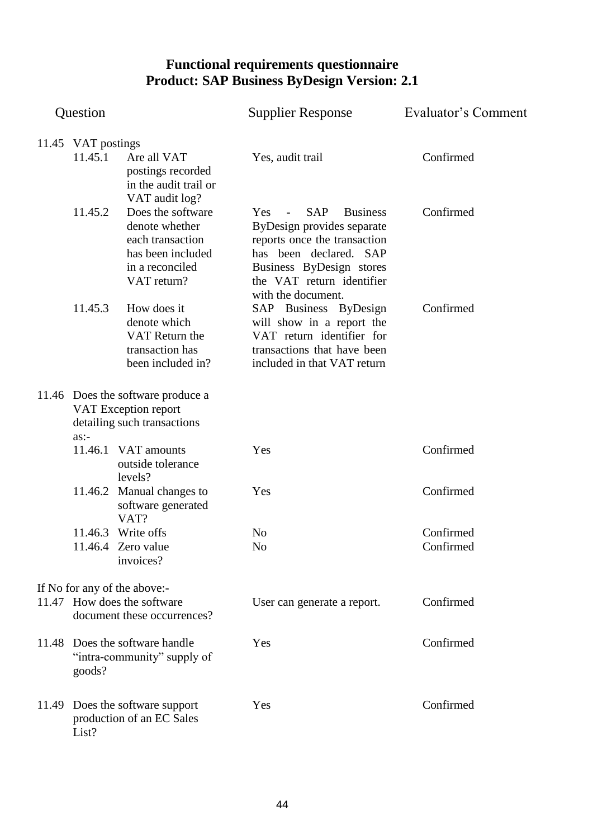| Question           |                                                                                                                | <b>Supplier Response</b>                                                                                                                                                                                                                       | Evaluator's Comment    |
|--------------------|----------------------------------------------------------------------------------------------------------------|------------------------------------------------------------------------------------------------------------------------------------------------------------------------------------------------------------------------------------------------|------------------------|
| 11.45 VAT postings |                                                                                                                |                                                                                                                                                                                                                                                |                        |
| 11.45.1            | Are all VAT<br>postings recorded<br>in the audit trail or<br>VAT audit log?                                    | Yes, audit trail                                                                                                                                                                                                                               | Confirmed              |
| 11.45.2            | Does the software<br>denote whether<br>each transaction<br>has been included<br>in a reconciled<br>VAT return? | <b>SAP</b><br><b>Business</b><br><b>Yes</b><br><b>Contract Contract</b><br>ByDesign provides separate<br>reports once the transaction<br>has been declared. SAP<br>Business ByDesign stores<br>the VAT return identifier<br>with the document. | Confirmed              |
| 11.45.3            | How does it<br>denote which<br>VAT Return the<br>transaction has<br>been included in?                          | SAP Business ByDesign<br>will show in a report the<br>VAT return identifier for<br>transactions that have been<br>included in that VAT return                                                                                                  | Confirmed              |
| $as:$ -            | 11.46 Does the software produce a<br>VAT Exception report<br>detailing such transactions                       |                                                                                                                                                                                                                                                |                        |
| 11.46.1            | VAT amounts<br>outside tolerance<br>levels?                                                                    | Yes                                                                                                                                                                                                                                            | Confirmed              |
|                    | 11.46.2 Manual changes to<br>software generated<br>VAT?                                                        | Yes                                                                                                                                                                                                                                            | Confirmed              |
|                    | 11.46.3 Write offs<br>11.46.4 Zero value<br>invoices?                                                          | No<br>N <sub>o</sub>                                                                                                                                                                                                                           | Confirmed<br>Confirmed |
|                    | If No for any of the above:-                                                                                   |                                                                                                                                                                                                                                                |                        |
|                    | 11.47 How does the software<br>document these occurrences?                                                     | User can generate a report.                                                                                                                                                                                                                    | Confirmed              |
| goods?             | 11.48 Does the software handle<br>"intra-community" supply of                                                  | Yes                                                                                                                                                                                                                                            | Confirmed              |
| List?              | 11.49 Does the software support<br>production of an EC Sales                                                   | Yes                                                                                                                                                                                                                                            | Confirmed              |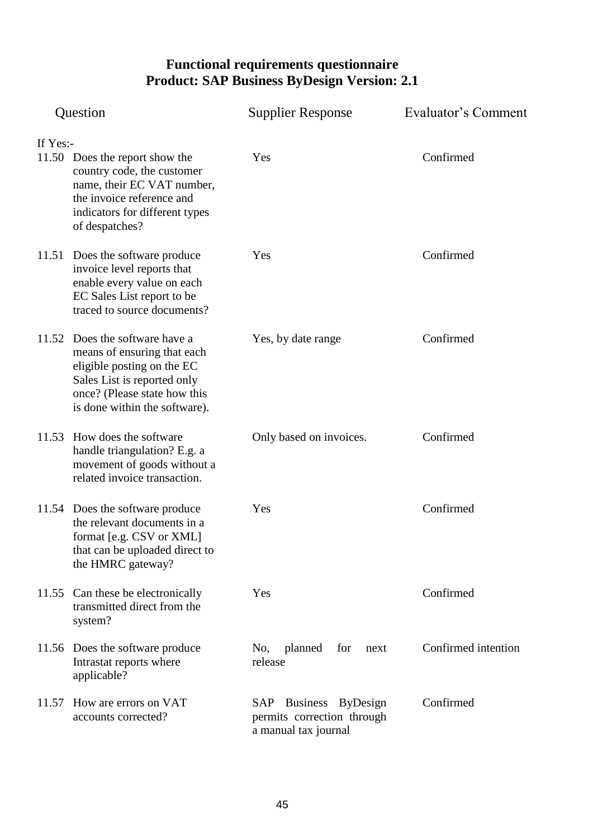| Question |                                                                                                                                                                                             | <b>Supplier Response</b>                                                    | Evaluator's Comment |  |
|----------|---------------------------------------------------------------------------------------------------------------------------------------------------------------------------------------------|-----------------------------------------------------------------------------|---------------------|--|
| If Yes:- |                                                                                                                                                                                             |                                                                             |                     |  |
|          | 11.50 Does the report show the<br>country code, the customer<br>name, their EC VAT number,<br>the invoice reference and<br>indicators for different types<br>of despatches?                 | Yes                                                                         | Confirmed           |  |
|          | 11.51 Does the software produce<br>invoice level reports that<br>enable every value on each<br>EC Sales List report to be<br>traced to source documents?                                    | Yes                                                                         | Confirmed           |  |
|          | 11.52 Does the software have a<br>means of ensuring that each<br>eligible posting on the EC<br>Sales List is reported only<br>once? (Please state how this<br>is done within the software). | Yes, by date range                                                          | Confirmed           |  |
|          | 11.53 How does the software<br>handle triangulation? E.g. a<br>movement of goods without a<br>related invoice transaction.                                                                  | Only based on invoices.                                                     | Confirmed           |  |
|          | 11.54 Does the software produce<br>the relevant documents in a<br>format [e.g. CSV or XML]<br>that can be uploaded direct to<br>the HMRC gateway?                                           | Yes                                                                         | Confirmed           |  |
|          | 11.55 Can these be electronically<br>transmitted direct from the<br>system?                                                                                                                 | Yes                                                                         | Confirmed           |  |
|          | 11.56 Does the software produce<br>Intrastat reports where<br>applicable?                                                                                                                   | planned<br>for<br>No,<br>next<br>release                                    | Confirmed intention |  |
| 11.57    | How are errors on VAT<br>accounts corrected?                                                                                                                                                | SAP Business ByDesign<br>permits correction through<br>a manual tax journal | Confirmed           |  |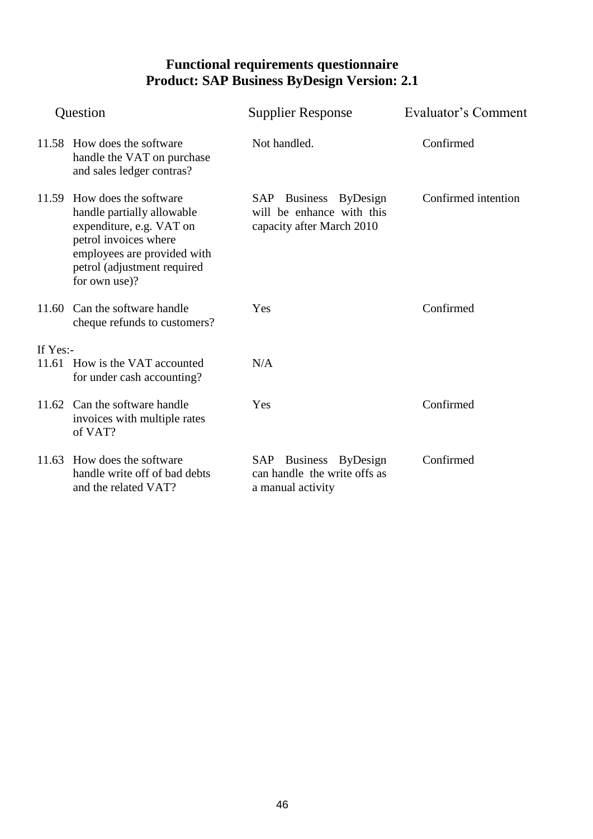| Question  |                                                                                                                                                                                               | <b>Supplier Response</b>                                                        | Evaluator's Comment |  |
|-----------|-----------------------------------------------------------------------------------------------------------------------------------------------------------------------------------------------|---------------------------------------------------------------------------------|---------------------|--|
|           | 11.58 How does the software<br>handle the VAT on purchase<br>and sales ledger contras?                                                                                                        | Not handled.                                                                    | Confirmed           |  |
|           | 11.59 How does the software<br>handle partially allowable<br>expenditure, e.g. VAT on<br>petrol invoices where<br>employees are provided with<br>petrol (adjustment required<br>for own use)? | SAP Business ByDesign<br>will be enhance with this<br>capacity after March 2010 | Confirmed intention |  |
|           | 11.60 Can the software handle<br>cheque refunds to customers?                                                                                                                                 | Yes                                                                             | Confirmed           |  |
| If $Yes:$ |                                                                                                                                                                                               |                                                                                 |                     |  |
|           | 11.61 How is the VAT accounted<br>for under cash accounting?                                                                                                                                  | N/A                                                                             |                     |  |
|           | 11.62 Can the software handle<br>invoices with multiple rates<br>of VAT?                                                                                                                      | Yes                                                                             | Confirmed           |  |
|           | 11.63 How does the software<br>handle write off of bad debts<br>and the related VAT?                                                                                                          | SAP Business ByDesign<br>can handle the write offs as<br>a manual activity      | Confirmed           |  |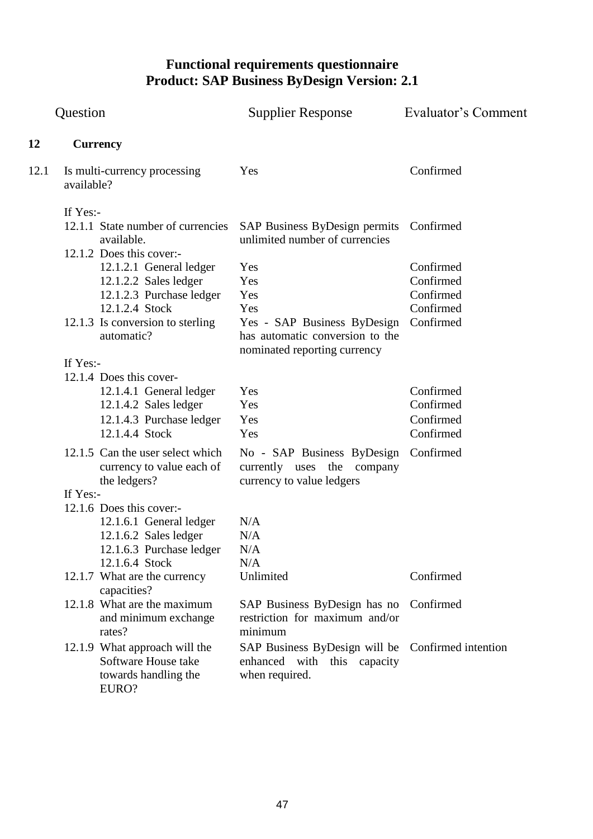| Question |                                                                                                                                                                              | <b>Supplier Response</b>                                                                                                   | Evaluator's Comment                                           |
|----------|------------------------------------------------------------------------------------------------------------------------------------------------------------------------------|----------------------------------------------------------------------------------------------------------------------------|---------------------------------------------------------------|
| 12       | <b>Currency</b>                                                                                                                                                              |                                                                                                                            |                                                               |
| 12.1     | Is multi-currency processing<br>available?                                                                                                                                   | Yes                                                                                                                        | Confirmed                                                     |
|          | If Yes:-<br>12.1.1 State number of currencies<br>available.                                                                                                                  | SAP Business ByDesign permits<br>unlimited number of currencies                                                            | Confirmed                                                     |
|          | 12.1.2 Does this cover:-<br>12.1.2.1 General ledger<br>12.1.2.2 Sales ledger<br>12.1.2.3 Purchase ledger<br>12.1.2.4 Stock<br>12.1.3 Is conversion to sterling<br>automatic? | Yes<br>Yes<br>Yes<br>Yes<br>Yes - SAP Business ByDesign<br>has automatic conversion to the<br>nominated reporting currency | Confirmed<br>Confirmed<br>Confirmed<br>Confirmed<br>Confirmed |
|          | If Yes:-<br>12.1.4 Does this cover-<br>12.1.4.1 General ledger<br>12.1.4.2 Sales ledger<br>12.1.4.3 Purchase ledger<br>12.1.4.4 Stock                                        | Yes<br>Yes<br>Yes<br>Yes                                                                                                   | Confirmed<br>Confirmed<br>Confirmed<br>Confirmed              |
|          | 12.1.5 Can the user select which<br>currency to value each of<br>the ledgers?                                                                                                | No - SAP Business ByDesign Confirmed<br>currently uses the company<br>currency to value ledgers                            |                                                               |
|          | If Yes:-<br>12.1.6 Does this cover:-<br>12.1.6.1 General ledger<br>$12.1.6.2$ Sales ledger<br>12.1.6.3 Purchase ledger<br>12.1.6.4 Stock                                     | N/A<br>N/A<br>N/A<br>N/A                                                                                                   |                                                               |
|          | 12.1.7 What are the currency<br>capacities?                                                                                                                                  | Unlimited                                                                                                                  | Confirmed                                                     |
|          | 12.1.8 What are the maximum<br>and minimum exchange<br>rates?                                                                                                                | SAP Business ByDesign has no<br>restriction for maximum and/or<br>minimum                                                  | Confirmed                                                     |
|          | 12.1.9 What approach will the<br>Software House take<br>towards handling the<br>EURO?                                                                                        | SAP Business ByDesign will be<br>enhanced with this capacity<br>when required.                                             | Confirmed intention                                           |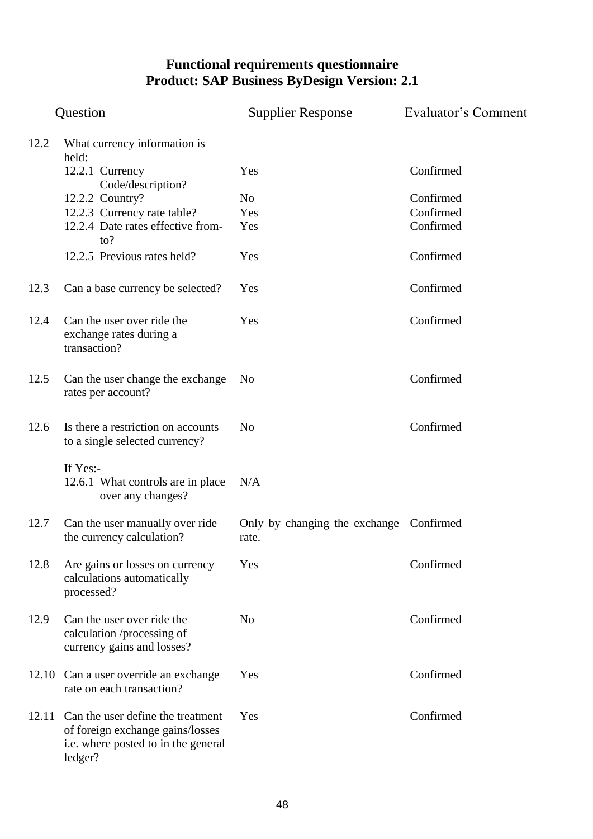|       | Question                                                                                                                | <b>Supplier Response</b>               | Evaluator's Comment |
|-------|-------------------------------------------------------------------------------------------------------------------------|----------------------------------------|---------------------|
| 12.2  | What currency information is<br>held:                                                                                   |                                        |                     |
|       | 12.2.1 Currency<br>Code/description?                                                                                    | Yes                                    | Confirmed           |
|       | 12.2.2 Country?                                                                                                         | N <sub>o</sub>                         | Confirmed           |
|       | 12.2.3 Currency rate table?                                                                                             | Yes                                    | Confirmed           |
|       | 12.2.4 Date rates effective from-<br>to?                                                                                | Yes                                    | Confirmed           |
|       | 12.2.5 Previous rates held?                                                                                             | Yes                                    | Confirmed           |
| 12.3  | Can a base currency be selected?                                                                                        | Yes                                    | Confirmed           |
| 12.4  | Can the user over ride the<br>exchange rates during a<br>transaction?                                                   | Yes                                    | Confirmed           |
| 12.5  | Can the user change the exchange<br>rates per account?                                                                  | N <sub>0</sub>                         | Confirmed           |
| 12.6  | Is there a restriction on accounts<br>to a single selected currency?                                                    | N <sub>o</sub>                         | Confirmed           |
|       | If Yes:-<br>12.6.1 What controls are in place<br>over any changes?                                                      | N/A                                    |                     |
| 12.7  | Can the user manually over ride<br>the currency calculation?                                                            | Only by changing the exchange<br>rate. | Confirmed           |
| 12.8  | Are gains or losses on currency<br>calculations automatically<br>processed?                                             | Yes                                    | Confirmed           |
| 12.9  | Can the user over ride the<br>calculation /processing of<br>currency gains and losses?                                  | N <sub>0</sub>                         | Confirmed           |
| 12.10 | Can a user override an exchange<br>rate on each transaction?                                                            | Yes                                    | Confirmed           |
| 12.11 | Can the user define the treatment<br>of foreign exchange gains/losses<br>i.e. where posted to in the general<br>ledger? | Yes                                    | Confirmed           |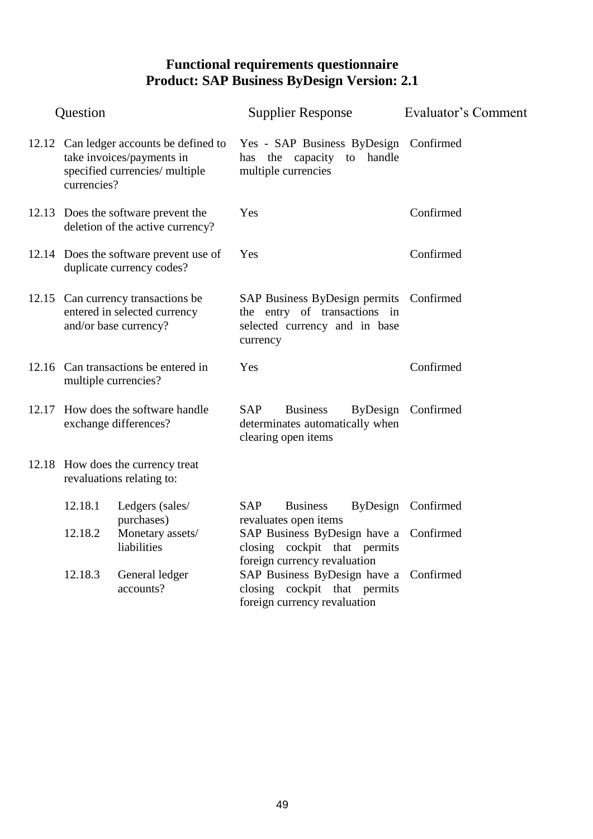| Question             |                                                                                                        |            | <b>Supplier Response</b>                                                                                 |           | Evaluator's Comment |
|----------------------|--------------------------------------------------------------------------------------------------------|------------|----------------------------------------------------------------------------------------------------------|-----------|---------------------|
| currencies?          | 12.12 Can ledger accounts be defined to<br>take invoices/payments in<br>specified currencies/ multiple |            | Yes - SAP Business ByDesign Confirmed<br>has the capacity<br>multiple currencies                         | to handle |                     |
|                      | 12.13 Does the software prevent the<br>deletion of the active currency?                                | Yes        |                                                                                                          |           | Confirmed           |
|                      | 12.14 Does the software prevent use of<br>duplicate currency codes?                                    | Yes        |                                                                                                          |           | Confirmed           |
|                      | 12.15 Can currency transactions be<br>entered in selected currency<br>and/or base currency?            | currency   | SAP Business ByDesign permits Confirmed<br>the entry of transactions in<br>selected currency and in base |           |                     |
| multiple currencies? | 12.16 Can transactions be entered in                                                                   | Yes        |                                                                                                          |           | Confirmed           |
|                      | 12.17 How does the software handle<br>exchange differences?                                            | <b>SAP</b> | <b>Business</b><br>determinates automatically when<br>clearing open items                                |           | ByDesign Confirmed  |
|                      | 12.18 How does the currency treat<br>revaluations relating to:                                         |            |                                                                                                          |           |                     |
| 12.18.1              | Ledgers (sales/<br>purchases)                                                                          | <b>SAP</b> | <b>Business</b><br>revaluates open items                                                                 |           | ByDesign Confirmed  |
| 12.18.2              | Monetary assets/<br>liabilities                                                                        |            | SAP Business ByDesign have a Confirmed<br>closing cockpit that permits<br>foreign currency revaluation   |           |                     |
| 12.18.3              | General ledger<br>accounts?                                                                            |            | SAP Business ByDesign have a Confirmed<br>closing cockpit that permits<br>foreign currency revaluation   |           |                     |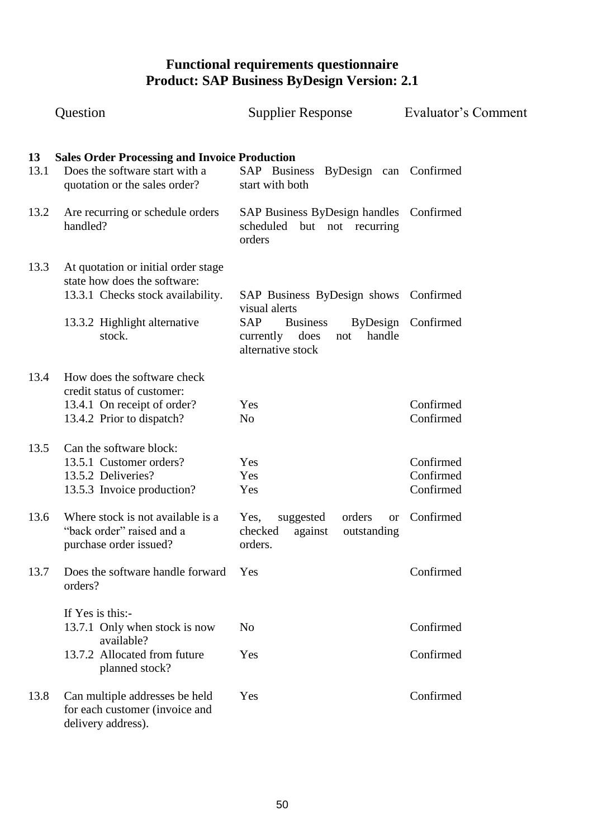|            | Question                                                                                                                                           | <b>Supplier Response</b>                                                                                                                           | Evaluator's Comment                 |
|------------|----------------------------------------------------------------------------------------------------------------------------------------------------|----------------------------------------------------------------------------------------------------------------------------------------------------|-------------------------------------|
| 13<br>13.1 | <b>Sales Order Processing and Invoice Production</b><br>Does the software start with a<br>quotation or the sales order?                            | SAP Business ByDesign can Confirmed<br>start with both                                                                                             |                                     |
| 13.2       | Are recurring or schedule orders<br>handled?                                                                                                       | SAP Business ByDesign handles Confirmed<br>but not recurring<br>scheduled<br>orders                                                                |                                     |
| 13.3       | At quotation or initial order stage<br>state how does the software:<br>13.3.1 Checks stock availability.<br>13.3.2 Highlight alternative<br>stock. | SAP Business ByDesign shows Confirmed<br>visual alerts<br><b>SAP</b><br><b>Business</b><br>does<br>handle<br>currently<br>not<br>alternative stock | ByDesign Confirmed                  |
| 13.4       | How does the software check<br>credit status of customer:<br>13.4.1 On receipt of order?<br>13.4.2 Prior to dispatch?                              | Yes<br>N <sub>o</sub>                                                                                                                              | Confirmed<br>Confirmed              |
| 13.5       | Can the software block:<br>13.5.1 Customer orders?<br>13.5.2 Deliveries?<br>13.5.3 Invoice production?                                             | Yes<br>Yes<br>Yes                                                                                                                                  | Confirmed<br>Confirmed<br>Confirmed |
| 13.6       | Where stock is not available is a<br>"back order" raised and a<br>purchase order issued?                                                           | suggested<br>orders<br>Yes,<br><b>or</b><br>checked<br>against<br>outstanding<br>orders.                                                           | Confirmed                           |
| 13.7       | Does the software handle forward<br>orders?                                                                                                        | Yes                                                                                                                                                | Confirmed                           |
|            | If Yes is this:-<br>13.7.1 Only when stock is now<br>available?<br>13.7.2 Allocated from future<br>planned stock?                                  | No<br>Yes                                                                                                                                          | Confirmed<br>Confirmed              |
| 13.8       | Can multiple addresses be held<br>for each customer (invoice and<br>delivery address).                                                             | Yes                                                                                                                                                | Confirmed                           |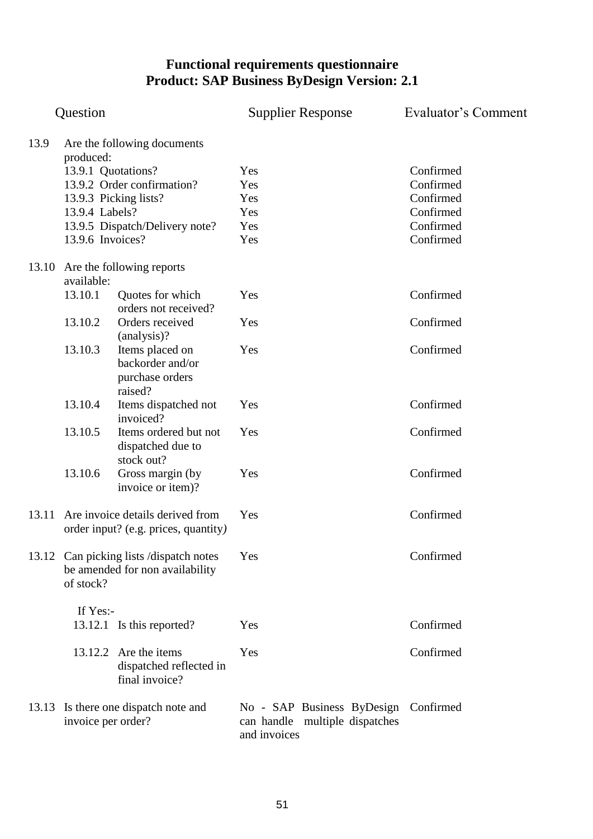|       | Question           |                                                                             | <b>Supplier Response</b>                                                               | Evaluator's Comment |
|-------|--------------------|-----------------------------------------------------------------------------|----------------------------------------------------------------------------------------|---------------------|
| 13.9  | produced:          | Are the following documents                                                 |                                                                                        |                     |
|       | 13.9.1 Quotations? |                                                                             | Yes                                                                                    | Confirmed           |
|       |                    | 13.9.2 Order confirmation?                                                  | Yes                                                                                    | Confirmed           |
|       |                    | 13.9.3 Picking lists?                                                       | Yes                                                                                    | Confirmed           |
|       | 13.9.4 Labels?     |                                                                             | Yes                                                                                    | Confirmed           |
|       |                    | 13.9.5 Dispatch/Delivery note?                                              | Yes                                                                                    | Confirmed           |
|       | 13.9.6 Invoices?   |                                                                             | Yes                                                                                    | Confirmed           |
| 13.10 | available:         | Are the following reports                                                   |                                                                                        |                     |
|       | 13.10.1            | Quotes for which                                                            | Yes                                                                                    | Confirmed           |
|       |                    | orders not received?                                                        |                                                                                        |                     |
|       | 13.10.2            | Orders received<br>(analysis)?                                              | Yes                                                                                    | Confirmed           |
|       | 13.10.3            | Items placed on<br>backorder and/or<br>purchase orders<br>raised?           | Yes                                                                                    | Confirmed           |
|       | 13.10.4            | Items dispatched not<br>invoiced?                                           | Yes                                                                                    | Confirmed           |
|       | 13.10.5            | Items ordered but not<br>dispatched due to<br>stock out?                    | Yes                                                                                    | Confirmed           |
|       | 13.10.6            | Gross margin (by<br>invoice or item)?                                       | Yes                                                                                    | Confirmed           |
| 13.11 |                    | Are invoice details derived from<br>order input? (e.g. prices, quantity)    | Yes                                                                                    | Confirmed           |
|       | of stock?          | 13.12 Can picking lists / dispatch notes<br>be amended for non availability | Yes                                                                                    | Confirmed           |
|       | If Yes:-           |                                                                             |                                                                                        |                     |
|       |                    | 13.12.1 Is this reported?                                                   | Yes                                                                                    | Confirmed           |
|       |                    | 13.12.2 Are the items<br>dispatched reflected in<br>final invoice?          | Yes                                                                                    | Confirmed           |
| 13.13 | invoice per order? | Is there one dispatch note and                                              | No - SAP Business ByDesign Confirmed<br>can handle multiple dispatches<br>and invoices |                     |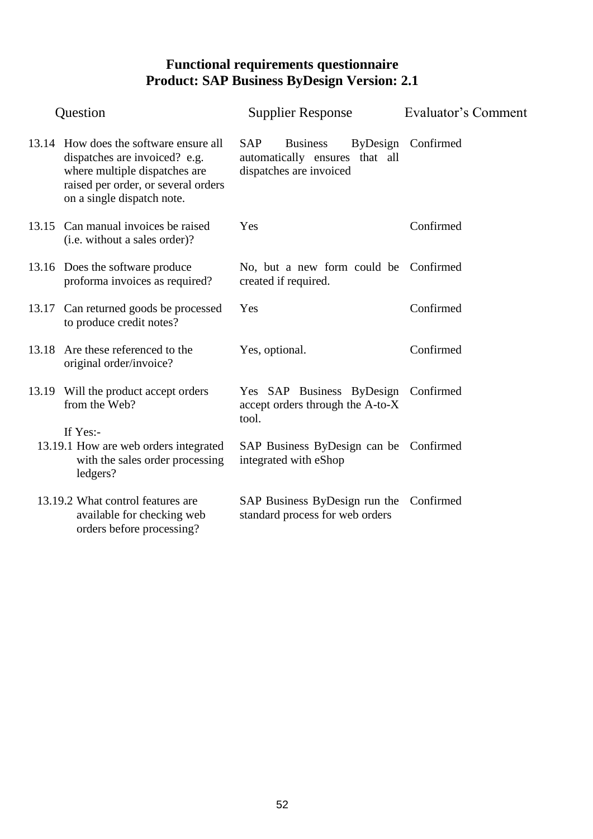| Question |                                                                                                                                                                               | <b>Supplier Response</b>                                                                   | Evaluator's Comment |
|----------|-------------------------------------------------------------------------------------------------------------------------------------------------------------------------------|--------------------------------------------------------------------------------------------|---------------------|
|          | 13.14 How does the software ensure all<br>dispatches are invoiced? e.g.<br>where multiple dispatches are<br>raised per order, or several orders<br>on a single dispatch note. | <b>SAP</b><br><b>Business</b><br>automatically ensures that all<br>dispatches are invoiced | ByDesign Confirmed  |
|          | 13.15 Can manual invoices be raised<br>(i.e. without a sales order)?                                                                                                          | Yes                                                                                        | Confirmed           |
|          | 13.16 Does the software produce<br>proforma invoices as required?                                                                                                             | No, but a new form could be Confirmed<br>created if required.                              |                     |
|          | 13.17 Can returned goods be processed<br>to produce credit notes?                                                                                                             | Yes                                                                                        | Confirmed           |
| 13.18    | Are these referenced to the<br>original order/invoice?                                                                                                                        | Yes, optional.                                                                             | Confirmed           |
|          | 13.19 Will the product accept orders<br>from the Web?<br>If Yes:-                                                                                                             | Yes SAP Business ByDesign Confirmed<br>accept orders through the A-to-X<br>tool.           |                     |
|          | 13.19.1 How are web orders integrated<br>with the sales order processing<br>ledgers?                                                                                          | SAP Business ByDesign can be Confirmed<br>integrated with eShop                            |                     |
|          | 13.19.2 What control features are<br>available for checking web<br>orders before processing?                                                                                  | SAP Business ByDesign run the Confirmed<br>standard process for web orders                 |                     |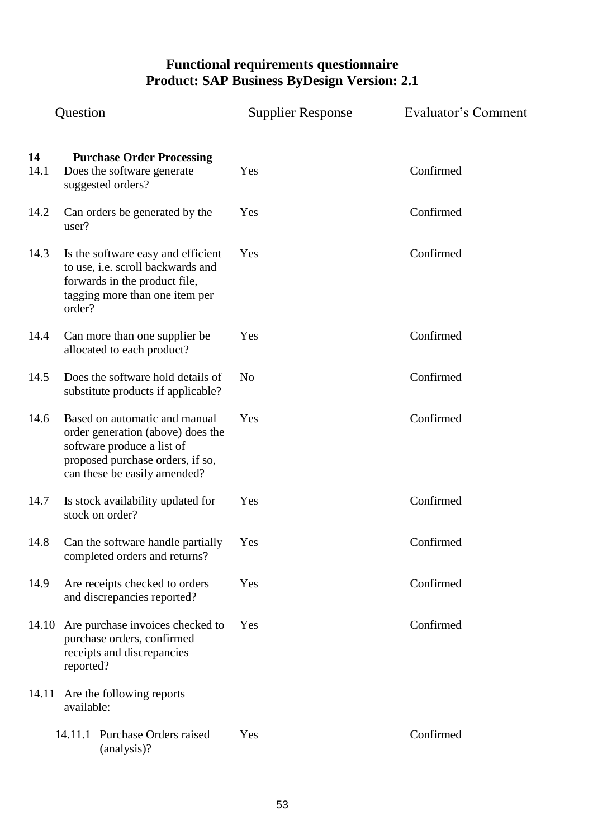|            | Question                                                                                                                                                             | <b>Supplier Response</b> | Evaluator's Comment |
|------------|----------------------------------------------------------------------------------------------------------------------------------------------------------------------|--------------------------|---------------------|
| 14<br>14.1 | <b>Purchase Order Processing</b><br>Does the software generate<br>suggested orders?                                                                                  | Yes                      | Confirmed           |
| 14.2       | Can orders be generated by the<br>user?                                                                                                                              | Yes                      | Confirmed           |
| 14.3       | Is the software easy and efficient<br>to use, i.e. scroll backwards and<br>forwards in the product file,<br>tagging more than one item per<br>order?                 | Yes                      | Confirmed           |
| 14.4       | Can more than one supplier be<br>allocated to each product?                                                                                                          | Yes                      | Confirmed           |
| 14.5       | Does the software hold details of<br>substitute products if applicable?                                                                                              | N <sub>o</sub>           | Confirmed           |
| 14.6       | Based on automatic and manual<br>order generation (above) does the<br>software produce a list of<br>proposed purchase orders, if so,<br>can these be easily amended? | Yes                      | Confirmed           |
| 14.7       | Is stock availability updated for<br>stock on order?                                                                                                                 | Yes                      | Confirmed           |
| 14.8       | Can the software handle partially<br>completed orders and returns?                                                                                                   | Yes                      | Confirmed           |
| 14.9       | Are receipts checked to orders<br>and discrepancies reported?                                                                                                        | Yes                      | Confirmed           |
|            | 14.10 Are purchase invoices checked to<br>purchase orders, confirmed<br>receipts and discrepancies<br>reported?                                                      | Yes                      | Confirmed           |
| 14.11      | Are the following reports<br>available:                                                                                                                              |                          |                     |
|            | 14.11.1 Purchase Orders raised<br>(analysis)?                                                                                                                        | Yes                      | Confirmed           |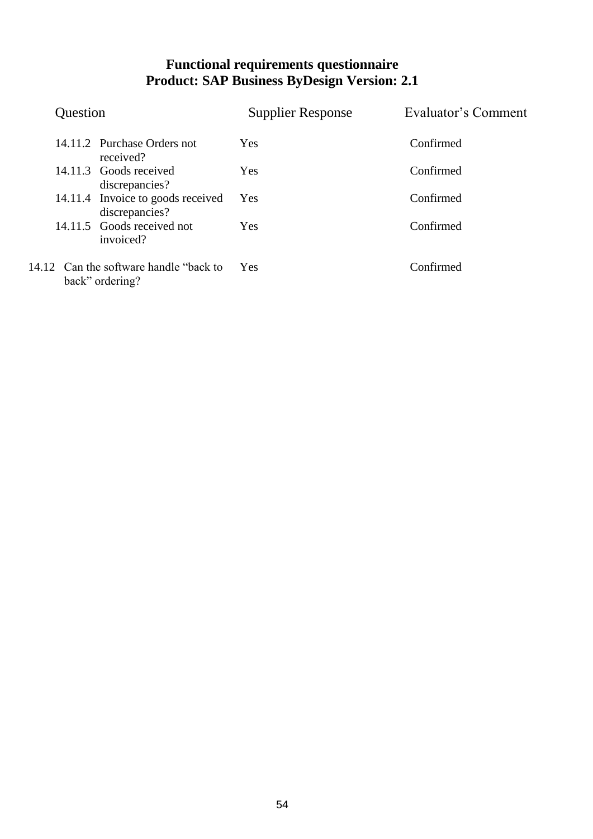| Question               |                                                     | <b>Supplier Response</b> | Evaluator's Comment |
|------------------------|-----------------------------------------------------|--------------------------|---------------------|
|                        | 14.11.2 Purchase Orders not<br>received?            | Yes                      | Confirmed           |
| 14.11.3 Goods received | discrepancies?                                      | <b>Yes</b>               | Confirmed           |
|                        | 14.11.4 Invoice to goods received<br>discrepancies? | Yes                      | Confirmed           |
|                        | 14.11.5 Goods received not<br>invoiced?             | <b>Yes</b>               | Confirmed           |
| back" ordering?        | 14.12 Can the software handle "back to"             | Yes                      | Confirmed           |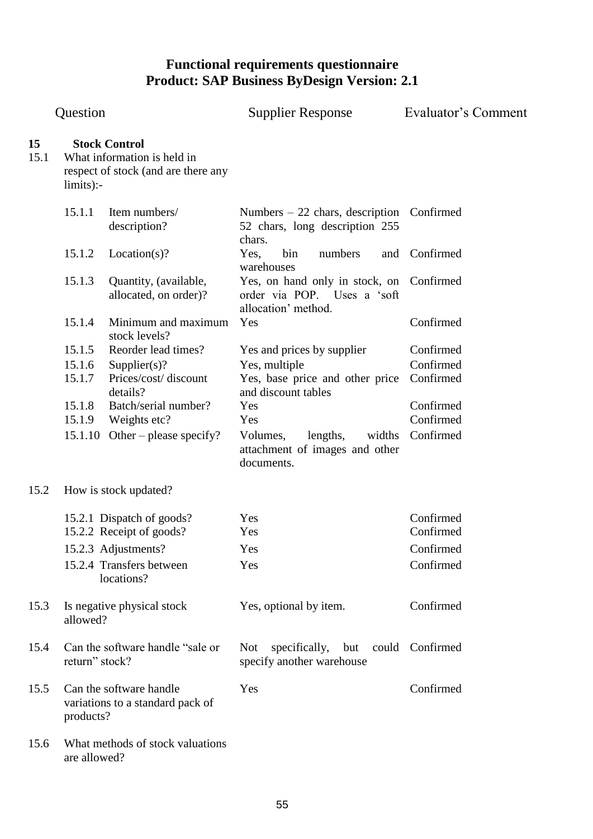| Question   |                |                                                                                            | <b>Supplier Response</b>                                                                       | Evaluator's Comment |
|------------|----------------|--------------------------------------------------------------------------------------------|------------------------------------------------------------------------------------------------|---------------------|
| 15<br>15.1 | limits):       | <b>Stock Control</b><br>What information is held in<br>respect of stock (and are there any |                                                                                                |                     |
|            | 15.1.1         | Item numbers/<br>description?                                                              | Numbers $-22$ chars, description<br>52 chars, long description 255                             | Confirmed           |
|            | 15.1.2         | Location(s)?                                                                               | chars.<br>bin<br>Yes,<br>numbers<br>warehouses                                                 | and Confirmed       |
|            | 15.1.3         | Quantity, (available,<br>allocated, on order)?                                             | Yes, on hand only in stock, on Confirmed<br>order via POP. Uses a 'soft<br>allocation' method. |                     |
|            | 15.1.4         | Minimum and maximum<br>stock levels?                                                       | Yes                                                                                            | Confirmed           |
|            | 15.1.5         | Reorder lead times?                                                                        | Yes and prices by supplier                                                                     | Confirmed           |
|            | 15.1.6         | Supplier(s)?                                                                               | Yes, multiple                                                                                  | Confirmed           |
|            | 15.1.7         | Prices/cost/ discount<br>details?                                                          | Yes, base price and other price<br>and discount tables                                         | Confirmed           |
|            | 15.1.8         | Batch/serial number?                                                                       | Yes                                                                                            | Confirmed           |
|            | 15.1.9         | Weights etc?                                                                               | Yes                                                                                            | Confirmed           |
|            | 15.1.10        | Other – please specify?                                                                    | lengths,<br>Volumes,<br>widths<br>attachment of images and other<br>documents.                 | Confirmed           |
| 15.2       |                | How is stock updated?                                                                      |                                                                                                |                     |
|            |                | 15.2.1 Dispatch of goods?                                                                  | Yes                                                                                            | Confirmed           |
|            |                | 15.2.2 Receipt of goods?                                                                   | Yes                                                                                            | Confirmed           |
|            |                | 15.2.3 Adjustments?                                                                        | Yes                                                                                            | Confirmed           |
|            |                | 15.2.4 Transfers between<br>locations?                                                     | Yes                                                                                            | Confirmed           |
| 15.3       | allowed?       | Is negative physical stock                                                                 | Yes, optional by item.                                                                         | Confirmed           |
| 15.4       | return" stock? | Can the software handle "sale or                                                           | specifically,<br><b>Not</b><br>but<br>specify another warehouse                                | could Confirmed     |
| 15.5       | products?      | Can the software handle<br>variations to a standard pack of                                | Yes                                                                                            | Confirmed           |
| 15.6       | are allowed?   | What methods of stock valuations                                                           |                                                                                                |                     |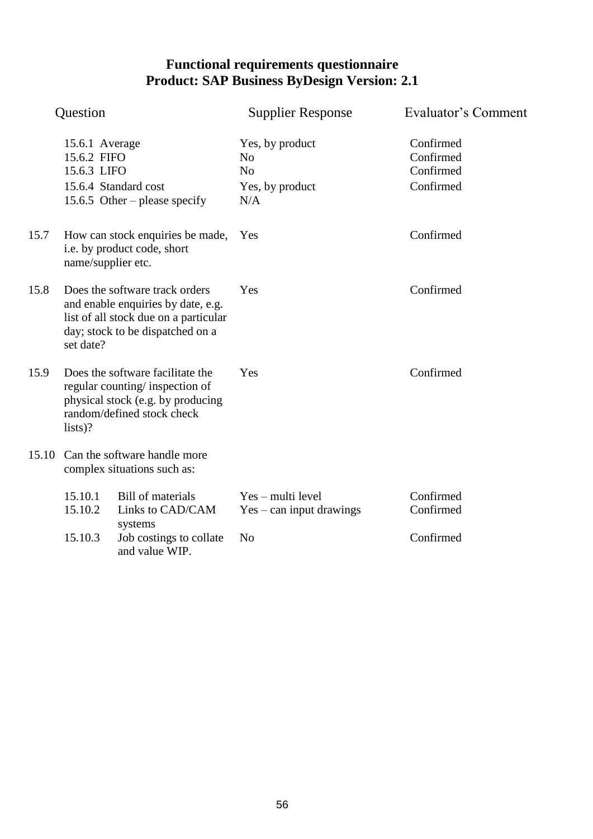|       | Question                                     |                                                                                                                                                   | <b>Supplier Response</b>                                                      | Evaluator's Comment                              |
|-------|----------------------------------------------|---------------------------------------------------------------------------------------------------------------------------------------------------|-------------------------------------------------------------------------------|--------------------------------------------------|
|       | 15.6.1 Average<br>15.6.2 FIFO<br>15.6.3 LIFO | 15.6.4 Standard cost<br>15.6.5 Other – please specify                                                                                             | Yes, by product<br>N <sub>o</sub><br>N <sub>o</sub><br>Yes, by product<br>N/A | Confirmed<br>Confirmed<br>Confirmed<br>Confirmed |
| 15.7  | name/supplier etc.                           | How can stock enquiries be made,<br>i.e. by product code, short                                                                                   | Yes                                                                           | Confirmed                                        |
| 15.8  | set date?                                    | Does the software track orders<br>and enable enquiries by date, e.g.<br>list of all stock due on a particular<br>day; stock to be dispatched on a | Yes                                                                           | Confirmed                                        |
| 15.9  | lists)?                                      | Does the software facilitate the<br>regular counting/inspection of<br>physical stock (e.g. by producing<br>random/defined stock check             | Yes                                                                           | Confirmed                                        |
| 15.10 |                                              | Can the software handle more<br>complex situations such as:                                                                                       |                                                                               |                                                  |
|       | 15.10.1<br>15.10.2                           | Bill of materials<br>Links to CAD/CAM<br>systems                                                                                                  | Yes – multi level<br>$Yes - can input drawings$                               | Confirmed<br>Confirmed                           |
|       | 15.10.3                                      | Job costings to collate<br>and value WIP.                                                                                                         | N <sub>o</sub>                                                                | Confirmed                                        |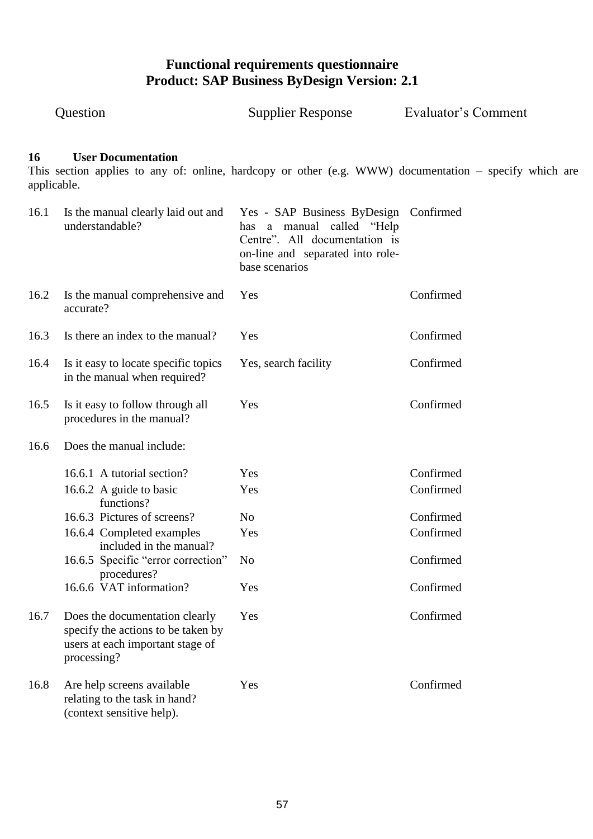|                   | Question                                                                                                                | <b>Supplier Response</b>                                                                                                                        | Evaluator's Comment                                                                                    |
|-------------------|-------------------------------------------------------------------------------------------------------------------------|-------------------------------------------------------------------------------------------------------------------------------------------------|--------------------------------------------------------------------------------------------------------|
| 16<br>applicable. | <b>User Documentation</b>                                                                                               |                                                                                                                                                 | This section applies to any of: online, hardcopy or other (e.g. WWW) documentation – specify which are |
| 16.1              | Is the manual clearly laid out and<br>understandable?                                                                   | Yes - SAP Business ByDesign<br>has a manual called "Help<br>Centre". All documentation is<br>on-line and separated into role-<br>base scenarios | Confirmed                                                                                              |
| 16.2              | Is the manual comprehensive and<br>accurate?                                                                            | Yes                                                                                                                                             | Confirmed                                                                                              |
| 16.3              | Is there an index to the manual?                                                                                        | Yes                                                                                                                                             | Confirmed                                                                                              |
| 16.4              | Is it easy to locate specific topics<br>in the manual when required?                                                    | Yes, search facility                                                                                                                            | Confirmed                                                                                              |
| 16.5              | Is it easy to follow through all<br>procedures in the manual?                                                           | Yes                                                                                                                                             | Confirmed                                                                                              |
| 16.6              | Does the manual include:                                                                                                |                                                                                                                                                 |                                                                                                        |
|                   | 16.6.1 A tutorial section?                                                                                              | Yes                                                                                                                                             | Confirmed                                                                                              |
|                   | 16.6.2 A guide to basic                                                                                                 | Yes                                                                                                                                             | Confirmed                                                                                              |
|                   | functions?<br>16.6.3 Pictures of screens?                                                                               | N <sub>o</sub>                                                                                                                                  | Confirmed                                                                                              |
|                   | 16.6.4 Completed examples                                                                                               | Yes                                                                                                                                             | Confirmed                                                                                              |
|                   | included in the manual?                                                                                                 |                                                                                                                                                 |                                                                                                        |
|                   | 16.6.5 Specific "error correction"<br>procedures?                                                                       | N <sub>o</sub>                                                                                                                                  | Confirmed                                                                                              |
|                   | 16.6.6 VAT information?                                                                                                 | Yes                                                                                                                                             | Confirmed                                                                                              |
| 16.7              | Does the documentation clearly<br>specify the actions to be taken by<br>users at each important stage of<br>processing? | Yes                                                                                                                                             | Confirmed                                                                                              |
| 16.8              | Are help screens available<br>relating to the task in hand?<br>(context sensitive help).                                | Yes                                                                                                                                             | Confirmed                                                                                              |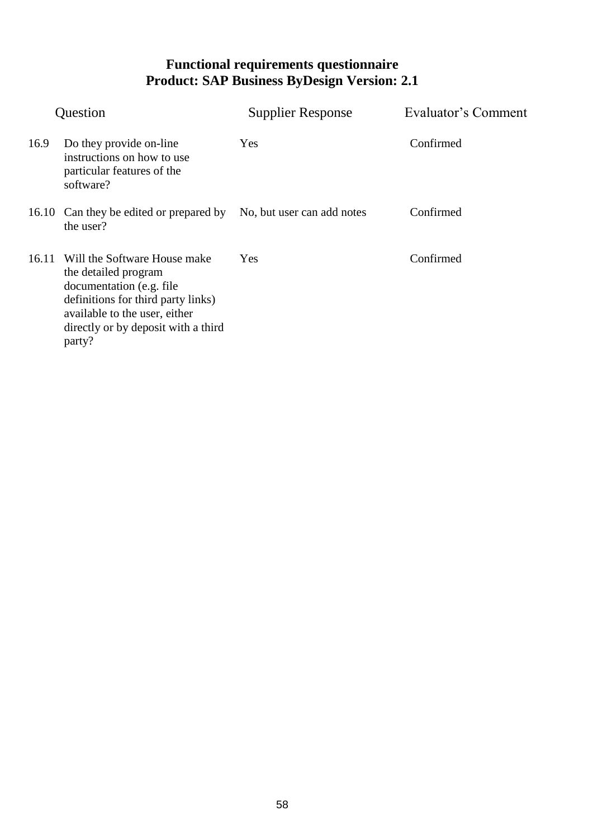| Question |                                                                                                                                                                                                           | <b>Supplier Response</b>   | Evaluator's Comment |
|----------|-----------------------------------------------------------------------------------------------------------------------------------------------------------------------------------------------------------|----------------------------|---------------------|
| 16.9     | Do they provide on-line<br>instructions on how to use<br>particular features of the<br>software?                                                                                                          | Yes                        | Confirmed           |
|          | 16.10 Can they be edited or prepared by<br>the user?                                                                                                                                                      | No, but user can add notes | Confirmed           |
| 16.11    | Will the Software House make<br>the detailed program<br>documentation (e.g. file)<br>definitions for third party links)<br>available to the user, either<br>directly or by deposit with a third<br>party? | Yes                        | Confirmed           |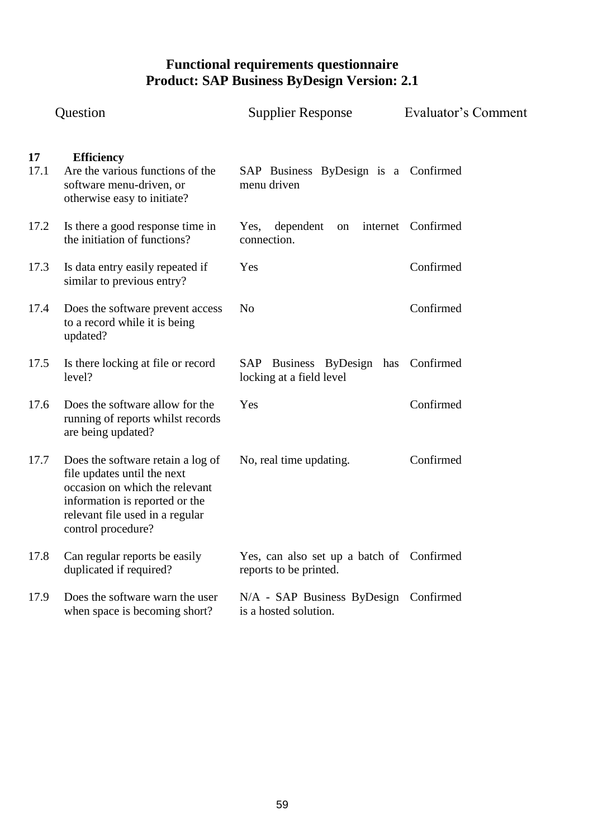|            | Question                                                                                                                                                                                      | <b>Supplier Response</b>                                            | Evaluator's Comment |
|------------|-----------------------------------------------------------------------------------------------------------------------------------------------------------------------------------------------|---------------------------------------------------------------------|---------------------|
| 17<br>17.1 | <b>Efficiency</b><br>Are the various functions of the<br>software menu-driven, or<br>otherwise easy to initiate?                                                                              | SAP Business ByDesign is a Confirmed<br>menu driven                 |                     |
| 17.2       | Is there a good response time in<br>the initiation of functions?                                                                                                                              | dependent<br>Yes,<br>$\,$ on $\,$<br>connection.                    | internet Confirmed  |
| 17.3       | Is data entry easily repeated if<br>similar to previous entry?                                                                                                                                | Yes                                                                 | Confirmed           |
| 17.4       | Does the software prevent access<br>to a record while it is being<br>updated?                                                                                                                 | N <sub>o</sub>                                                      | Confirmed           |
| 17.5       | Is there locking at file or record<br>level?                                                                                                                                                  | Business ByDesign has Confirmed<br>SAP<br>locking at a field level  |                     |
| 17.6       | Does the software allow for the<br>running of reports whilst records<br>are being updated?                                                                                                    | Yes                                                                 | Confirmed           |
| 17.7       | Does the software retain a log of<br>file updates until the next<br>occasion on which the relevant<br>information is reported or the<br>relevant file used in a regular<br>control procedure? | No, real time updating.                                             | Confirmed           |
| 17.8       | Can regular reports be easily<br>duplicated if required?                                                                                                                                      | Yes, can also set up a batch of Confirmed<br>reports to be printed. |                     |
| 17.9       | Does the software warn the user<br>when space is becoming short?                                                                                                                              | N/A - SAP Business ByDesign Confirmed<br>is a hosted solution.      |                     |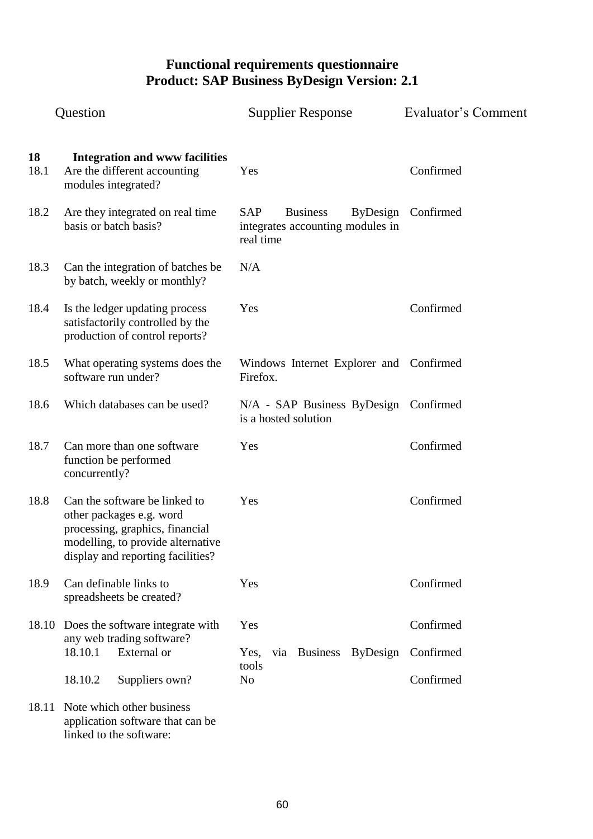| Question   |                                                                                                                                                                        | <b>Supplier Response</b>                                                                          | Evaluator's Comment    |
|------------|------------------------------------------------------------------------------------------------------------------------------------------------------------------------|---------------------------------------------------------------------------------------------------|------------------------|
| 18<br>18.1 | <b>Integration and www facilities</b><br>Are the different accounting<br>modules integrated?                                                                           | Yes                                                                                               | Confirmed              |
| 18.2       | Are they integrated on real time<br>basis or batch basis?                                                                                                              | <b>SAP</b><br><b>Business</b><br><b>ByDesign</b><br>integrates accounting modules in<br>real time | Confirmed              |
| 18.3       | Can the integration of batches be<br>by batch, weekly or monthly?                                                                                                      | N/A                                                                                               |                        |
| 18.4       | Is the ledger updating process<br>satisfactorily controlled by the<br>production of control reports?                                                                   | Yes                                                                                               | Confirmed              |
| 18.5       | What operating systems does the<br>software run under?                                                                                                                 | Windows Internet Explorer and Confirmed<br>Firefox.                                               |                        |
| 18.6       | Which databases can be used?                                                                                                                                           | N/A - SAP Business ByDesign Confirmed<br>is a hosted solution                                     |                        |
| 18.7       | Can more than one software<br>function be performed<br>concurrently?                                                                                                   | Yes                                                                                               | Confirmed              |
| 18.8       | Can the software be linked to<br>other packages e.g. word<br>processing, graphics, financial<br>modelling, to provide alternative<br>display and reporting facilities? | Yes                                                                                               | Confirmed              |
| 18.9       | Can definable links to<br>spreadsheets be created?                                                                                                                     | Yes                                                                                               | Confirmed              |
| 18.10      | Does the software integrate with<br>any web trading software?<br>18.10.1<br>External or                                                                                | Yes<br>Business ByDesign<br>Yes,<br>via                                                           | Confirmed<br>Confirmed |
|            | 18.10.2<br>Suppliers own?                                                                                                                                              | tools<br>N <sub>o</sub>                                                                           | Confirmed              |
| 18.11      | Note which other business<br>application software that can be<br>linked to the software:                                                                               |                                                                                                   |                        |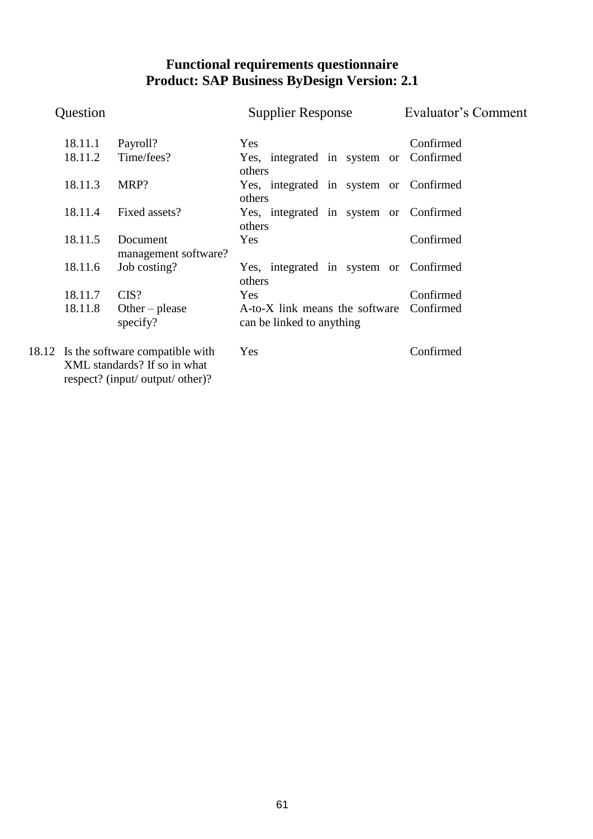| Question |                                                                                                           | <b>Supplier Response</b>                                              | Evaluator's Comment |
|----------|-----------------------------------------------------------------------------------------------------------|-----------------------------------------------------------------------|---------------------|
|          | 18.11.1<br>Payroll?                                                                                       | Yes                                                                   | Confirmed           |
|          | Time/fees?<br>18.11.2                                                                                     | Yes, integrated in system or Confirmed<br>others                      |                     |
|          | 18.11.3<br>MRP?                                                                                           | Yes, integrated in system or Confirmed<br>others                      |                     |
|          | Fixed assets?<br>18.11.4                                                                                  | Yes, integrated in system or Confirmed<br>others                      |                     |
|          | 18.11.5<br>Document<br>management software?                                                               | Yes                                                                   | Confirmed           |
|          | 18.11.6<br>Job costing?                                                                                   | Yes, integrated in system or Confirmed<br>others                      |                     |
|          | 18.11.7<br>CIS?                                                                                           | Yes                                                                   | Confirmed           |
|          | 18.11.8<br>Other – please<br>specify?                                                                     | A-to-X link means the software Confirmed<br>can be linked to anything |                     |
|          | 18.12 Is the software compatible with<br>XML standards? If so in what<br>respect? (input/ output/ other)? | Yes                                                                   | Confirmed           |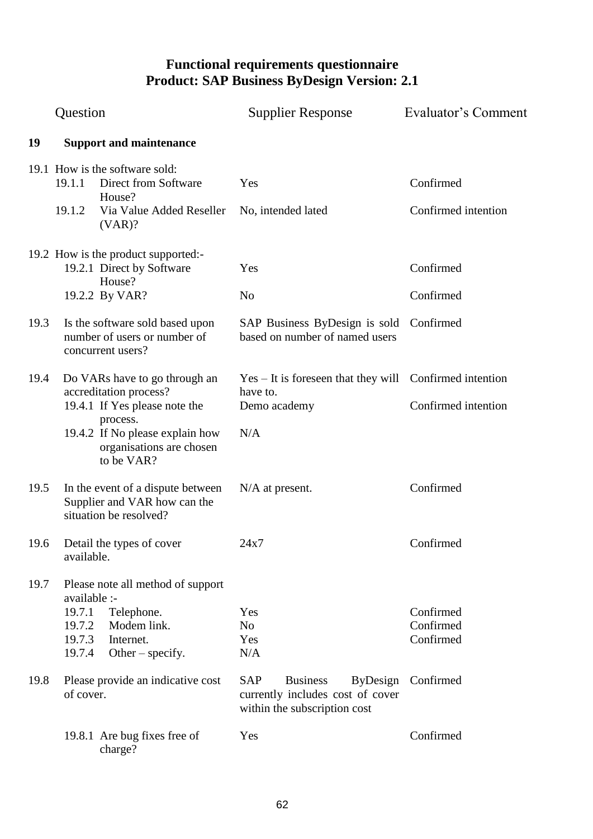|      | Question                                                                                                                                                                          | <b>Supplier Response</b>                                                                                             | Evaluator's Comment                 |
|------|-----------------------------------------------------------------------------------------------------------------------------------------------------------------------------------|----------------------------------------------------------------------------------------------------------------------|-------------------------------------|
| 19   | <b>Support and maintenance</b>                                                                                                                                                    |                                                                                                                      |                                     |
|      | 19.1 How is the software sold:<br>19.1.1<br>Direct from Software<br>House?<br>19.1.2<br>Via Value Added Reseller<br>(VAR)?                                                        | Yes<br>No, intended lated                                                                                            | Confirmed<br>Confirmed intention    |
|      | 19.2 How is the product supported:-<br>19.2.1 Direct by Software<br>House?<br>19.2.2 By VAR?                                                                                      | Yes<br>N <sub>o</sub>                                                                                                | Confirmed<br>Confirmed              |
| 19.3 | Is the software sold based upon<br>number of users or number of<br>concurrent users?                                                                                              | SAP Business ByDesign is sold<br>based on number of named users                                                      | Confirmed                           |
| 19.4 | Do VARs have to go through an<br>accreditation process?<br>19.4.1 If Yes please note the<br>process.<br>19.4.2 If No please explain how<br>organisations are chosen<br>to be VAR? | $Yes - It is for the same that they will Conformed intention.$<br>have to.<br>Demo academy<br>N/A                    | Confirmed intention                 |
| 19.5 | In the event of a dispute between<br>Supplier and VAR how can the<br>situation be resolved?                                                                                       | $N/A$ at present.                                                                                                    | Confirmed                           |
| 19.6 | Detail the types of cover<br>available.                                                                                                                                           | 24x7                                                                                                                 | Confirmed                           |
| 19.7 | Please note all method of support<br>available :-<br>19.7.1<br>Telephone.<br>Modem link.<br>19.7.2<br>19.7.3<br>Internet.<br>19.7.4<br>Other $-$ specify.                         | Yes<br>No.<br>Yes<br>N/A                                                                                             | Confirmed<br>Confirmed<br>Confirmed |
| 19.8 | Please provide an indicative cost<br>of cover.                                                                                                                                    | <b>SAP</b><br><b>Business</b><br><b>ByDesign</b><br>currently includes cost of cover<br>within the subscription cost | Confirmed                           |
|      | 19.8.1 Are bug fixes free of<br>charge?                                                                                                                                           | Yes                                                                                                                  | Confirmed                           |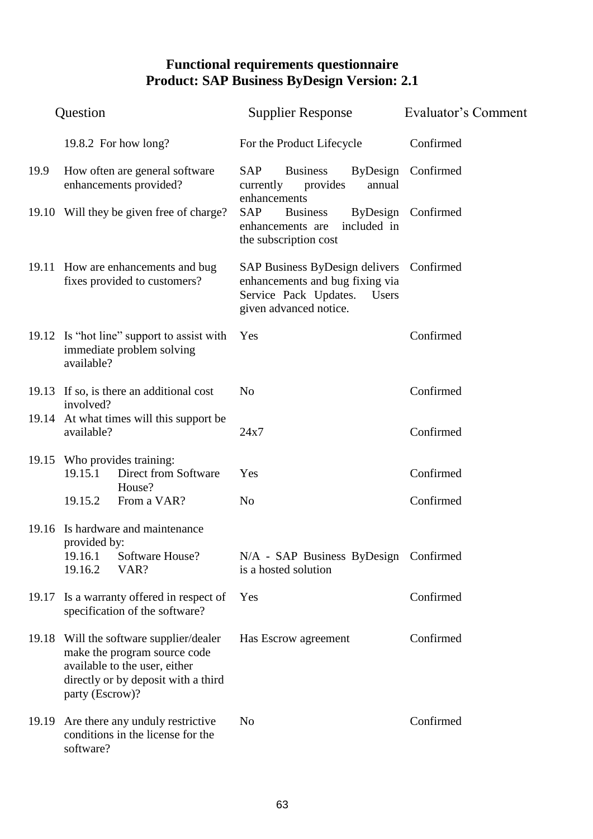|       | Question                                                                              |                                                                                                                                                 | <b>Supplier Response</b>                                                                                                                | Evaluator's Comment |
|-------|---------------------------------------------------------------------------------------|-------------------------------------------------------------------------------------------------------------------------------------------------|-----------------------------------------------------------------------------------------------------------------------------------------|---------------------|
|       |                                                                                       | 19.8.2 For how long?                                                                                                                            | For the Product Lifecycle                                                                                                               | Confirmed           |
| 19.9  |                                                                                       | How often are general software<br>enhancements provided?                                                                                        | <b>SAP</b><br><b>Business</b><br>currently<br>provides<br>annual                                                                        | ByDesign Confirmed  |
|       |                                                                                       | 19.10 Will they be given free of charge?                                                                                                        | enhancements<br>SAP<br><b>Business</b><br>included in<br>enhancements are<br>the subscription cost                                      | ByDesign Confirmed  |
|       | 19.11 How are enhancements and bug<br>fixes provided to customers?                    |                                                                                                                                                 | SAP Business ByDesign delivers Confirmed<br>enhancements and bug fixing via<br>Service Pack Updates.<br>Users<br>given advanced notice. |                     |
|       | 19.12 Is "hot line" support to assist with<br>immediate problem solving<br>available? |                                                                                                                                                 | Yes                                                                                                                                     | Confirmed           |
|       | involved?                                                                             | 19.13 If so, is there an additional cost                                                                                                        | N <sub>o</sub>                                                                                                                          | Confirmed           |
| 19.14 | available?                                                                            | At what times will this support be                                                                                                              | 24x7                                                                                                                                    | Confirmed           |
|       | 19.15.1                                                                               | 19.15 Who provides training:<br>Direct from Software<br>House?                                                                                  | Yes                                                                                                                                     | Confirmed           |
|       | 19.15.2                                                                               | From a VAR?                                                                                                                                     | N <sub>o</sub>                                                                                                                          | Confirmed           |
| 19.16 | provided by:                                                                          | Is hardware and maintenance                                                                                                                     |                                                                                                                                         |                     |
|       | 19.16.1<br>19.16.2                                                                    | Software House?<br>VAR?                                                                                                                         | N/A - SAP Business ByDesign Confirmed<br>is a hosted solution                                                                           |                     |
| 19.17 |                                                                                       | Is a warranty offered in respect of<br>specification of the software?                                                                           | Yes                                                                                                                                     | Confirmed           |
|       | party (Escrow)?                                                                       | 19.18 Will the software supplier/dealer<br>make the program source code<br>available to the user, either<br>directly or by deposit with a third | Has Escrow agreement                                                                                                                    | Confirmed           |
| 19.19 | software?                                                                             | Are there any unduly restrictive<br>conditions in the license for the                                                                           | No                                                                                                                                      | Confirmed           |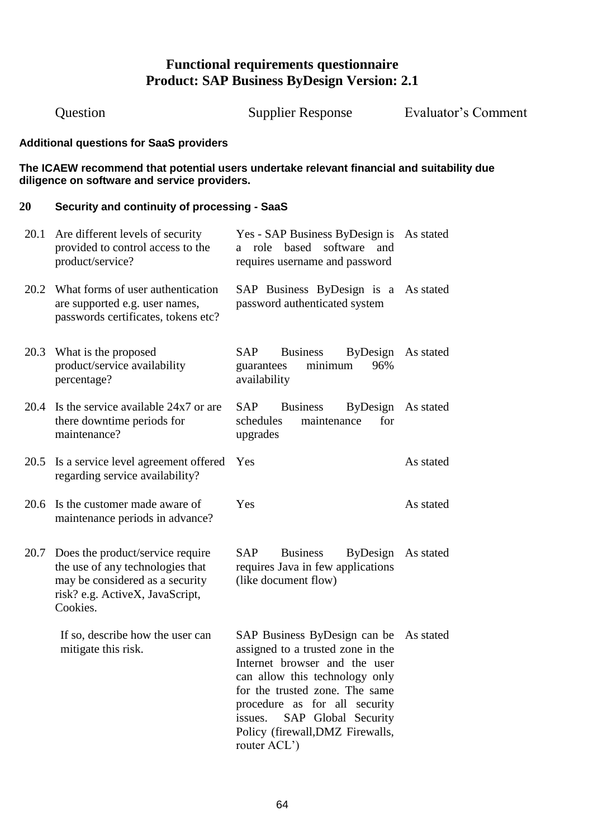Question Supplier Response Evaluator"s Comment **Additional questions for SaaS providers The ICAEW recommend that potential users undertake relevant financial and suitability due diligence on software and service providers. 20 Security and continuity of processing - SaaS** 20.1 Are different levels of security provided to control access to the product/service? Yes - SAP Business ByDesign is As stated a role based software and requires username and password 20.2 What forms of user authentication are supported e.g. user names, passwords certificates, tokens etc? SAP Business ByDesign is a As stated password authenticated system 20.3 What is the proposed product/service availability percentage? SAP Business ByDesign As stated guarantees minimum 96% availability 20.4 Is the service available 24x7 or are there downtime periods for maintenance? SAP Business ByDesign As stated schedules maintenance for upgrades 20.5 Is a service level agreement offered Yes regarding service availability? As stated 20.6 Is the customer made aware of maintenance periods in advance? Yes As stated 20.7 Does the product/service require the use of any technologies that may be considered as a security risk? e.g. ActiveX, JavaScript, **Cookies** If so, describe how the user can mitigate this risk. SAP Business ByDesign As stated requires Java in few applications (like document flow) SAP Business ByDesign can be As statedassigned to a trusted zone in the Internet browser and the user can allow this technology only for the trusted zone. The same procedure as for all security issues. SAP Global Security Policy (firewall,DMZ Firewalls, router ACL")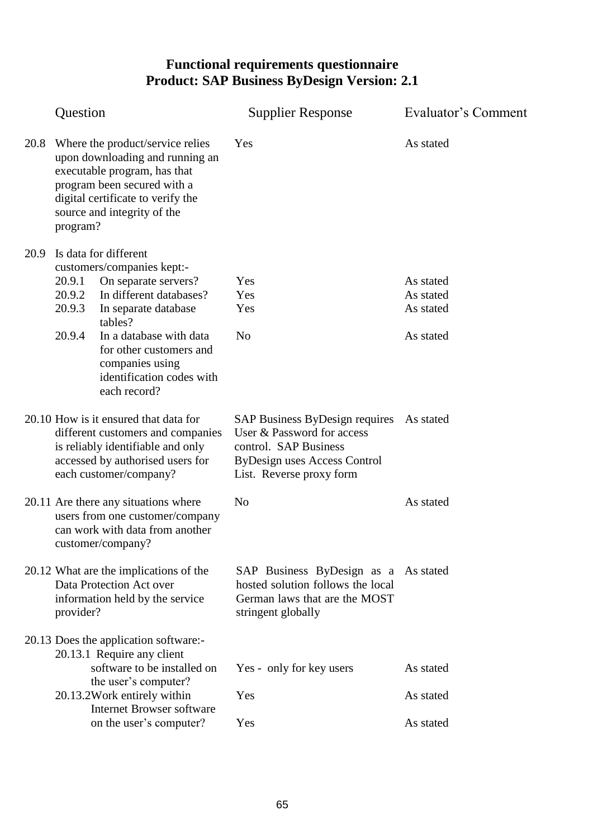|      | Question                                                                                                                                                                                                           |                                                                                                                                                                               | <b>Supplier Response</b>                                                                                                                                           | Evaluator's Comment    |
|------|--------------------------------------------------------------------------------------------------------------------------------------------------------------------------------------------------------------------|-------------------------------------------------------------------------------------------------------------------------------------------------------------------------------|--------------------------------------------------------------------------------------------------------------------------------------------------------------------|------------------------|
| 20.8 | Where the product/service relies<br>upon downloading and running an<br>executable program, has that<br>program been secured with a<br>digital certificate to verify the<br>source and integrity of the<br>program? |                                                                                                                                                                               | Yes                                                                                                                                                                | As stated              |
| 20.9 | 20.9.1<br>20.9.2                                                                                                                                                                                                   | Is data for different<br>customers/companies kept:-<br>On separate servers?<br>In different databases?                                                                        | Yes<br>Yes                                                                                                                                                         | As stated<br>As stated |
|      | 20.9.3                                                                                                                                                                                                             | In separate database                                                                                                                                                          | Yes                                                                                                                                                                | As stated              |
|      | 20.9.4                                                                                                                                                                                                             | tables?<br>In a database with data<br>for other customers and<br>companies using<br>identification codes with<br>each record?                                                 | N <sub>0</sub>                                                                                                                                                     | As stated              |
|      |                                                                                                                                                                                                                    | 20.10 How is it ensured that data for<br>different customers and companies<br>is reliably identifiable and only<br>accessed by authorised users for<br>each customer/company? | SAP Business ByDesign requires As stated<br>User & Password for access<br>control. SAP Business<br><b>ByDesign uses Access Control</b><br>List. Reverse proxy form |                        |
|      |                                                                                                                                                                                                                    | 20.11 Are there any situations where<br>users from one customer/company<br>can work with data from another<br>customer/company?                                               | N <sub>o</sub>                                                                                                                                                     | As stated              |
|      | provider?                                                                                                                                                                                                          | 20.12 What are the implications of the<br>Data Protection Act over<br>information held by the service                                                                         | SAP Business ByDesign as a As stated<br>hosted solution follows the local<br>German laws that are the MOST<br>stringent globally                                   |                        |
|      |                                                                                                                                                                                                                    | 20.13 Does the application software:-<br>20.13.1 Require any client<br>software to be installed on                                                                            | Yes - only for key users                                                                                                                                           | As stated              |
|      |                                                                                                                                                                                                                    | the user's computer?<br>20.13.2Work entirely within<br><b>Internet Browser software</b>                                                                                       | Yes                                                                                                                                                                | As stated              |
|      |                                                                                                                                                                                                                    | on the user's computer?                                                                                                                                                       | Yes                                                                                                                                                                | As stated              |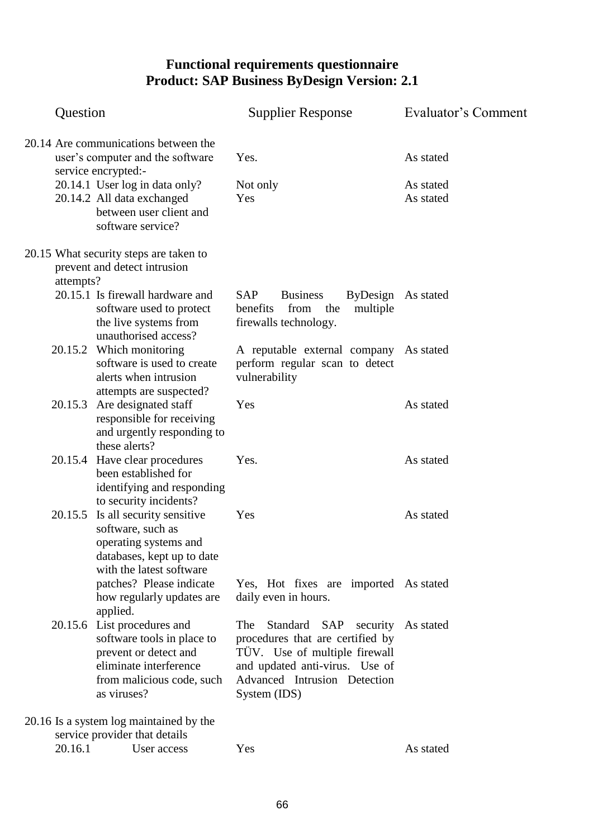| Question  |                                                                                                                                                                                                                 | <b>Supplier Response</b>                                                                                                                                                                  | <b>Evaluator's Comment</b>          |
|-----------|-----------------------------------------------------------------------------------------------------------------------------------------------------------------------------------------------------------------|-------------------------------------------------------------------------------------------------------------------------------------------------------------------------------------------|-------------------------------------|
|           | 20.14 Are communications between the<br>user's computer and the software<br>service encrypted:-<br>20.14.1 User log in data only?<br>20.14.2 All data exchanged<br>between user client and<br>software service? | Yes.<br>Not only<br>Yes                                                                                                                                                                   | As stated<br>As stated<br>As stated |
| attempts? | 20.15 What security steps are taken to<br>prevent and detect intrusion                                                                                                                                          |                                                                                                                                                                                           |                                     |
|           | 20.15.1 Is firewall hardware and<br>software used to protect<br>the live systems from<br>unauthorised access?                                                                                                   | <b>SAP</b><br><b>Business</b><br>ByDesign<br>benefits<br>from<br>the<br>multiple<br>firewalls technology.                                                                                 | As stated                           |
|           | 20.15.2 Which monitoring<br>software is used to create<br>alerts when intrusion<br>attempts are suspected?                                                                                                      | A reputable external company As stated<br>perform regular scan to detect<br>vulnerability                                                                                                 |                                     |
| 20.15.3   | Are designated staff<br>responsible for receiving<br>and urgently responding to<br>these alerts?                                                                                                                | Yes                                                                                                                                                                                       | As stated                           |
|           | 20.15.4 Have clear procedures<br>been established for<br>identifying and responding<br>to security incidents?                                                                                                   | Yes.                                                                                                                                                                                      | As stated                           |
|           | 20.15.5 Is all security sensitive<br>software, such as<br>operating systems and<br>databases, kept up to date<br>with the latest software                                                                       | Yes                                                                                                                                                                                       | As stated                           |
|           | patches? Please indicate<br>how regularly updates are<br>applied.                                                                                                                                               | Yes, Hot fixes are imported As stated<br>daily even in hours.                                                                                                                             |                                     |
| 20.15.6   | List procedures and<br>software tools in place to<br>prevent or detect and<br>eliminate interference<br>from malicious code, such<br>as viruses?                                                                | Standard<br>SAP<br>security<br>The<br>procedures that are certified by<br>TÜV. Use of multiple firewall<br>and updated anti-virus. Use of<br>Advanced Intrusion Detection<br>System (IDS) | As stated                           |
| 20.16.1   | 20.16 Is a system log maintained by the<br>service provider that details<br>User access                                                                                                                         | Yes                                                                                                                                                                                       | As stated                           |
|           |                                                                                                                                                                                                                 |                                                                                                                                                                                           |                                     |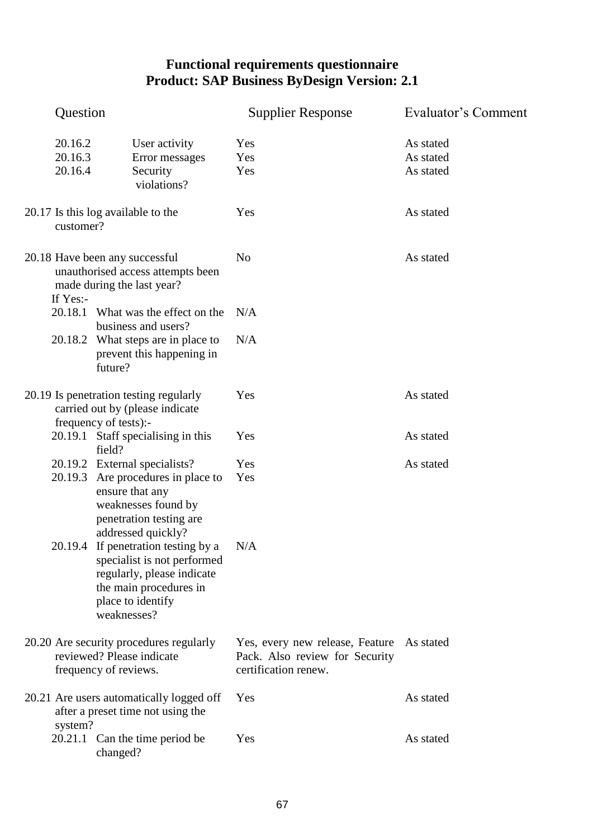| Question                      |                                                                                                                                                                    | <b>Supplier Response</b>                                                                  | Evaluator's Comment                 |
|-------------------------------|--------------------------------------------------------------------------------------------------------------------------------------------------------------------|-------------------------------------------------------------------------------------------|-------------------------------------|
| 20.16.2<br>20.16.3<br>20.16.4 | User activity<br>Error messages<br>Security<br>violations?                                                                                                         | Yes<br>Yes<br>Yes                                                                         | As stated<br>As stated<br>As stated |
| customer?                     | 20.17 Is this log available to the                                                                                                                                 | Yes                                                                                       | As stated                           |
| If Yes:-                      | 20.18 Have been any successful<br>unauthorised access attempts been<br>made during the last year?                                                                  | N <sub>o</sub>                                                                            | As stated                           |
|                               | 20.18.1 What was the effect on the<br>business and users?                                                                                                          | N/A                                                                                       |                                     |
|                               | 20.18.2 What steps are in place to<br>prevent this happening in<br>future?                                                                                         | N/A                                                                                       |                                     |
|                               | 20.19 Is penetration testing regularly<br>carried out by (please indicate<br>frequency of tests):-                                                                 | Yes                                                                                       | As stated                           |
|                               | 20.19.1 Staff specialising in this<br>field?                                                                                                                       | Yes                                                                                       | As stated                           |
|                               | 20.19.2 External specialists?<br>20.19.3 Are procedures in place to<br>ensure that any<br>weaknesses found by<br>penetration testing are<br>addressed quickly?     | Yes<br>Yes                                                                                | As stated                           |
|                               | 20.19.4 If penetration testing by a N/A<br>specialist is not performed<br>regularly, please indicate<br>the main procedures in<br>place to identify<br>weaknesses? |                                                                                           |                                     |
|                               | 20.20 Are security procedures regularly<br>reviewed? Please indicate<br>frequency of reviews.                                                                      | Yes, every new release, Feature<br>Pack. Also review for Security<br>certification renew. | As stated                           |
| system?                       | 20.21 Are users automatically logged off<br>after a preset time not using the                                                                                      | Yes                                                                                       | As stated                           |
|                               | 20.21.1 Can the time period be<br>changed?                                                                                                                         | Yes                                                                                       | As stated                           |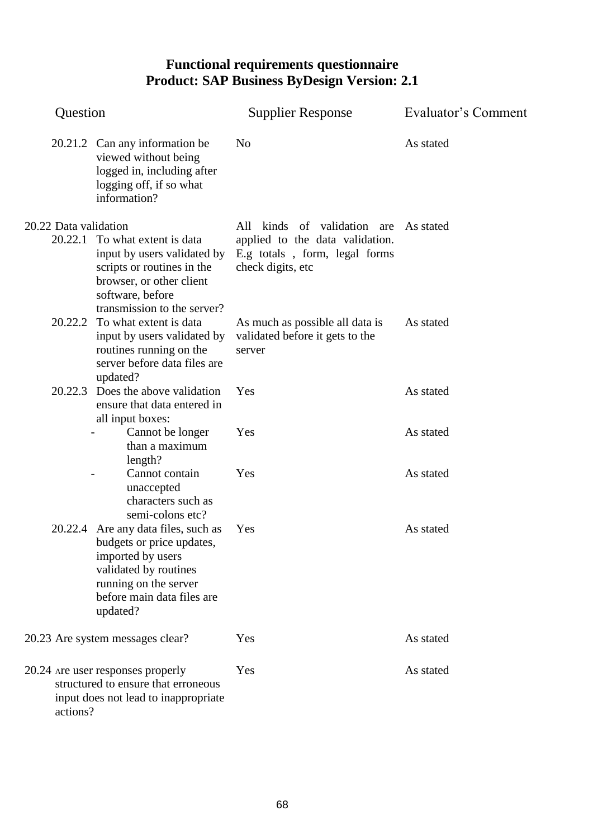| Question                                                                                                                     |                                                                                                                                                                           | <b>Supplier Response</b>                                                                                             | Evaluator's Comment |
|------------------------------------------------------------------------------------------------------------------------------|---------------------------------------------------------------------------------------------------------------------------------------------------------------------------|----------------------------------------------------------------------------------------------------------------------|---------------------|
|                                                                                                                              | 20.21.2 Can any information be<br>viewed without being<br>logged in, including after<br>logging off, if so what<br>information?                                           | N <sub>0</sub>                                                                                                       | As stated           |
| 20.22 Data validation<br>20.22.1                                                                                             | To what extent is data<br>input by users validated by<br>scripts or routines in the<br>browser, or other client<br>software, before<br>transmission to the server?        | All kinds of validation are<br>applied to the data validation.<br>E.g totals, form, legal forms<br>check digits, etc | As stated           |
| 20.22.2                                                                                                                      | To what extent is data<br>input by users validated by<br>routines running on the<br>server before data files are<br>updated?                                              | As much as possible all data is<br>validated before it gets to the<br>server                                         | As stated           |
|                                                                                                                              | 20.22.3 Does the above validation<br>ensure that data entered in<br>all input boxes:                                                                                      | Yes                                                                                                                  | As stated           |
|                                                                                                                              | Cannot be longer<br>than a maximum<br>length?                                                                                                                             | Yes                                                                                                                  | As stated           |
|                                                                                                                              | Cannot contain<br>unaccepted<br>characters such as<br>semi-colons etc?                                                                                                    | Yes                                                                                                                  | As stated           |
| 20.22.4                                                                                                                      | Are any data files, such as<br>budgets or price updates,<br>imported by users<br>validated by routines<br>running on the server<br>before main data files are<br>updated? | Yes                                                                                                                  | As stated           |
| 20.23 Are system messages clear?                                                                                             |                                                                                                                                                                           | Yes                                                                                                                  | As stated           |
| 20.24 are user responses properly<br>structured to ensure that erroneous<br>input does not lead to inappropriate<br>actions? |                                                                                                                                                                           | Yes                                                                                                                  | As stated           |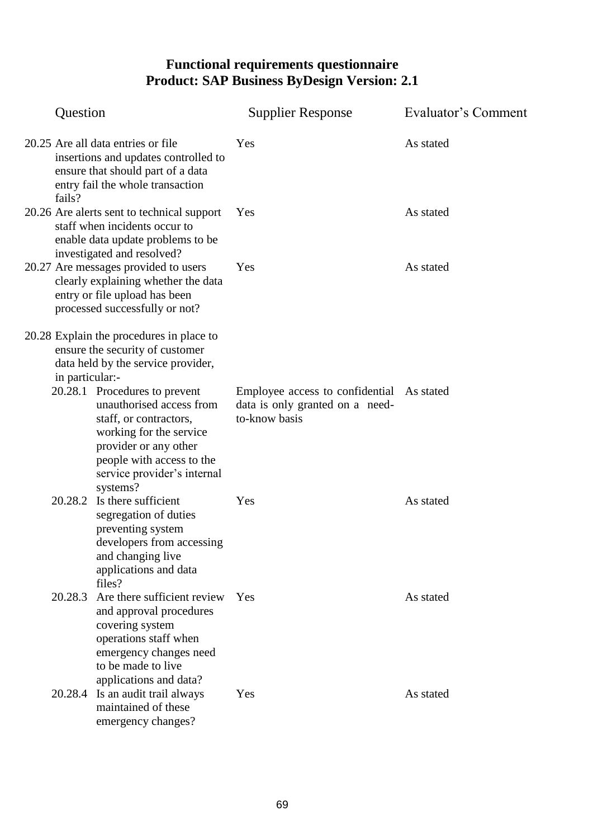| Question                                                                                                                                                                     |                                                                                                                                                                                                                                                                                                                                      | <b>Supplier Response</b>                                                                      | <b>Evaluator's Comment</b> |
|------------------------------------------------------------------------------------------------------------------------------------------------------------------------------|--------------------------------------------------------------------------------------------------------------------------------------------------------------------------------------------------------------------------------------------------------------------------------------------------------------------------------------|-----------------------------------------------------------------------------------------------|----------------------------|
| 20.25 Are all data entries or file<br>insertions and updates controlled to<br>ensure that should part of a data<br>entry fail the whole transaction<br>fails?                |                                                                                                                                                                                                                                                                                                                                      | Yes                                                                                           | As stated                  |
| 20.26 Are alerts sent to technical support<br>staff when incidents occur to<br>enable data update problems to be                                                             |                                                                                                                                                                                                                                                                                                                                      | Yes                                                                                           | As stated                  |
| investigated and resolved?<br>20.27 Are messages provided to users<br>clearly explaining whether the data<br>entry or file upload has been<br>processed successfully or not? |                                                                                                                                                                                                                                                                                                                                      | Yes                                                                                           | As stated                  |
| in particular:-                                                                                                                                                              | 20.28 Explain the procedures in place to<br>ensure the security of customer<br>data held by the service provider,<br>20.28.1 Procedures to prevent<br>unauthorised access from<br>staff, or contractors,<br>working for the service<br>provider or any other<br>people with access to the<br>service provider's internal<br>systems? | Employee access to confidential As stated<br>data is only granted on a need-<br>to-know basis |                            |
| 20.28.2                                                                                                                                                                      | Is there sufficient<br>segregation of duties<br>preventing system<br>developers from accessing<br>and changing live<br>applications and data<br>files?                                                                                                                                                                               | Yes                                                                                           | As stated                  |
| 20.28.3                                                                                                                                                                      | Are there sufficient review<br>and approval procedures<br>covering system<br>operations staff when<br>emergency changes need<br>to be made to live<br>applications and data?                                                                                                                                                         | Yes                                                                                           | As stated                  |
|                                                                                                                                                                              | 20.28.4 Is an audit trail always<br>maintained of these<br>emergency changes?                                                                                                                                                                                                                                                        | Yes                                                                                           | As stated                  |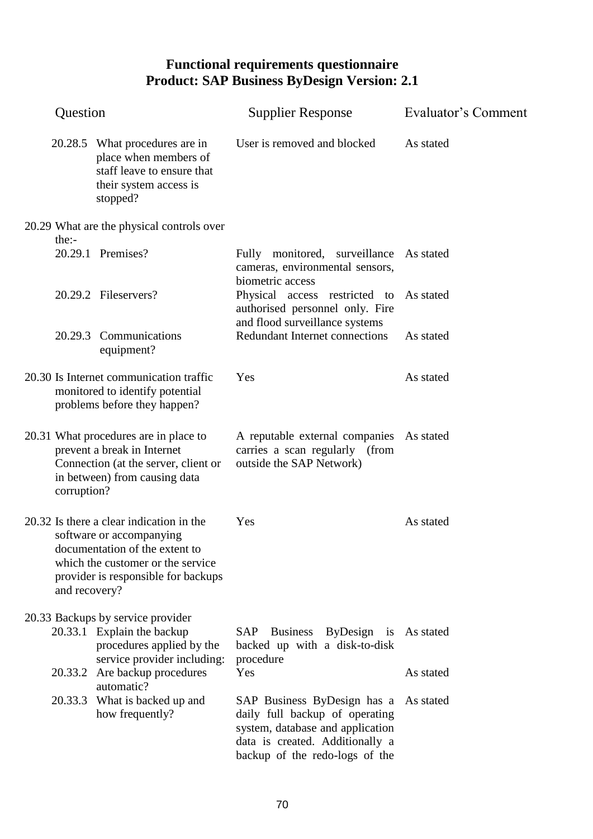| Question      |                                                                                                                                                                                    | <b>Supplier Response</b>                                                                                                                                               | Evaluator's Comment |
|---------------|------------------------------------------------------------------------------------------------------------------------------------------------------------------------------------|------------------------------------------------------------------------------------------------------------------------------------------------------------------------|---------------------|
|               | 20.28.5 What procedures are in<br>place when members of<br>staff leave to ensure that<br>their system access is<br>stopped?                                                        | User is removed and blocked                                                                                                                                            | As stated           |
|               | 20.29 What are the physical controls over                                                                                                                                          |                                                                                                                                                                        |                     |
| the:          | 20.29.1 Premises?                                                                                                                                                                  | Fully monitored, surveillance As stated<br>cameras, environmental sensors,                                                                                             |                     |
|               | 20.29.2 Fileservers?                                                                                                                                                               | biometric access<br>Physical access restricted to<br>authorised personnel only. Fire                                                                                   | As stated           |
|               | 20.29.3 Communications<br>equipment?                                                                                                                                               | and flood surveillance systems<br>Redundant Internet connections                                                                                                       | As stated           |
|               | 20.30 Is Internet communication traffic<br>monitored to identify potential<br>problems before they happen?                                                                         | Yes                                                                                                                                                                    | As stated           |
| corruption?   | 20.31 What procedures are in place to<br>prevent a break in Internet<br>Connection (at the server, client or<br>in between) from causing data                                      | A reputable external companies As stated<br>carries a scan regularly (from<br>outside the SAP Network)                                                                 |                     |
| and recovery? | 20.32 Is there a clear indication in the<br>software or accompanying<br>documentation of the extent to<br>which the customer or the service<br>provider is responsible for backups | Yes                                                                                                                                                                    | As stated           |
|               | 20.33 Backups by service provider                                                                                                                                                  |                                                                                                                                                                        |                     |
|               | 20.33.1 Explain the backup<br>procedures applied by the<br>service provider including:                                                                                             | <b>Business</b><br>ByDesign is<br>SAP<br>backed up with a disk-to-disk<br>procedure                                                                                    | As stated           |
|               | 20.33.2 Are backup procedures<br>automatic?                                                                                                                                        | Yes                                                                                                                                                                    | As stated           |
|               | 20.33.3 What is backed up and<br>how frequently?                                                                                                                                   | SAP Business ByDesign has a<br>daily full backup of operating<br>system, database and application<br>data is created. Additionally a<br>backup of the redo-logs of the | As stated           |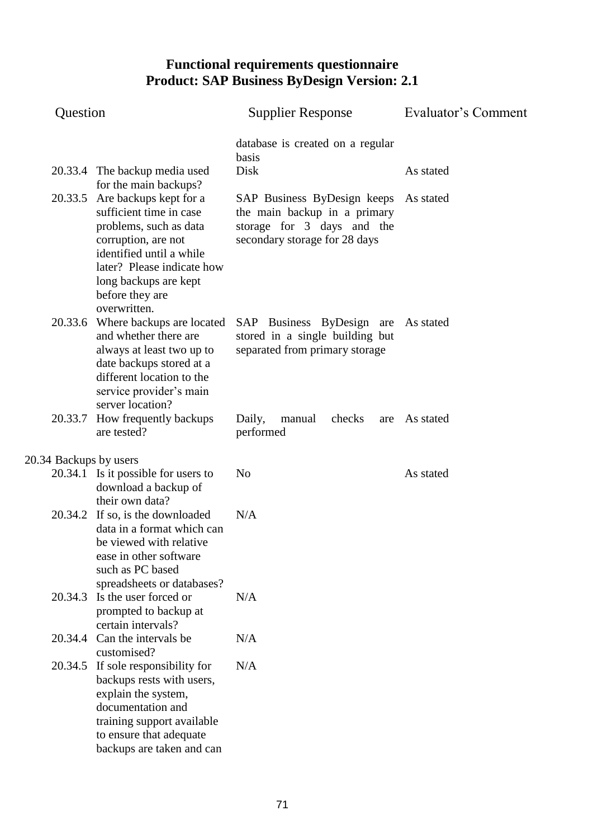| Question               |                                                                                                                                                                                                                                  | <b>Supplier Response</b>                                                                                                   | Evaluator's Comment |
|------------------------|----------------------------------------------------------------------------------------------------------------------------------------------------------------------------------------------------------------------------------|----------------------------------------------------------------------------------------------------------------------------|---------------------|
|                        |                                                                                                                                                                                                                                  | database is created on a regular<br>basis                                                                                  |                     |
|                        | 20.33.4 The backup media used<br>for the main backups?                                                                                                                                                                           | Disk                                                                                                                       | As stated           |
|                        | 20.33.5 Are backups kept for a<br>sufficient time in case<br>problems, such as data<br>corruption, are not<br>identified until a while<br>later? Please indicate how<br>long backups are kept<br>before they are<br>overwritten. | SAP Business ByDesign keeps<br>the main backup in a primary<br>storage for 3 days and the<br>secondary storage for 28 days | As stated           |
|                        | 20.33.6 Where backups are located<br>and whether there are<br>always at least two up to<br>date backups stored at a<br>different location to the<br>service provider's main<br>server location?                                  | SAP Business ByDesign are As stated<br>stored in a single building but<br>separated from primary storage                   |                     |
| 20.33.7                | How frequently backups<br>are tested?                                                                                                                                                                                            | Daily,<br>checks<br>manual<br>are<br>performed                                                                             | As stated           |
| 20.34 Backups by users |                                                                                                                                                                                                                                  |                                                                                                                            |                     |
|                        | 20.34.1 Is it possible for users to<br>download a backup of<br>their own data?                                                                                                                                                   | N <sub>o</sub>                                                                                                             | As stated           |
|                        | 20.34.2 If so, is the downloaded<br>data in a format which can<br>be viewed with relative<br>ease in other software<br>such as PC based<br>spreadsheets or databases?                                                            | N/A                                                                                                                        |                     |
| 20.34.3                | Is the user forced or<br>prompted to backup at<br>certain intervals?                                                                                                                                                             | N/A                                                                                                                        |                     |
|                        | 20.34.4 Can the intervals be<br>customised?                                                                                                                                                                                      | N/A                                                                                                                        |                     |
| 20.34.5                | If sole responsibility for<br>backups rests with users,<br>explain the system,<br>documentation and<br>training support available<br>to ensure that adequate<br>backups are taken and can                                        | N/A                                                                                                                        |                     |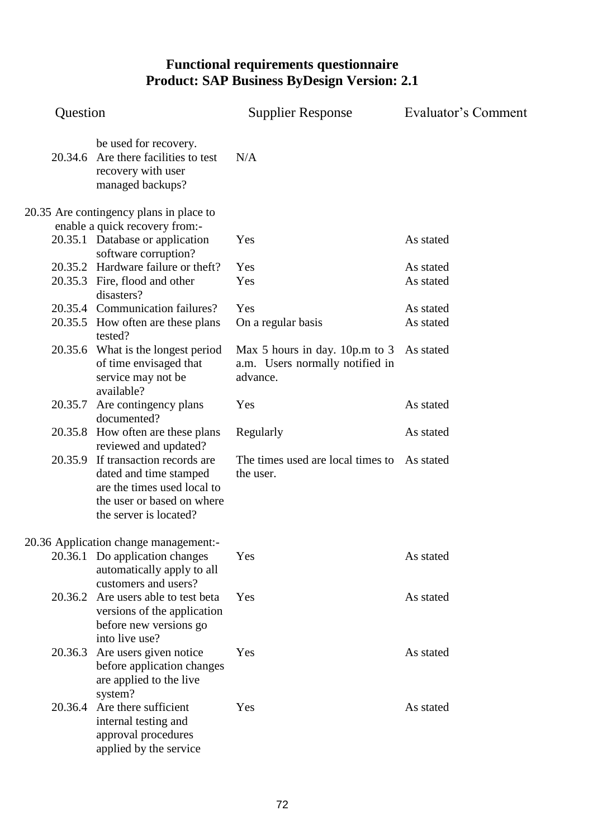| Question |                                                                                                                                                     | <b>Supplier Response</b>                                                      | Evaluator's Comment |
|----------|-----------------------------------------------------------------------------------------------------------------------------------------------------|-------------------------------------------------------------------------------|---------------------|
| 20.34.6  | be used for recovery.<br>Are there facilities to test<br>recovery with user<br>managed backups?                                                     | N/A                                                                           |                     |
|          | 20.35 Are contingency plans in place to                                                                                                             |                                                                               |                     |
|          | enable a quick recovery from:-                                                                                                                      |                                                                               |                     |
|          | 20.35.1 Database or application<br>software corruption?                                                                                             | Yes                                                                           | As stated           |
|          | 20.35.2 Hardware failure or theft?                                                                                                                  | Yes                                                                           | As stated           |
|          | 20.35.3 Fire, flood and other<br>disasters?                                                                                                         | Yes                                                                           | As stated           |
|          | 20.35.4 Communication failures?                                                                                                                     | Yes                                                                           | As stated           |
|          | 20.35.5 How often are these plans<br>tested?                                                                                                        | On a regular basis                                                            | As stated           |
|          | 20.35.6 What is the longest period<br>of time envisaged that<br>service may not be<br>available?                                                    | Max 5 hours in day. 10p.m to 3<br>a.m. Users normally notified in<br>advance. | As stated           |
| 20.35.7  | Are contingency plans<br>documented?                                                                                                                | Yes                                                                           | As stated           |
|          | 20.35.8 How often are these plans<br>reviewed and updated?                                                                                          | Regularly                                                                     | As stated           |
|          | 20.35.9 If transaction records are<br>dated and time stamped<br>are the times used local to<br>the user or based on where<br>the server is located? | The times used are local times to As stated<br>the user.                      |                     |
|          | 20.36 Application change management:-                                                                                                               |                                                                               |                     |
|          | 20.36.1 Do application changes<br>automatically apply to all<br>customers and users?                                                                | Yes                                                                           | As stated           |
|          | 20.36.2 Are users able to test beta<br>versions of the application<br>before new versions go<br>into live use?                                      | Yes                                                                           | As stated           |
|          | 20.36.3 Are users given notice<br>before application changes<br>are applied to the live<br>system?                                                  | Yes                                                                           | As stated           |
| 20.36.4  | Are there sufficient<br>internal testing and<br>approval procedures<br>applied by the service                                                       | Yes                                                                           | As stated           |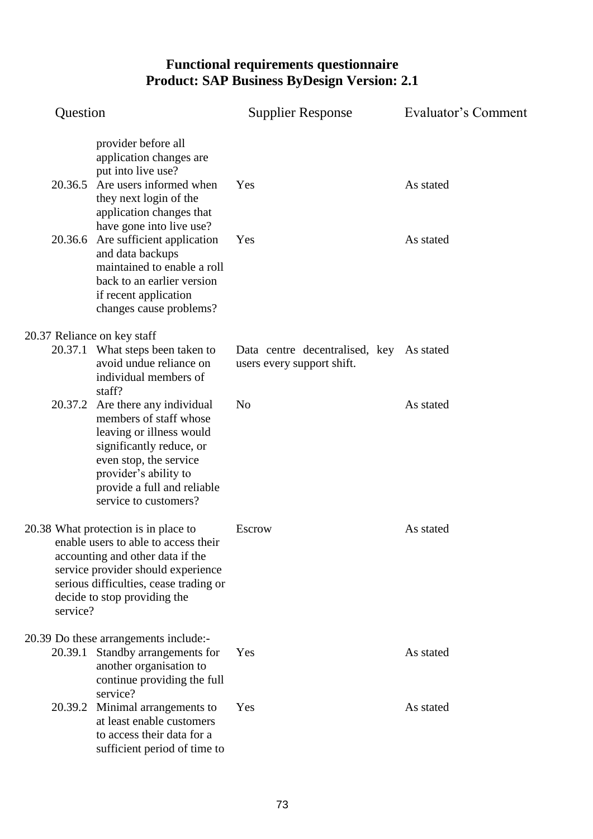| Question                                                                                                                                                                                                                                     |                                                                                                                                                                                                                       | <b>Supplier Response</b>                                               | Evaluator's Comment |
|----------------------------------------------------------------------------------------------------------------------------------------------------------------------------------------------------------------------------------------------|-----------------------------------------------------------------------------------------------------------------------------------------------------------------------------------------------------------------------|------------------------------------------------------------------------|---------------------|
| 20.36.5                                                                                                                                                                                                                                      | provider before all<br>application changes are<br>put into live use?<br>Are users informed when<br>they next login of the<br>application changes that                                                                 | Yes                                                                    | As stated           |
| 20.36.6                                                                                                                                                                                                                                      | have gone into live use?<br>Are sufficient application<br>and data backups<br>maintained to enable a roll<br>back to an earlier version<br>if recent application<br>changes cause problems?                           | Yes                                                                    | As stated           |
| 20.37 Reliance on key staff                                                                                                                                                                                                                  |                                                                                                                                                                                                                       |                                                                        |                     |
|                                                                                                                                                                                                                                              | 20.37.1 What steps been taken to<br>avoid undue reliance on<br>individual members of<br>staff?                                                                                                                        | Data centre decentralised, key As stated<br>users every support shift. |                     |
| 20.37.2                                                                                                                                                                                                                                      | Are there any individual<br>members of staff whose<br>leaving or illness would<br>significantly reduce, or<br>even stop, the service<br>provider's ability to<br>provide a full and reliable<br>service to customers? | N <sub>o</sub>                                                         | As stated           |
| 20.38 What protection is in place to<br>enable users to able to access their<br>accounting and other data if the<br>service provider should experience<br>serious difficulties, cease trading or<br>decide to stop providing the<br>service? |                                                                                                                                                                                                                       | <b>Escrow</b>                                                          | As stated           |
|                                                                                                                                                                                                                                              | 20.39 Do these arrangements include:-                                                                                                                                                                                 |                                                                        |                     |
| 20.39.1                                                                                                                                                                                                                                      | Standby arrangements for<br>another organisation to<br>continue providing the full<br>service?                                                                                                                        | Yes                                                                    | As stated           |
|                                                                                                                                                                                                                                              | 20.39.2 Minimal arrangements to<br>at least enable customers<br>to access their data for a<br>sufficient period of time to                                                                                            | Yes                                                                    | As stated           |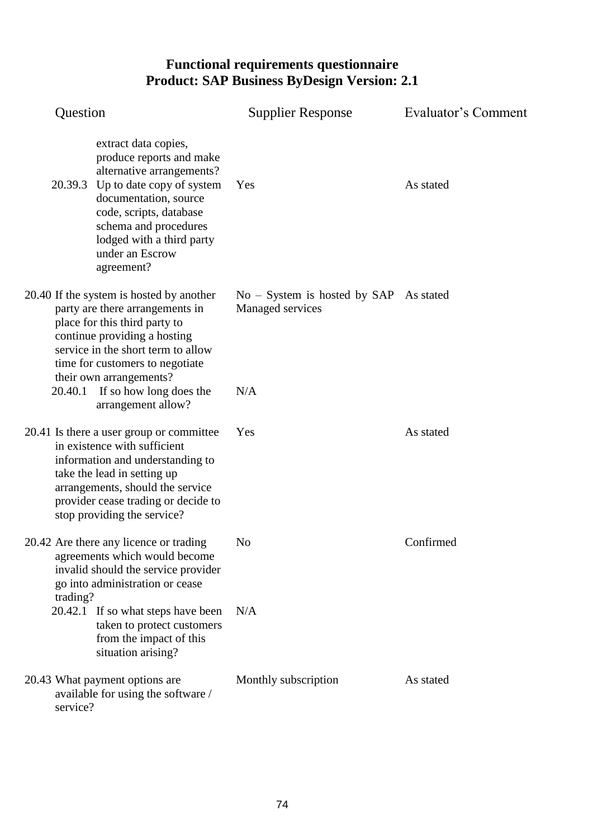| Question                                                                                                                                                                                                                                                      | <b>Supplier Response</b>                                     | Evaluator's Comment |
|---------------------------------------------------------------------------------------------------------------------------------------------------------------------------------------------------------------------------------------------------------------|--------------------------------------------------------------|---------------------|
| extract data copies,<br>produce reports and make<br>alternative arrangements?<br>20.39.3 Up to date copy of system<br>documentation, source<br>code, scripts, database<br>schema and procedures<br>lodged with a third party<br>under an Escrow<br>agreement? | Yes                                                          | As stated           |
| 20.40 If the system is hosted by another<br>party are there arrangements in<br>place for this third party to<br>continue providing a hosting<br>service in the short term to allow<br>time for customers to negotiate<br>their own arrangements?              | $No - System$ is hosted by SAP As stated<br>Managed services |                     |
| 20.40.1 If so how long does the<br>arrangement allow?                                                                                                                                                                                                         | N/A                                                          |                     |
| 20.41 Is there a user group or committee<br>in existence with sufficient<br>information and understanding to<br>take the lead in setting up<br>arrangements, should the service<br>provider cease trading or decide to<br>stop providing the service?         | Yes                                                          | As stated           |
| 20.42 Are there any licence or trading<br>agreements which would become<br>invalid should the service provider<br>go into administration or cease<br>trading?                                                                                                 | N <sub>0</sub>                                               | Confirmed           |
| 20.42.1 If so what steps have been<br>taken to protect customers<br>from the impact of this<br>situation arising?                                                                                                                                             | N/A                                                          |                     |
| 20.43 What payment options are<br>available for using the software /<br>service?                                                                                                                                                                              | Monthly subscription                                         | As stated           |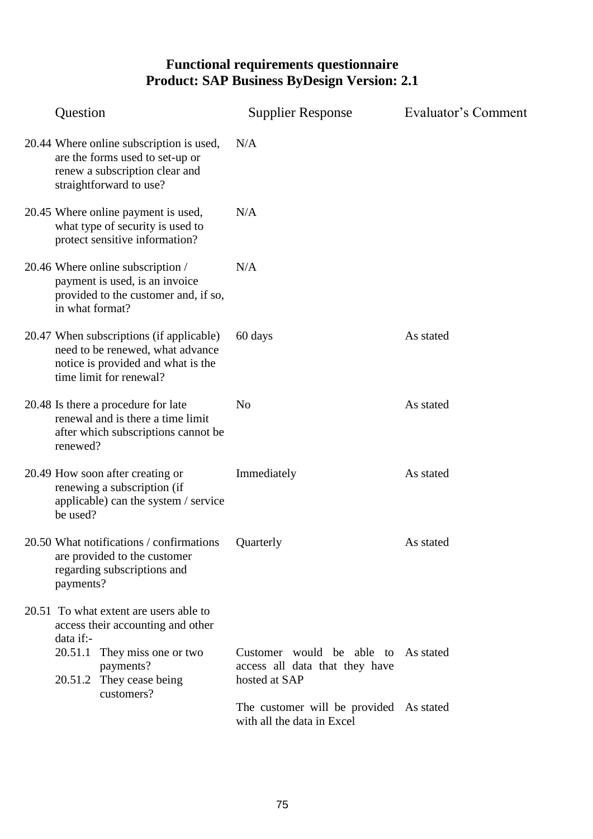| Question                                                                                                                                      | <b>Supplier Response</b>                                                     | Evaluator's Comment |
|-----------------------------------------------------------------------------------------------------------------------------------------------|------------------------------------------------------------------------------|---------------------|
| 20.44 Where online subscription is used,<br>are the forms used to set-up or<br>renew a subscription clear and<br>straightforward to use?      | N/A                                                                          |                     |
| 20.45 Where online payment is used,<br>what type of security is used to<br>protect sensitive information?                                     | N/A                                                                          |                     |
| 20.46 Where online subscription /<br>payment is used, is an invoice<br>provided to the customer and, if so,<br>in what format?                | N/A                                                                          |                     |
| 20.47 When subscriptions (if applicable)<br>need to be renewed, what advance<br>notice is provided and what is the<br>time limit for renewal? | 60 days                                                                      | As stated           |
| 20.48 Is there a procedure for late<br>renewal and is there a time limit<br>after which subscriptions cannot be<br>renewed?                   | N <sub>o</sub>                                                               | As stated           |
| 20.49 How soon after creating or<br>renewing a subscription (if<br>applicable) can the system / service<br>be used?                           | Immediately                                                                  | As stated           |
| 20.50 What notifications / confirmations<br>are provided to the customer<br>regarding subscriptions and<br>payments?                          | Quarterly                                                                    | As stated           |
| 20.51 To what extent are users able to<br>access their accounting and other<br>data if:-                                                      |                                                                              |                     |
| 20.51.1 They miss one or two<br>payments?<br>20.51.2 They cease being<br>customers?                                                           | Customer would be able to<br>access all data that they have<br>hosted at SAP | As stated           |
|                                                                                                                                               | The customer will be provided As stated<br>with all the data in Excel        |                     |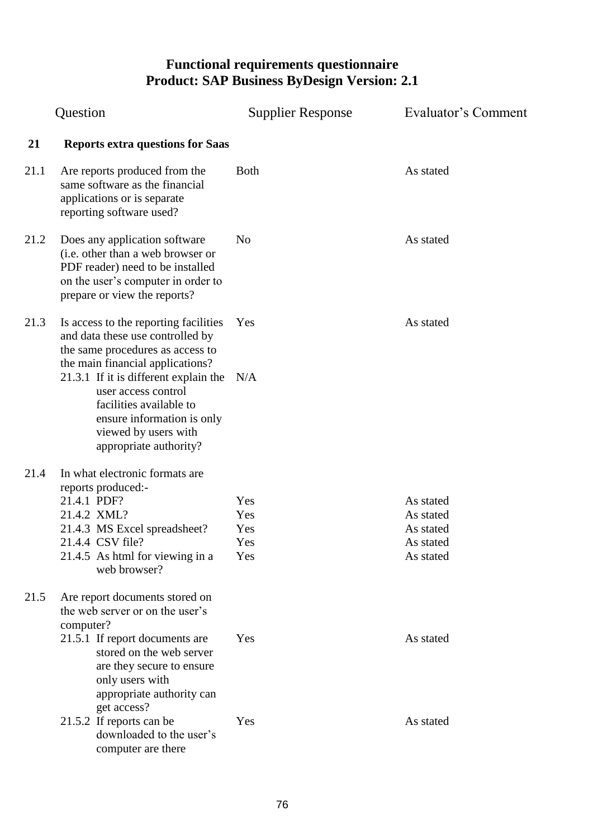| Question |                                                                                                                                                                               | <b>Supplier Response</b> | Evaluator's Comment |
|----------|-------------------------------------------------------------------------------------------------------------------------------------------------------------------------------|--------------------------|---------------------|
| 21       | <b>Reports extra questions for Saas</b>                                                                                                                                       |                          |                     |
| 21.1     | Are reports produced from the<br>same software as the financial<br>applications or is separate<br>reporting software used?                                                    | <b>Both</b>              | As stated           |
| 21.2     | Does any application software<br>(i.e. other than a web browser or<br>PDF reader) need to be installed<br>on the user's computer in order to<br>prepare or view the reports?  | N <sub>0</sub>           | As stated           |
| 21.3     | Is access to the reporting facilities<br>and data these use controlled by<br>the same procedures as access to<br>the main financial applications?                             | Yes                      | As stated           |
|          | 21.3.1 If it is different explain the $N/A$<br>user access control<br>facilities available to<br>ensure information is only<br>viewed by users with<br>appropriate authority? |                          |                     |
| 21.4     | In what electronic formats are<br>reports produced:-                                                                                                                          |                          |                     |
|          | 21.4.1 PDF?                                                                                                                                                                   | Yes                      | As stated           |
|          | 21.4.2 XML?                                                                                                                                                                   | Yes                      | As stated           |
|          | 21.4.3 MS Excel spreadsheet?                                                                                                                                                  | Yes                      | As stated           |
|          | 21.4.4 CSV file?                                                                                                                                                              | Yes                      | As stated           |
|          | 21.4.5 As html for viewing in a<br>web browser?                                                                                                                               | Yes                      | As stated           |
| 21.5     | Are report documents stored on<br>the web server or on the user's<br>computer?                                                                                                |                          |                     |
|          | 21.5.1 If report documents are<br>stored on the web server<br>are they secure to ensure<br>only users with<br>appropriate authority can<br>get access?                        | Yes                      | As stated           |
|          | 21.5.2 If reports can be<br>downloaded to the user's<br>computer are there                                                                                                    | Yes                      | As stated           |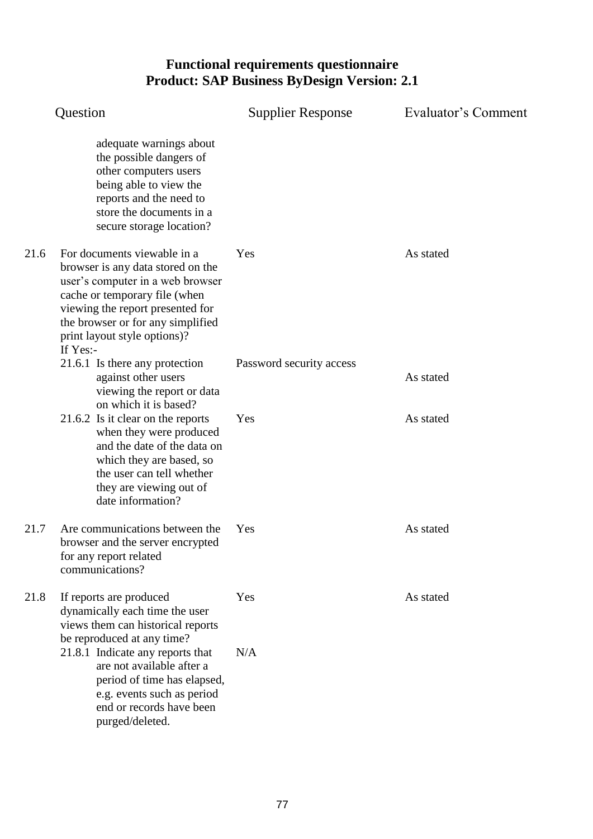|      | Question                                                                                                                                                                                                                                                    | <b>Supplier Response</b> | Evaluator's Comment |
|------|-------------------------------------------------------------------------------------------------------------------------------------------------------------------------------------------------------------------------------------------------------------|--------------------------|---------------------|
|      | adequate warnings about<br>the possible dangers of<br>other computers users<br>being able to view the<br>reports and the need to<br>store the documents in a<br>secure storage location?                                                                    |                          |                     |
| 21.6 | For documents viewable in a<br>browser is any data stored on the<br>user's computer in a web browser<br>cache or temporary file (when<br>viewing the report presented for<br>the browser or for any simplified<br>print layout style options)?<br>If $Yes:$ | Yes                      | As stated           |
|      | 21.6.1 Is there any protection<br>against other users<br>viewing the report or data<br>on which it is based?                                                                                                                                                | Password security access | As stated           |
|      | 21.6.2 Is it clear on the reports<br>when they were produced<br>and the date of the data on<br>which they are based, so<br>the user can tell whether<br>they are viewing out of<br>date information?                                                        | Yes                      | As stated           |
| 21.7 | Are communications between the<br>browser and the server encrypted<br>for any report related<br>communications?                                                                                                                                             | Yes                      | As stated           |
| 21.8 | If reports are produced<br>dynamically each time the user<br>views them can historical reports<br>be reproduced at any time?                                                                                                                                | Yes                      | As stated           |
|      | 21.8.1 Indicate any reports that<br>are not available after a<br>period of time has elapsed,<br>e.g. events such as period<br>end or records have been<br>purged/deleted.                                                                                   | N/A                      |                     |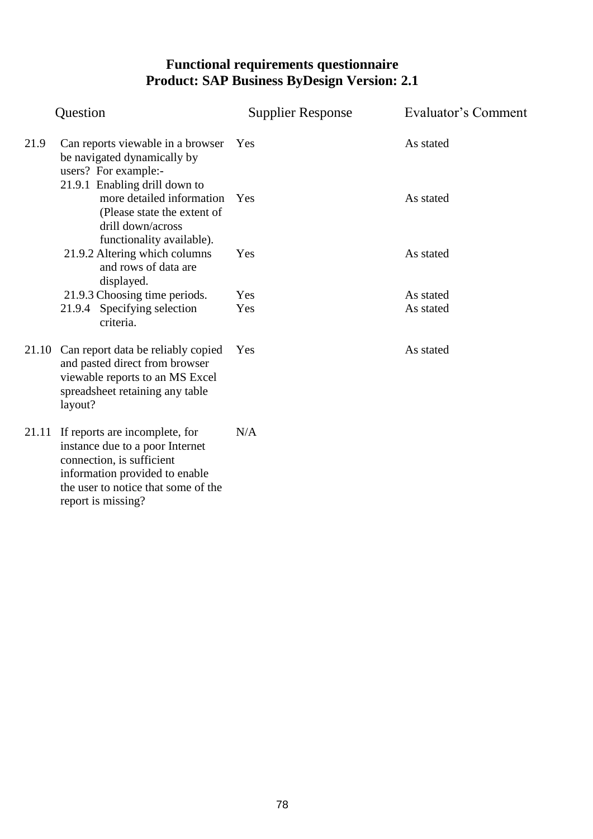|       | Question                                                                                                                                                                                      | <b>Supplier Response</b> | Evaluator's Comment |
|-------|-----------------------------------------------------------------------------------------------------------------------------------------------------------------------------------------------|--------------------------|---------------------|
| 21.9  | Can reports viewable in a browser Yes<br>be navigated dynamically by<br>users? For example:-                                                                                                  |                          | As stated           |
|       | 21.9.1 Enabling drill down to<br>more detailed information<br>(Please state the extent of<br>drill down/across<br>functionality available).                                                   | Yes                      | As stated           |
|       | 21.9.2 Altering which columns<br>and rows of data are<br>displayed.                                                                                                                           | Yes                      | As stated           |
|       | 21.9.3 Choosing time periods.                                                                                                                                                                 | Yes                      | As stated           |
|       | 21.9.4 Specifying selection<br>criteria.                                                                                                                                                      | Yes                      | As stated           |
|       | 21.10 Can report data be reliably copied<br>and pasted direct from browser<br>viewable reports to an MS Excel<br>spreadsheet retaining any table<br>layout?                                   | Yes                      | As stated           |
| 21.11 | If reports are incomplete, for<br>instance due to a poor Internet<br>connection, is sufficient<br>information provided to enable<br>the user to notice that some of the<br>report is missing? | N/A                      |                     |